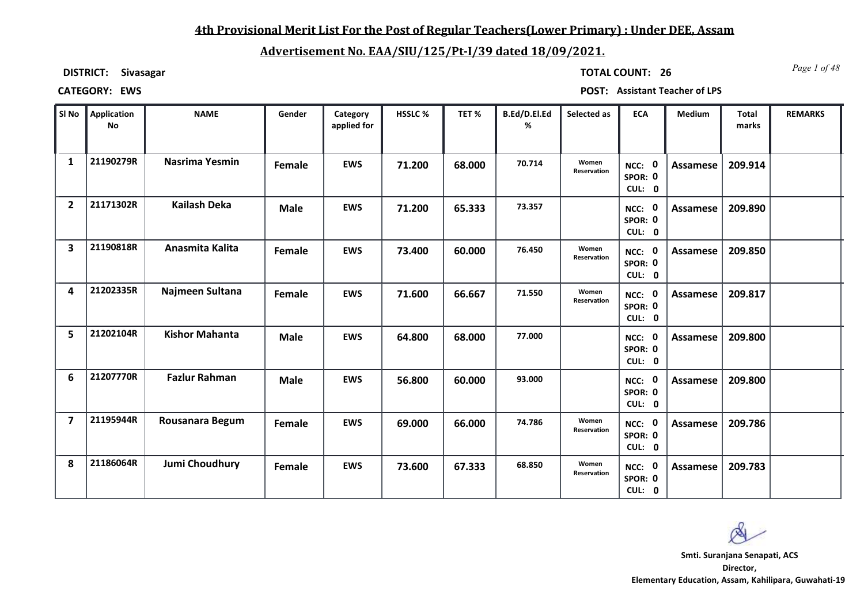## **4th Provisional Merit List For the Post of Regular Teachers(Lower Primary) : Under DEE, Assam**

# **Advertisement No. EAA/SIU/125/Pt-I/39 dated 18/09/2021.**

**DISTRICT: Sivasagar**

*Page 1 of 48* **TOTAL COUNT: 26**

| SI No                   | Application<br><b>No</b> | <b>NAME</b>           | Gender        | Category<br>applied for | HSSLC% | TET%   | B.Ed/D.El.Ed<br>% | Selected as          | <b>ECA</b>                  | Medium   | <b>Total</b><br>marks | <b>REMARKS</b> |
|-------------------------|--------------------------|-----------------------|---------------|-------------------------|--------|--------|-------------------|----------------------|-----------------------------|----------|-----------------------|----------------|
| 1                       | 21190279R                | <b>Nasrima Yesmin</b> | <b>Female</b> | <b>EWS</b>              | 71.200 | 68.000 | 70.714            | Women<br>Reservation | NCC: 0<br>SPOR: 0<br>CUL: 0 | Assamese | 209.914               |                |
| $\overline{2}$          | 21171302R                | Kailash Deka          | <b>Male</b>   | <b>EWS</b>              | 71.200 | 65.333 | 73.357            |                      | NCC: 0<br>SPOR: 0<br>CUL: 0 | Assamese | 209.890               |                |
| 3                       | 21190818R                | Anasmita Kalita       | Female        | <b>EWS</b>              | 73.400 | 60.000 | 76.450            | Women<br>Reservation | NCC: 0<br>SPOR: 0<br>CUL: 0 | Assamese | 209.850               |                |
| 4                       | 21202335R                | Najmeen Sultana       | Female        | <b>EWS</b>              | 71.600 | 66.667 | 71.550            | Women<br>Reservation | NCC: 0<br>SPOR: 0<br>CUL: 0 | Assamese | 209.817               |                |
| 5                       | 21202104R                | <b>Kishor Mahanta</b> | <b>Male</b>   | <b>EWS</b>              | 64.800 | 68.000 | 77.000            |                      | NCC: 0<br>SPOR: 0<br>CUL: 0 | Assamese | 209.800               |                |
| 6                       | 21207770R                | <b>Fazlur Rahman</b>  | <b>Male</b>   | <b>EWS</b>              | 56.800 | 60.000 | 93.000            |                      | NCC: 0<br>SPOR: 0<br>CUL: 0 | Assamese | 209.800               |                |
| $\overline{\mathbf{z}}$ | 21195944R                | Rousanara Begum       | Female        | <b>EWS</b>              | 69.000 | 66.000 | 74.786            | Women<br>Reservation | NCC: 0<br>SPOR: 0<br>CUL: 0 | Assamese | 209.786               |                |
| 8                       | 21186064R                | <b>Jumi Choudhury</b> | Female        | <b>EWS</b>              | 73.600 | 67.333 | 68.850            | Women<br>Reservation | NCC: 0<br>SPOR: 0<br>CUL: 0 | Assamese | 209.783               |                |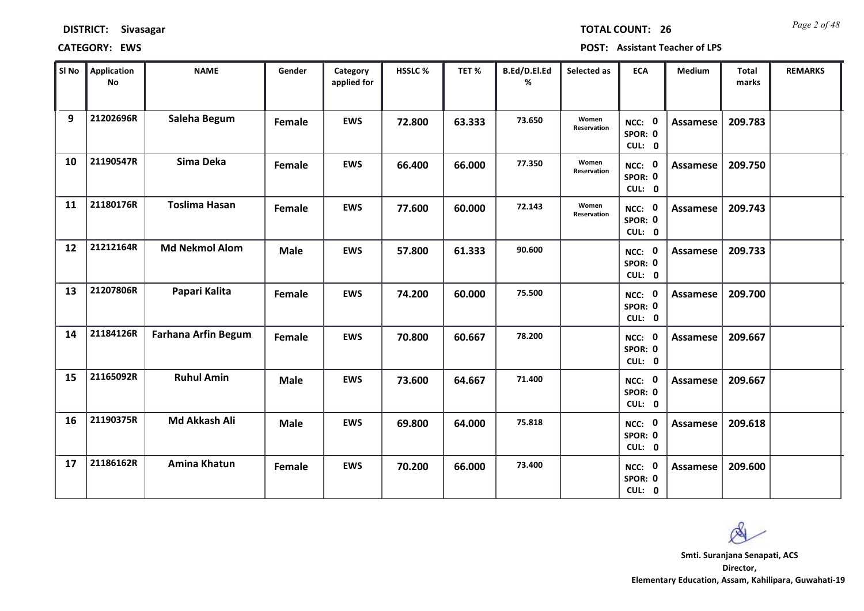*Page 2 of 48* **TOTAL COUNT: 26**

| SI No | <b>Application</b><br><b>No</b> | <b>NAME</b>                | Gender      | Category<br>applied for | HSSLC % | TET %  | B.Ed/D.El.Ed<br>% | Selected as          | <b>ECA</b>                  | <b>Medium</b>   | <b>Total</b><br>marks | <b>REMARKS</b> |
|-------|---------------------------------|----------------------------|-------------|-------------------------|---------|--------|-------------------|----------------------|-----------------------------|-----------------|-----------------------|----------------|
| 9     | 21202696R                       | Saleha Begum               | Female      | <b>EWS</b>              | 72.800  | 63.333 | 73.650            | Women<br>Reservation | NCC: 0<br>SPOR: 0<br>CUL: 0 | <b>Assamese</b> | 209.783               |                |
| 10    | 21190547R                       | Sima Deka                  | Female      | <b>EWS</b>              | 66.400  | 66.000 | 77.350            | Women<br>Reservation | NCC: 0<br>SPOR: 0<br>CUL: 0 | <b>Assamese</b> | 209.750               |                |
| 11    | 21180176R                       | <b>Toslima Hasan</b>       | Female      | <b>EWS</b>              | 77.600  | 60.000 | 72.143            | Women<br>Reservation | NCC: 0<br>SPOR: 0<br>CUL: 0 | Assamese        | 209.743               |                |
| 12    | 21212164R                       | <b>Md Nekmol Alom</b>      | <b>Male</b> | <b>EWS</b>              | 57.800  | 61.333 | 90.600            |                      | NCC: 0<br>SPOR: 0<br>CUL: 0 | Assamese        | 209.733               |                |
| 13    | 21207806R                       | Papari Kalita              | Female      | <b>EWS</b>              | 74.200  | 60.000 | 75.500            |                      | NCC: 0<br>SPOR: 0<br>CUL: 0 | <b>Assamese</b> | 209.700               |                |
| 14    | 21184126R                       | <b>Farhana Arfin Begum</b> | Female      | <b>EWS</b>              | 70.800  | 60.667 | 78.200            |                      | NCC: 0<br>SPOR: 0<br>CUL: 0 | <b>Assamese</b> | 209.667               |                |
| 15    | 21165092R                       | <b>Ruhul Amin</b>          | <b>Male</b> | <b>EWS</b>              | 73.600  | 64.667 | 71.400            |                      | NCC: 0<br>SPOR: 0<br>CUL: 0 | <b>Assamese</b> | 209.667               |                |
| 16    | 21190375R                       | Md Akkash Ali              | <b>Male</b> | <b>EWS</b>              | 69.800  | 64.000 | 75.818            |                      | NCC: 0<br>SPOR: 0<br>CUL: 0 | <b>Assamese</b> | 209.618               |                |
| 17    | 21186162R                       | <b>Amina Khatun</b>        | Female      | <b>EWS</b>              | 70.200  | 66.000 | 73.400            |                      | NCC: 0<br>SPOR: 0<br>CUL: 0 | Assamese        | 209.600               |                |

 $\infty$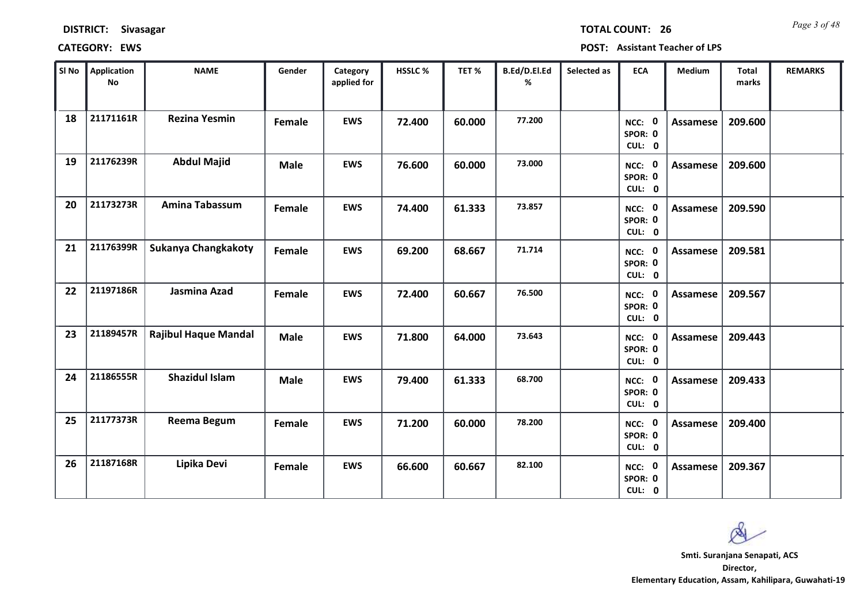*Page 3 of 48* **TOTAL COUNT: 26**

| SI No | Application<br>No | <b>NAME</b>                 | Gender      | Category<br>applied for | HSSLC % | TET %  | B.Ed/D.El.Ed<br>% | Selected as | <b>ECA</b>                  | <b>Medium</b>   | <b>Total</b><br>marks | <b>REMARKS</b> |
|-------|-------------------|-----------------------------|-------------|-------------------------|---------|--------|-------------------|-------------|-----------------------------|-----------------|-----------------------|----------------|
| 18    | 21171161R         | <b>Rezina Yesmin</b>        | Female      | <b>EWS</b>              | 72.400  | 60.000 | 77.200            |             | NCC: 0<br>SPOR: 0<br>CUL: 0 | <b>Assamese</b> | 209.600               |                |
| 19    | 21176239R         | <b>Abdul Majid</b>          | <b>Male</b> | <b>EWS</b>              | 76.600  | 60.000 | 73.000            |             | NCC: 0<br>SPOR: 0<br>CUL: 0 | <b>Assamese</b> | 209.600               |                |
| 20    | 21173273R         | <b>Amina Tabassum</b>       | Female      | <b>EWS</b>              | 74.400  | 61.333 | 73.857            |             | NCC: 0<br>SPOR: 0<br>CUL: 0 | <b>Assamese</b> | 209.590               |                |
| 21    | 21176399R         | Sukanya Changkakoty         | Female      | <b>EWS</b>              | 69.200  | 68.667 | 71.714            |             | NCC: 0<br>SPOR: 0<br>CUL: 0 | <b>Assamese</b> | 209.581               |                |
| 22    | 21197186R         | Jasmina Azad                | Female      | <b>EWS</b>              | 72.400  | 60.667 | 76.500            |             | NCC: 0<br>SPOR: 0<br>CUL: 0 | <b>Assamese</b> | 209.567               |                |
| 23    | 21189457R         | <b>Rajibul Haque Mandal</b> | <b>Male</b> | <b>EWS</b>              | 71.800  | 64.000 | 73.643            |             | NCC: 0<br>SPOR: 0<br>CUL: 0 | <b>Assamese</b> | 209.443               |                |
| 24    | 21186555R         | <b>Shazidul Islam</b>       | <b>Male</b> | <b>EWS</b>              | 79.400  | 61.333 | 68.700            |             | NCC: 0<br>SPOR: 0<br>CUL: 0 | Assamese        | 209.433               |                |
| 25    | 21177373R         | Reema Begum                 | Female      | <b>EWS</b>              | 71.200  | 60.000 | 78.200            |             | NCC: 0<br>SPOR: 0<br>CUL: 0 | <b>Assamese</b> | 209.400               |                |
| 26    | 21187168R         | Lipika Devi                 | Female      | <b>EWS</b>              | 66.600  | 60.667 | 82.100            |             | NCC: 0<br>SPOR: 0<br>CUL: 0 | <b>Assamese</b> | 209.367               |                |

 $\infty$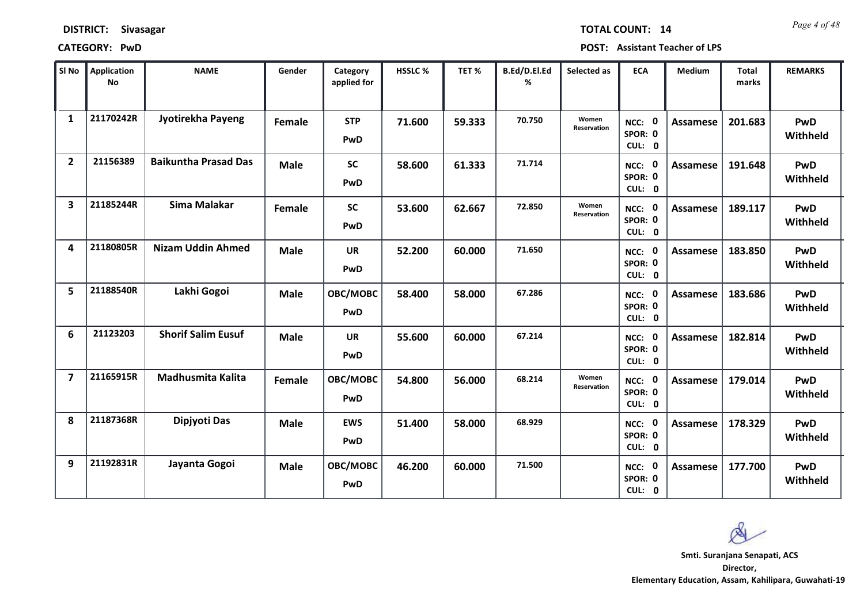| <b>DISTRICT:</b> | <b>Sivasagar</b> |
|------------------|------------------|
|------------------|------------------|

*Page 4 of 48* **TOTAL COUNT: 14**

| SI No                   | <b>Application</b><br>No | <b>NAME</b>                 | Gender        | Category<br>applied for | <b>HSSLC%</b> | TET %  | B.Ed/D.El.Ed<br>% | Selected as          | <b>ECA</b>                       | <b>Medium</b>   | <b>Total</b><br>marks | <b>REMARKS</b>         |
|-------------------------|--------------------------|-----------------------------|---------------|-------------------------|---------------|--------|-------------------|----------------------|----------------------------------|-----------------|-----------------------|------------------------|
| $\mathbf{1}$            | 21170242R                | Jyotirekha Payeng           | Female        | <b>STP</b><br>PwD       | 71.600        | 59.333 | 70.750            | Women<br>Reservation | NCC: 0<br>SPOR: 0<br>CUL: 0      | Assamese        | 201.683               | <b>PwD</b><br>Withheld |
| $\overline{2}$          | 21156389                 | <b>Baikuntha Prasad Das</b> | <b>Male</b>   | <b>SC</b><br>PwD        | 58.600        | 61.333 | 71.714            |                      | NCC: 0<br>SPOR: 0<br>CUL: 0      | Assamese        | 191.648               | <b>PwD</b><br>Withheld |
| $\overline{\mathbf{3}}$ | 21185244R                | Sima Malakar                | Female        | <b>SC</b><br>PwD        | 53.600        | 62.667 | 72.850            | Women<br>Reservation | NCC: 0<br>SPOR: 0<br>CUL: 0      | Assamese        | 189.117               | PwD<br>Withheld        |
| 4                       | 21180805R                | <b>Nizam Uddin Ahmed</b>    | <b>Male</b>   | <b>UR</b><br>PwD        | 52.200        | 60.000 | 71.650            |                      | - 0<br>NCC:<br>SPOR: 0<br>CUL: 0 | <b>Assamese</b> | 183.850               | PwD<br>Withheld        |
| 5                       | 21188540R                | Lakhi Gogoi                 | <b>Male</b>   | OBC/MOBC<br>PwD         | 58.400        | 58.000 | 67.286            |                      | NCC: 0<br>SPOR: 0<br>CUL: 0      | Assamese        | 183.686               | PwD<br>Withheld        |
| 6                       | 21123203                 | <b>Shorif Salim Eusuf</b>   | <b>Male</b>   | <b>UR</b><br>PwD        | 55.600        | 60.000 | 67.214            |                      | NCC: 0<br>SPOR: 0<br>CUL: 0      | <b>Assamese</b> | 182.814               | <b>PwD</b><br>Withheld |
| $\overline{7}$          | 21165915R                | Madhusmita Kalita           | <b>Female</b> | OBC/MOBC<br>PwD         | 54.800        | 56.000 | 68.214            | Women<br>Reservation | NCC: 0<br>SPOR: 0<br>CUL: 0      | <b>Assamese</b> | 179.014               | <b>PwD</b><br>Withheld |
| 8                       | 21187368R                | Dipjyoti Das                | <b>Male</b>   | <b>EWS</b><br>PwD       | 51.400        | 58.000 | 68.929            |                      | NCC: 0<br>SPOR: 0<br>CUL: 0      | <b>Assamese</b> | 178.329               | <b>PwD</b><br>Withheld |
| 9                       | 21192831R                | Jayanta Gogoi               | <b>Male</b>   | OBC/MOBC<br>PwD         | 46.200        | 60.000 | 71.500            |                      | NCC: 0<br>SPOR: 0<br>CUL: 0      | Assamese        | 177.700               | PwD<br>Withheld        |

 $\infty$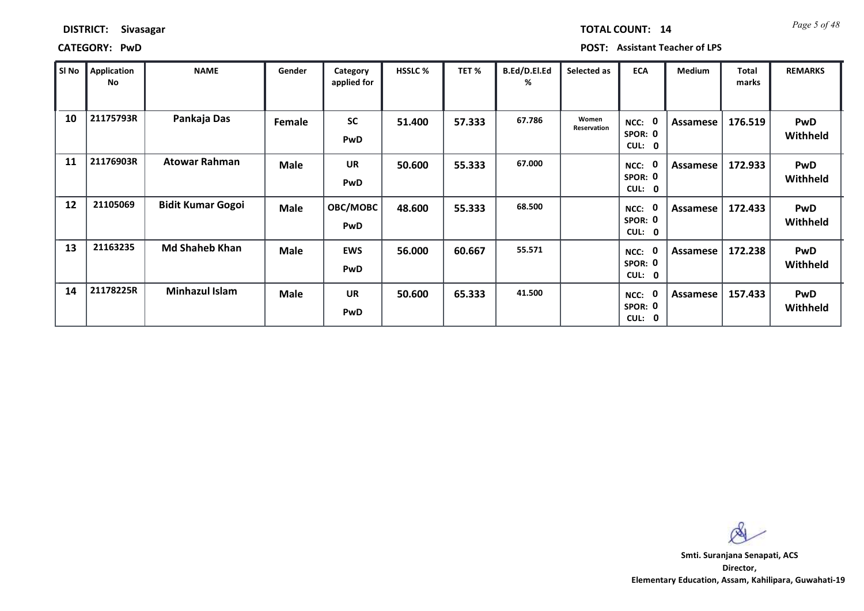| <b>DISTRICT:</b> | <b>Sivasagar</b> |
|------------------|------------------|
|------------------|------------------|

*Page 5 of 48* **TOTAL COUNT: 14**

| SI No | <b>Application</b><br>No | <b>NAME</b>              | Gender      | Category<br>applied for | <b>HSSLC %</b> | TET%   | B.Ed/D.El.Ed<br>℅ | Selected as          | <b>ECA</b>                                     | <b>Medium</b> | <b>Total</b><br>marks | <b>REMARKS</b>         |
|-------|--------------------------|--------------------------|-------------|-------------------------|----------------|--------|-------------------|----------------------|------------------------------------------------|---------------|-----------------------|------------------------|
| 10    | 21175793R                | Pankaja Das              | Female      | <b>SC</b><br>PwD        | 51.400         | 57.333 | 67.786            | Women<br>Reservation | NCC:<br>SPOR: 0<br><b>CUL:</b><br>$\mathbf{0}$ | Assamese      | 176.519               | <b>PwD</b><br>Withheld |
| 11    | 21176903R                | <b>Atowar Rahman</b>     | <b>Male</b> | <b>UR</b><br>PwD        | 50.600         | 55.333 | 67.000            |                      | NCC:<br>SPOR: 0<br><b>CUL:</b><br>0            | Assamese      | 172.933               | <b>PwD</b><br>Withheld |
| 12    | 21105069                 | <b>Bidit Kumar Gogoi</b> | <b>Male</b> | <b>OBC/MOBC</b><br>PwD  | 48.600         | 55.333 | 68.500            |                      | NCC:<br>SPOR: 0<br><b>CUL:</b><br>$\mathbf 0$  | Assamese      | 172.433               | PwD<br>Withheld        |
| 13    | 21163235                 | <b>Md Shaheb Khan</b>    | <b>Male</b> | <b>EWS</b><br>PwD       | 56.000         | 60.667 | 55.571            |                      | NCC:<br>SPOR: 0<br><b>CUL:</b><br>$\mathbf 0$  | Assamese      | 172.238               | PwD<br>Withheld        |
| 14    | 21178225R                | <b>Minhazul Islam</b>    | <b>Male</b> | <b>UR</b><br>PwD        | 50.600         | 65.333 | 41.500            |                      | NCC:<br>SPOR: 0<br>CUL: 0                      | Assamese      | 157.433               | <b>PwD</b><br>Withheld |

 $\infty$ **Smti. Suranjana Senapati, ACS**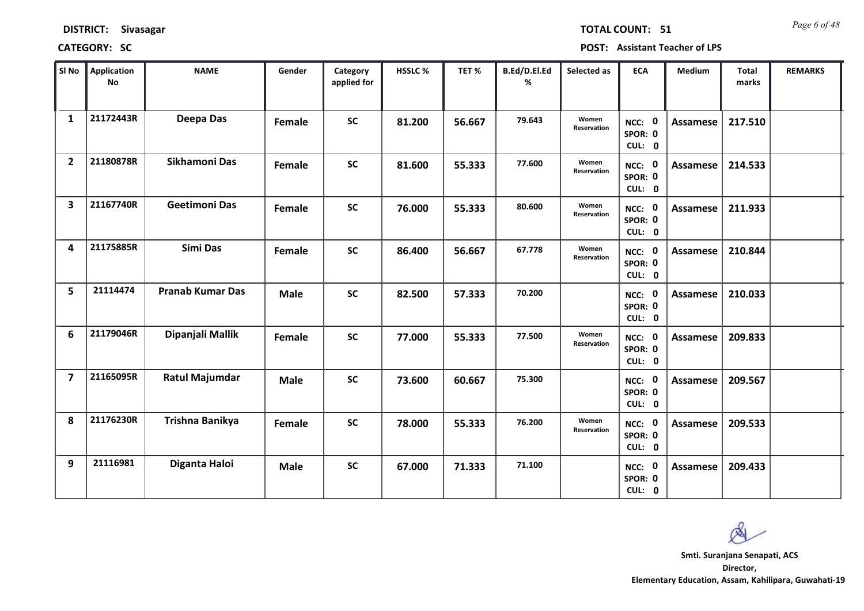*Page 6 of 48* **TOTAL COUNT: 51**

| SI No                   | <b>Application</b><br><b>No</b> | <b>NAME</b>             | Gender      | Category<br>applied for | HSSLC % | TET %  | B.Ed/D.El.Ed<br>% | Selected as                 | <b>ECA</b>                  | <b>Medium</b>   | <b>Total</b><br>marks | <b>REMARKS</b> |
|-------------------------|---------------------------------|-------------------------|-------------|-------------------------|---------|--------|-------------------|-----------------------------|-----------------------------|-----------------|-----------------------|----------------|
| 1                       | 21172443R                       | Deepa Das               | Female      | <b>SC</b>               | 81.200  | 56.667 | 79.643            | Women<br><b>Reservation</b> | NCC: 0<br>SPOR: 0<br>CUL: 0 | <b>Assamese</b> | 217.510               |                |
| $\overline{2}$          | 21180878R                       | Sikhamoni Das           | Female      | <b>SC</b>               | 81.600  | 55.333 | 77.600            | Women<br>Reservation        | NCC: 0<br>SPOR: 0<br>CUL: 0 | Assamese        | 214.533               |                |
| $\overline{\mathbf{3}}$ | 21167740R                       | <b>Geetimoni Das</b>    | Female      | <b>SC</b>               | 76.000  | 55.333 | 80.600            | Women<br>Reservation        | NCC: 0<br>SPOR: 0<br>CUL: 0 | Assamese        | 211.933               |                |
| 4                       | 21175885R                       | Simi Das                | Female      | <b>SC</b>               | 86.400  | 56.667 | 67.778            | Women<br>Reservation        | NCC: 0<br>SPOR: 0<br>CUL: 0 | <b>Assamese</b> | 210.844               |                |
| 5                       | 21114474                        | <b>Pranab Kumar Das</b> | <b>Male</b> | <b>SC</b>               | 82.500  | 57.333 | 70.200            |                             | NCC: 0<br>SPOR: 0<br>CUL: 0 | <b>Assamese</b> | 210.033               |                |
| 6                       | 21179046R                       | Dipanjali Mallik        | Female      | <b>SC</b>               | 77.000  | 55.333 | 77.500            | Women<br>Reservation        | NCC: 0<br>SPOR: 0<br>CUL: 0 | <b>Assamese</b> | 209.833               |                |
| $\overline{7}$          | 21165095R                       | Ratul Majumdar          | <b>Male</b> | <b>SC</b>               | 73.600  | 60.667 | 75.300            |                             | NCC: 0<br>SPOR: 0<br>CUL: 0 | <b>Assamese</b> | 209.567               |                |
| 8                       | 21176230R                       | Trishna Banikya         | Female      | <b>SC</b>               | 78.000  | 55.333 | 76.200            | Women<br>Reservation        | NCC: 0<br>SPOR: 0<br>CUL: 0 | <b>Assamese</b> | 209.533               |                |
| 9                       | 21116981                        | Diganta Haloi           | <b>Male</b> | <b>SC</b>               | 67.000  | 71.333 | 71.100            |                             | NCC: 0<br>SPOR: 0<br>CUL: 0 | <b>Assamese</b> | 209.433               |                |

 $\infty$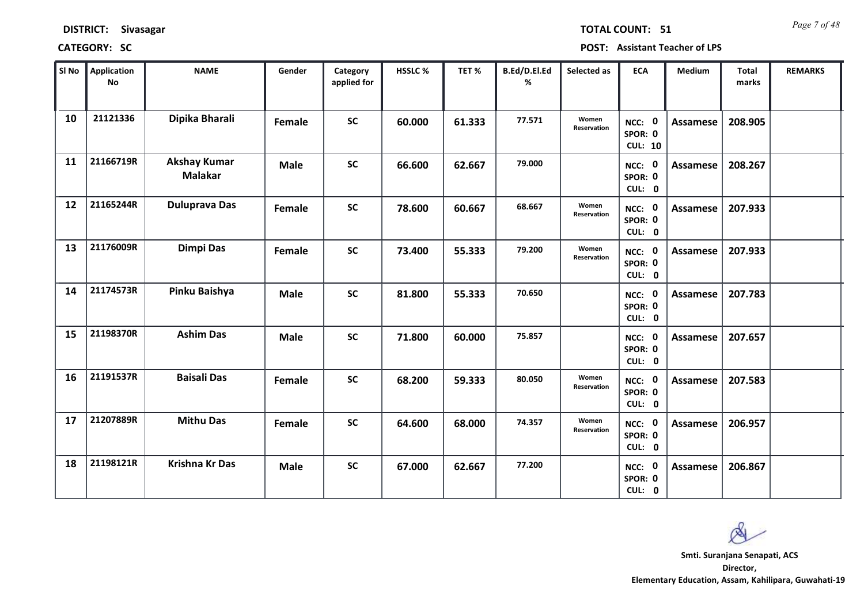| <b>DISTRICT:</b> | Sivasagar |
|------------------|-----------|
|------------------|-----------|

*Page 7 of 48* **TOTAL COUNT: 51**

| SI No | <b>Application</b><br>No | <b>NAME</b>                           | Gender      | Category<br>applied for | HSSLC % | TET%   | B.Ed/D.El.Ed<br>% | Selected as          | <b>ECA</b>                          | <b>Medium</b>   | Total<br>marks | <b>REMARKS</b> |
|-------|--------------------------|---------------------------------------|-------------|-------------------------|---------|--------|-------------------|----------------------|-------------------------------------|-----------------|----------------|----------------|
| 10    | 21121336                 | Dipika Bharali                        | Female      | <b>SC</b>               | 60.000  | 61.333 | 77.571            | Women<br>Reservation | NCC: 0<br>SPOR: 0<br><b>CUL: 10</b> | <b>Assamese</b> | 208.905        |                |
| 11    | 21166719R                | <b>Akshay Kumar</b><br><b>Malakar</b> | <b>Male</b> | <b>SC</b>               | 66.600  | 62.667 | 79.000            |                      | NCC: 0<br>SPOR: 0<br>CUL: 0         | Assamese        | 208.267        |                |
| 12    | 21165244R                | <b>Duluprava Das</b>                  | Female      | <b>SC</b>               | 78.600  | 60.667 | 68.667            | Women<br>Reservation | NCC: 0<br>SPOR: 0<br>CUL: 0         | <b>Assamese</b> | 207.933        |                |
| 13    | 21176009R                | <b>Dimpi Das</b>                      | Female      | <b>SC</b>               | 73.400  | 55.333 | 79.200            | Women<br>Reservation | NCC: 0<br>SPOR: 0<br>CUL: 0         | Assamese        | 207.933        |                |
| 14    | 21174573R                | Pinku Baishya                         | <b>Male</b> | <b>SC</b>               | 81.800  | 55.333 | 70.650            |                      | NCC: 0<br>SPOR: 0<br>CUL: 0         | Assamese        | 207.783        |                |
| 15    | 21198370R                | <b>Ashim Das</b>                      | <b>Male</b> | <b>SC</b>               | 71.800  | 60.000 | 75.857            |                      | NCC: 0<br>SPOR: 0<br>CUL: 0         | <b>Assamese</b> | 207.657        |                |
| 16    | 21191537R                | <b>Baisali Das</b>                    | Female      | <b>SC</b>               | 68.200  | 59.333 | 80.050            | Women<br>Reservation | NCC: 0<br>SPOR: 0<br>CUL: 0         | Assamese        | 207.583        |                |
| 17    | 21207889R                | <b>Mithu Das</b>                      | Female      | <b>SC</b>               | 64.600  | 68.000 | 74.357            | Women<br>Reservation | NCC: 0<br>SPOR: 0<br>CUL: 0         | <b>Assamese</b> | 206.957        |                |
| 18    | 21198121R                | <b>Krishna Kr Das</b>                 | <b>Male</b> | <b>SC</b>               | 67.000  | 62.667 | 77.200            |                      | NCC: 0<br>SPOR: 0<br>CUL: 0         | <b>Assamese</b> | 206.867        |                |

 $\infty$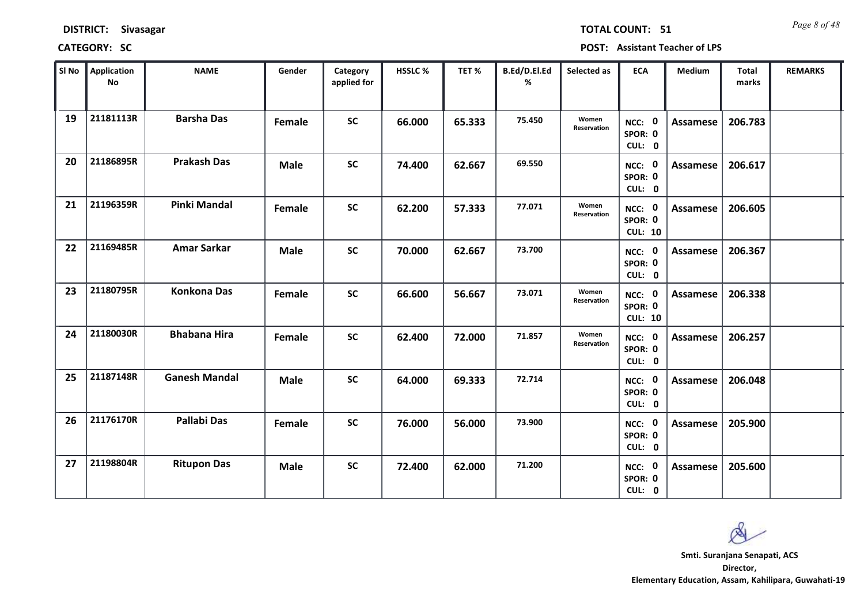*Page 8 of 48* **TOTAL COUNT: 51**

| SI No | <b>Application</b><br>No | <b>NAME</b>          | Gender      | Category<br>applied for | <b>HSSLC %</b> | TET %  | B.Ed/D.El.Ed<br>% | Selected as          | <b>ECA</b>                          | <b>Medium</b>   | <b>Total</b><br>marks | <b>REMARKS</b> |
|-------|--------------------------|----------------------|-------------|-------------------------|----------------|--------|-------------------|----------------------|-------------------------------------|-----------------|-----------------------|----------------|
| 19    | 21181113R                | <b>Barsha Das</b>    | Female      | <b>SC</b>               | 66.000         | 65.333 | 75.450            | Women<br>Reservation | NCC: 0<br>SPOR: 0<br>CUL: 0         | <b>Assamese</b> | 206.783               |                |
| 20    | 21186895R                | <b>Prakash Das</b>   | <b>Male</b> | <b>SC</b>               | 74.400         | 62.667 | 69.550            |                      | NCC: 0<br>SPOR: 0<br>CUL: 0         | <b>Assamese</b> | 206.617               |                |
| 21    | 21196359R                | <b>Pinki Mandal</b>  | Female      | <b>SC</b>               | 62.200         | 57.333 | 77.071            | Women<br>Reservation | NCC: 0<br>SPOR: 0<br><b>CUL: 10</b> | <b>Assamese</b> | 206.605               |                |
| 22    | 21169485R                | <b>Amar Sarkar</b>   | <b>Male</b> | <b>SC</b>               | 70.000         | 62.667 | 73.700            |                      | NCC: 0<br>SPOR: 0<br>CUL: 0         | <b>Assamese</b> | 206.367               |                |
| 23    | 21180795R                | <b>Konkona Das</b>   | Female      | <b>SC</b>               | 66.600         | 56.667 | 73.071            | Women<br>Reservation | NCC: 0<br>SPOR: 0<br><b>CUL: 10</b> | <b>Assamese</b> | 206.338               |                |
| 24    | 21180030R                | <b>Bhabana Hira</b>  | Female      | <b>SC</b>               | 62.400         | 72.000 | 71.857            | Women<br>Reservation | NCC: 0<br>SPOR: 0<br>CUL: 0         | <b>Assamese</b> | 206.257               |                |
| 25    | 21187148R                | <b>Ganesh Mandal</b> | <b>Male</b> | <b>SC</b>               | 64.000         | 69.333 | 72.714            |                      | NCC: 0<br>SPOR: 0<br>CUL: 0         | <b>Assamese</b> | 206.048               |                |
| 26    | 21176170R                | <b>Pallabi Das</b>   | Female      | <b>SC</b>               | 76.000         | 56.000 | 73.900            |                      | NCC: 0<br>SPOR: 0<br>CUL: 0         | <b>Assamese</b> | 205.900               |                |
| 27    | 21198804R                | <b>Ritupon Das</b>   | <b>Male</b> | <b>SC</b>               | 72.400         | 62.000 | 71.200            |                      | NCC: 0<br>SPOR: 0<br>CUL: 0         | Assamese        | 205.600               |                |

Q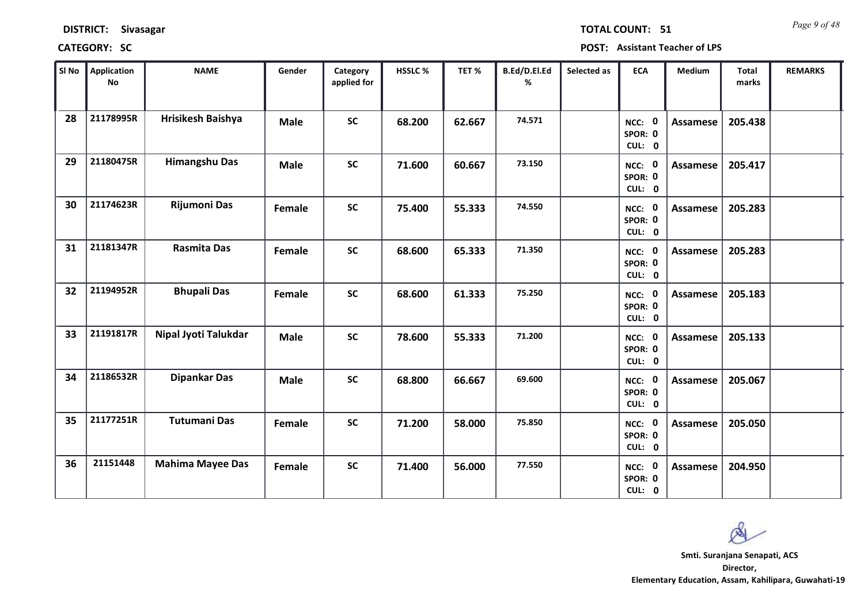*Page 9 of 48* **TOTAL COUNT: 51**

| SI No | <b>Application</b><br><b>No</b> | <b>NAME</b>             | Gender      | Category<br>applied for | HSSLC % | TET %  | B.Ed/D.El.Ed<br>% | Selected as | <b>ECA</b>                  | Medium          | <b>Total</b><br>marks | <b>REMARKS</b> |
|-------|---------------------------------|-------------------------|-------------|-------------------------|---------|--------|-------------------|-------------|-----------------------------|-----------------|-----------------------|----------------|
| 28    | 21178995R                       | Hrisikesh Baishya       | <b>Male</b> | <b>SC</b>               | 68.200  | 62.667 | 74.571            |             | NCC: 0<br>SPOR: 0<br>CUL: 0 | <b>Assamese</b> | 205.438               |                |
| 29    | 21180475R                       | <b>Himangshu Das</b>    | <b>Male</b> | <b>SC</b>               | 71.600  | 60.667 | 73.150            |             | NCC: 0<br>SPOR: 0<br>CUL: 0 | <b>Assamese</b> | 205.417               |                |
| 30    | 21174623R                       | <b>Rijumoni Das</b>     | Female      | <b>SC</b>               | 75.400  | 55.333 | 74.550            |             | NCC: 0<br>SPOR: 0<br>CUL: 0 | Assamese        | 205.283               |                |
| 31    | 21181347R                       | <b>Rasmita Das</b>      | Female      | <b>SC</b>               | 68.600  | 65.333 | 71.350            |             | NCC: 0<br>SPOR: 0<br>CUL: 0 | Assamese        | 205.283               |                |
| 32    | 21194952R                       | <b>Bhupali Das</b>      | Female      | <b>SC</b>               | 68.600  | 61.333 | 75.250            |             | NCC: 0<br>SPOR: 0<br>CUL: 0 | <b>Assamese</b> | 205.183               |                |
| 33    | 21191817R                       | Nipal Jyoti Talukdar    | <b>Male</b> | $\mathsf{SC}$           | 78.600  | 55.333 | 71.200            |             | NCC: 0<br>SPOR: 0<br>CUL: 0 | Assamese        | 205.133               |                |
| 34    | 21186532R                       | <b>Dipankar Das</b>     | <b>Male</b> | <b>SC</b>               | 68.800  | 66.667 | 69.600            |             | NCC: 0<br>SPOR: 0<br>CUL: 0 | <b>Assamese</b> | 205.067               |                |
| 35    | 21177251R                       | <b>Tutumani Das</b>     | Female      | <b>SC</b>               | 71.200  | 58.000 | 75.850            |             | NCC: 0<br>SPOR: 0<br>CUL: 0 | <b>Assamese</b> | 205.050               |                |
| 36    | 21151448                        | <b>Mahima Mayee Das</b> | Female      | <b>SC</b>               | 71.400  | 56.000 | 77.550            |             | NCC: 0<br>SPOR: 0<br>CUL: 0 | <b>Assamese</b> | 204.950               |                |

Q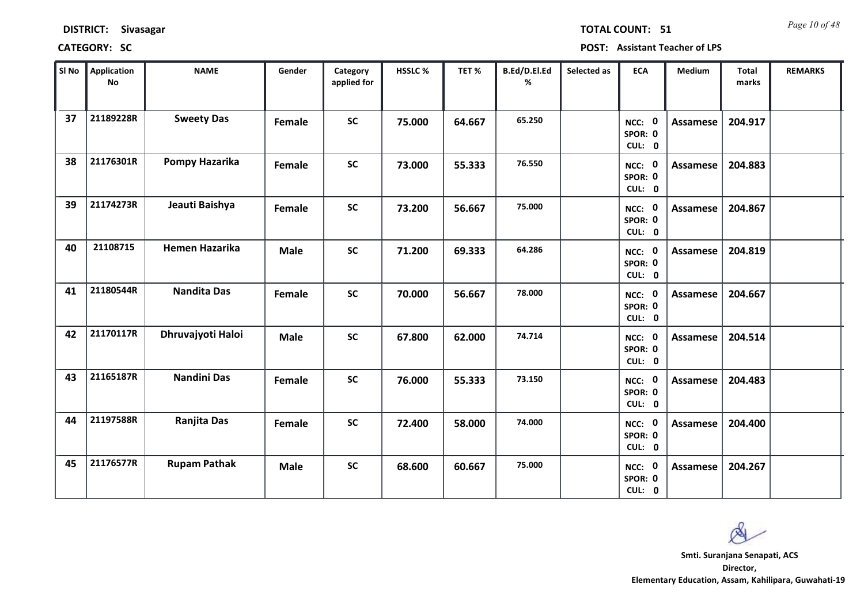*Page 10 of 48* **TOTAL COUNT: 51**

| SI No | <b>Application</b><br><b>No</b> | <b>NAME</b>           | Gender      | Category<br>applied for | <b>HSSLC %</b> | TET %  | B.Ed/D.El.Ed<br>% | Selected as | <b>ECA</b>                  | <b>Medium</b>   | Total<br>marks | <b>REMARKS</b> |
|-------|---------------------------------|-----------------------|-------------|-------------------------|----------------|--------|-------------------|-------------|-----------------------------|-----------------|----------------|----------------|
| 37    | 21189228R                       | <b>Sweety Das</b>     | Female      | <b>SC</b>               | 75.000         | 64.667 | 65.250            |             | NCC: 0<br>SPOR: 0<br>CUL: 0 | <b>Assamese</b> | 204.917        |                |
| 38    | 21176301R                       | Pompy Hazarika        | Female      | <b>SC</b>               | 73.000         | 55.333 | 76.550            |             | NCC: 0<br>SPOR: 0<br>CUL: 0 | Assamese        | 204.883        |                |
| 39    | 21174273R                       | Jeauti Baishya        | Female      | <b>SC</b>               | 73.200         | 56.667 | 75.000            |             | NCC: 0<br>SPOR: 0<br>CUL: 0 | <b>Assamese</b> | 204.867        |                |
| 40    | 21108715                        | <b>Hemen Hazarika</b> | <b>Male</b> | <b>SC</b>               | 71.200         | 69.333 | 64.286            |             | NCC: 0<br>SPOR: 0<br>CUL: 0 | Assamese        | 204.819        |                |
| 41    | 21180544R                       | <b>Nandita Das</b>    | Female      | <b>SC</b>               | 70.000         | 56.667 | 78.000            |             | NCC: 0<br>SPOR: 0<br>CUL: 0 | <b>Assamese</b> | 204.667        |                |
| 42    | 21170117R                       | Dhruvajyoti Haloi     | <b>Male</b> | <b>SC</b>               | 67.800         | 62.000 | 74.714            |             | NCC: 0<br>SPOR: 0<br>CUL: 0 | <b>Assamese</b> | 204.514        |                |
| 43    | 21165187R                       | <b>Nandini Das</b>    | Female      | <b>SC</b>               | 76.000         | 55.333 | 73.150            |             | NCC: 0<br>SPOR: 0<br>CUL: 0 | <b>Assamese</b> | 204.483        |                |
| 44    | 21197588R                       | <b>Ranjita Das</b>    | Female      | <b>SC</b>               | 72.400         | 58.000 | 74.000            |             | NCC: 0<br>SPOR: 0<br>CUL: 0 | <b>Assamese</b> | 204.400        |                |
| 45    | 21176577R                       | <b>Rupam Pathak</b>   | <b>Male</b> | <b>SC</b>               | 68.600         | 60.667 | 75.000            |             | NCC: 0<br>SPOR: 0<br>CUL: 0 | Assamese        | 204.267        |                |

 $\infty$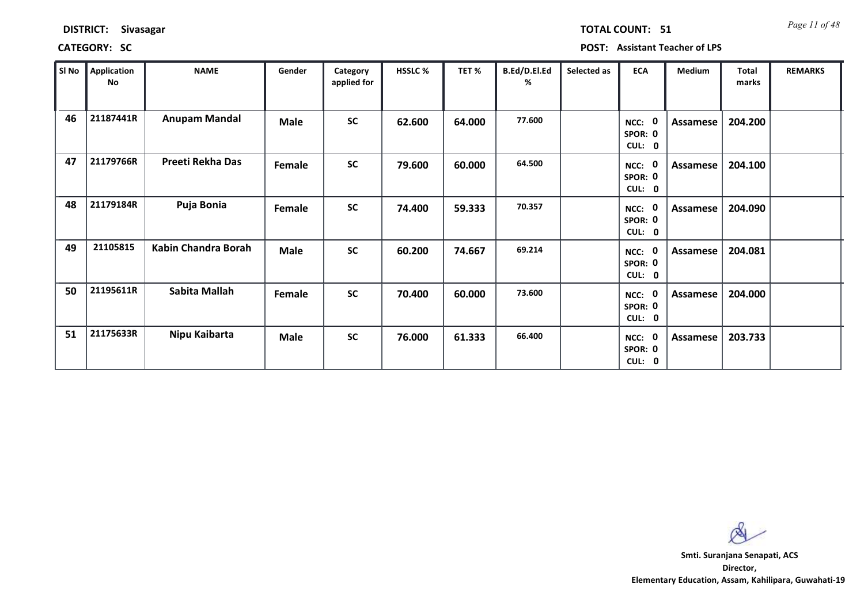*Page 11 of 48* **TOTAL COUNT: 51**

| SI No | <b>Application</b><br>No | <b>NAME</b>             | Gender      | Category<br>applied for | <b>HSSLC %</b> | TET%   | B.Ed/D.El.Ed<br>℅ | Selected as | <b>ECA</b>                       | <b>Medium</b> | Total<br>marks | <b>REMARKS</b> |
|-------|--------------------------|-------------------------|-------------|-------------------------|----------------|--------|-------------------|-------------|----------------------------------|---------------|----------------|----------------|
| 46    | 21187441R                | <b>Anupam Mandal</b>    | <b>Male</b> | <b>SC</b>               | 62.600         | 64.000 | 77.600            |             | - 0<br>NCC:<br>SPOR: 0<br>CUL: 0 | Assamese      | 204.200        |                |
| 47    | 21179766R                | <b>Preeti Rekha Das</b> | Female      | <b>SC</b>               | 79.600         | 60.000 | 64.500            |             | NCC:<br>- 0<br>SPOR: 0<br>CUL: 0 | Assamese      | 204.100        |                |
| 48    | 21179184R                | Puja Bonia              | Female      | <b>SC</b>               | 74.400         | 59.333 | 70.357            |             | - 0<br>NCC:<br>SPOR: 0<br>CUL: 0 | Assamese      | 204.090        |                |
| 49    | 21105815                 | Kabin Chandra Borah     | <b>Male</b> | <b>SC</b>               | 60.200         | 74.667 | 69.214            |             | NCC:<br>SPOR: 0<br>CUL: 0        | Assamese      | 204.081        |                |
| 50    | 21195611R                | Sabita Mallah           | Female      | <b>SC</b>               | 70.400         | 60.000 | 73.600            |             | NCC: 0<br>SPOR: 0<br>CUL: 0      | Assamese      | 204.000        |                |
| 51    | 21175633R                | Nipu Kaibarta           | <b>Male</b> | <b>SC</b>               | 76.000         | 61.333 | 66.400            |             | $NCC$ :<br>SPOR: 0<br>CUL: 0     | Assamese      | 203.733        |                |

 $\infty$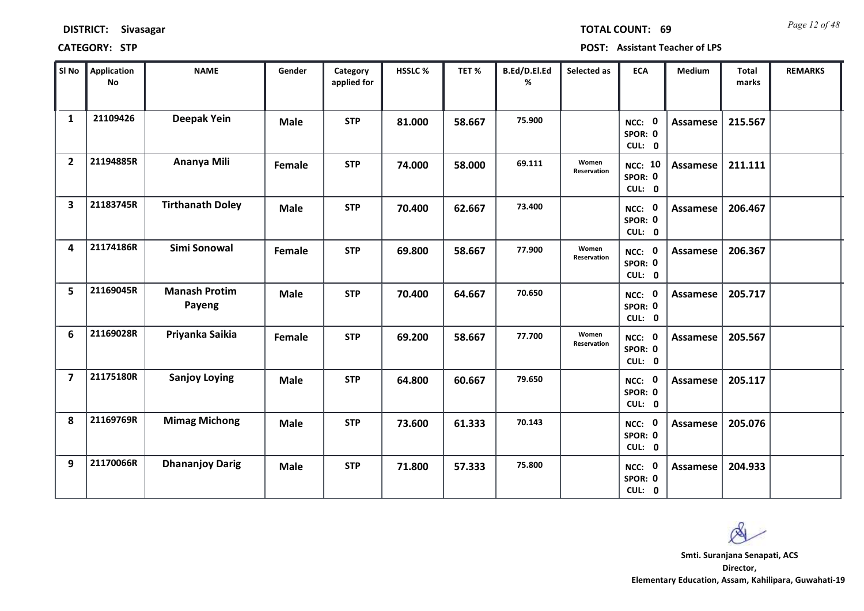| <b>DISTRICT:</b> | <b>Sivasagar</b> |
|------------------|------------------|
|------------------|------------------|

*Page 12 of 48* **TOTAL COUNT: 69**

| SI No                   | <b>Application</b><br>No | <b>NAME</b>                    | Gender      | Category<br>applied for | <b>HSSLC%</b> | TET %  | B.Ed/D.El.Ed<br>% | Selected as          | <b>ECA</b>                          | <b>Medium</b>   | <b>Total</b><br>marks | <b>REMARKS</b> |
|-------------------------|--------------------------|--------------------------------|-------------|-------------------------|---------------|--------|-------------------|----------------------|-------------------------------------|-----------------|-----------------------|----------------|
| 1                       | 21109426                 | <b>Deepak Yein</b>             | <b>Male</b> | <b>STP</b>              | 81.000        | 58.667 | 75.900            |                      | NCC: 0<br>SPOR: 0<br>CUL: 0         | Assamese        | 215.567               |                |
| $\overline{2}$          | 21194885R                | Ananya Mili                    | Female      | <b>STP</b>              | 74.000        | 58.000 | 69.111            | Women<br>Reservation | <b>NCC: 10</b><br>SPOR: 0<br>CUL: 0 | Assamese        | 211.111               |                |
| $\overline{\mathbf{3}}$ | 21183745R                | <b>Tirthanath Doley</b>        | <b>Male</b> | <b>STP</b>              | 70.400        | 62.667 | 73.400            |                      | NCC: 0<br>SPOR: 0<br>CUL: 0         | Assamese        | 206.467               |                |
| 4                       | 21174186R                | Simi Sonowal                   | Female      | <b>STP</b>              | 69.800        | 58.667 | 77.900            | Women<br>Reservation | NCC: 0<br>SPOR: 0<br>CUL: 0         | <b>Assamese</b> | 206.367               |                |
| 5                       | 21169045R                | <b>Manash Protim</b><br>Payeng | <b>Male</b> | <b>STP</b>              | 70.400        | 64.667 | 70.650            |                      | NCC: 0<br>SPOR: 0<br>CUL: 0         | Assamese        | 205.717               |                |
| 6                       | 21169028R                | Priyanka Saikia                | Female      | <b>STP</b>              | 69.200        | 58.667 | 77.700            | Women<br>Reservation | NCC: 0<br>SPOR: 0<br>CUL: 0         | Assamese        | 205.567               |                |
| $\overline{\mathbf{z}}$ | 21175180R                | <b>Sanjoy Loying</b>           | <b>Male</b> | <b>STP</b>              | 64.800        | 60.667 | 79.650            |                      | NCC: 0<br>SPOR: 0<br>CUL: 0         | <b>Assamese</b> | 205.117               |                |
| 8                       | 21169769R                | <b>Mimag Michong</b>           | <b>Male</b> | <b>STP</b>              | 73.600        | 61.333 | 70.143            |                      | NCC: 0<br>SPOR: 0<br>CUL: 0         | <b>Assamese</b> | 205.076               |                |
| 9                       | 21170066R                | <b>Dhananjoy Darig</b>         | <b>Male</b> | <b>STP</b>              | 71.800        | 57.333 | 75.800            |                      | NCC: 0<br>SPOR: 0<br>CUL: 0         | Assamese        | 204.933               |                |

 $\infty$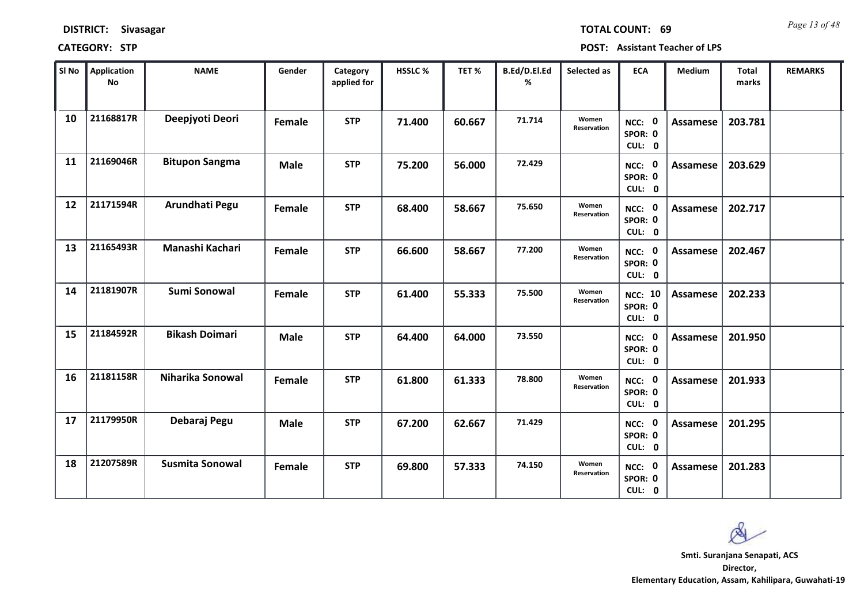*Page 13 of 48* **TOTAL COUNT: 69**

| SI No | <b>Application</b><br>No | <b>NAME</b>            | Gender      | Category<br>applied for | <b>HSSLC %</b> | TET %  | B.Ed/D.El.Ed<br>% | Selected as          | <b>ECA</b>                          | <b>Medium</b>   | <b>Total</b><br>marks | <b>REMARKS</b> |
|-------|--------------------------|------------------------|-------------|-------------------------|----------------|--------|-------------------|----------------------|-------------------------------------|-----------------|-----------------------|----------------|
| 10    | 21168817R                | Deepjyoti Deori        | Female      | <b>STP</b>              | 71.400         | 60.667 | 71.714            | Women<br>Reservation | NCC: 0<br>SPOR: 0<br>CUL: 0         | <b>Assamese</b> | 203.781               |                |
| 11    | 21169046R                | <b>Bitupon Sangma</b>  | <b>Male</b> | <b>STP</b>              | 75.200         | 56.000 | 72.429            |                      | NCC: 0<br>SPOR: 0<br>CUL: 0         | Assamese        | 203.629               |                |
| 12    | 21171594R                | Arundhati Pegu         | Female      | <b>STP</b>              | 68.400         | 58.667 | 75.650            | Women<br>Reservation | NCC: 0<br>SPOR: 0<br>CUL: 0         | Assamese        | 202.717               |                |
| 13    | 21165493R                | Manashi Kachari        | Female      | <b>STP</b>              | 66.600         | 58.667 | 77.200            | Women<br>Reservation | NCC: 0<br>SPOR: 0<br>CUL: 0         | Assamese        | 202.467               |                |
| 14    | 21181907R                | Sumi Sonowal           | Female      | <b>STP</b>              | 61.400         | 55.333 | 75.500            | Women<br>Reservation | <b>NCC: 10</b><br>SPOR: 0<br>CUL: 0 | <b>Assamese</b> | 202.233               |                |
| 15    | 21184592R                | <b>Bikash Doimari</b>  | <b>Male</b> | <b>STP</b>              | 64.400         | 64.000 | 73.550            |                      | NCC: 0<br>SPOR: 0<br>CUL: 0         | Assamese        | 201.950               |                |
| 16    | 21181158R                | Niharika Sonowal       | Female      | <b>STP</b>              | 61.800         | 61.333 | 78.800            | Women<br>Reservation | NCC: 0<br>SPOR: 0<br>CUL: 0         | <b>Assamese</b> | 201.933               |                |
| 17    | 21179950R                | Debaraj Pegu           | <b>Male</b> | <b>STP</b>              | 67.200         | 62.667 | 71.429            |                      | NCC: 0<br>SPOR: 0<br>CUL: 0         | <b>Assamese</b> | 201.295               |                |
| 18    | 21207589R                | <b>Susmita Sonowal</b> | Female      | <b>STP</b>              | 69.800         | 57.333 | 74.150            | Women<br>Reservation | NCC: 0<br>SPOR: 0<br>CUL: 0         | Assamese        | 201.283               |                |

 $\infty$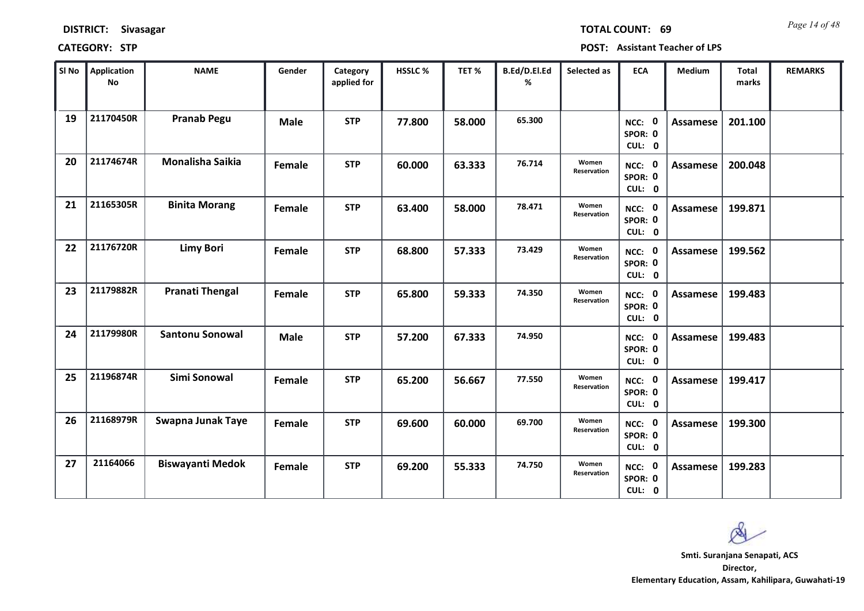| <b>DISTRICT:</b> | <b>Sivasagar</b> |
|------------------|------------------|
|------------------|------------------|

*Page 14 of 48* **TOTAL COUNT: 69**

**CATEGORY: STP POST: Assistant Teacher of LPS**

| SI No | Application<br><b>No</b> | <b>NAME</b>             | Gender      | Category<br>applied for | HSSLC % | TET%   | B.Ed/D.El.Ed<br>% | Selected as                 | <b>ECA</b>                  | <b>Medium</b>   | <b>Total</b><br>marks | <b>REMARKS</b> |
|-------|--------------------------|-------------------------|-------------|-------------------------|---------|--------|-------------------|-----------------------------|-----------------------------|-----------------|-----------------------|----------------|
| 19    | 21170450R                | <b>Pranab Pegu</b>      | <b>Male</b> | <b>STP</b>              | 77.800  | 58.000 | 65.300            |                             | NCC: 0<br>SPOR: 0<br>CUL: 0 | Assamese        | 201.100               |                |
| 20    | 21174674R                | Monalisha Saikia        | Female      | <b>STP</b>              | 60.000  | 63.333 | 76.714            | Women<br><b>Reservation</b> | NCC: 0<br>SPOR: 0<br>CUL: 0 | Assamese        | 200.048               |                |
| 21    | 21165305R                | <b>Binita Morang</b>    | Female      | <b>STP</b>              | 63.400  | 58.000 | 78.471            | Women<br>Reservation        | NCC: 0<br>SPOR: 0<br>CUL: 0 | Assamese        | 199.871               |                |
| 22    | 21176720R                | <b>Limy Bori</b>        | Female      | <b>STP</b>              | 68.800  | 57.333 | 73.429            | Women<br>Reservation        | NCC: 0<br>SPOR: 0<br>CUL: 0 | Assamese        | 199.562               |                |
| 23    | 21179882R                | <b>Pranati Thengal</b>  | Female      | <b>STP</b>              | 65.800  | 59.333 | 74.350            | Women<br>Reservation        | NCC: 0<br>SPOR: 0<br>CUL: 0 | Assamese        | 199.483               |                |
| 24    | 21179980R                | <b>Santonu Sonowal</b>  | <b>Male</b> | <b>STP</b>              | 57.200  | 67.333 | 74.950            |                             | NCC: 0<br>SPOR: 0<br>CUL: 0 | Assamese        | 199.483               |                |
| 25    | 21196874R                | Simi Sonowal            | Female      | <b>STP</b>              | 65.200  | 56.667 | 77.550            | Women<br>Reservation        | NCC: 0<br>SPOR: 0<br>CUL: 0 | <b>Assamese</b> | 199.417               |                |
| 26    | 21168979R                | Swapna Junak Taye       | Female      | <b>STP</b>              | 69.600  | 60.000 | 69.700            | Women<br>Reservation        | NCC: 0<br>SPOR: 0<br>CUL: 0 | Assamese        | 199.300               |                |
| 27    | 21164066                 | <b>Biswayanti Medok</b> | Female      | <b>STP</b>              | 69.200  | 55.333 | 74.750            | Women<br>Reservation        | NCC: 0<br>SPOR: 0<br>CUL: 0 | Assamese        | 199.283               |                |

**Director, Smti. Suranjana Senapati, ACS**

 $\infty$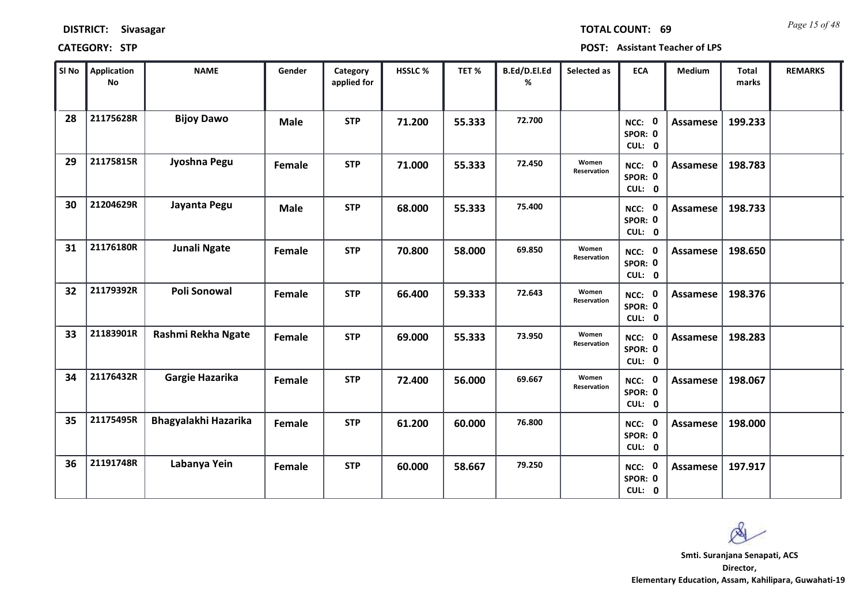| <b>DISTRICT:</b> | <b>Sivasagar</b> |
|------------------|------------------|
|------------------|------------------|

*Page 15 of 48* **TOTAL COUNT: 69**

| SI No | Application<br>No | <b>NAME</b>          | Gender      | Category<br>applied for | <b>HSSLC%</b> | TET%   | B.Ed/D.El.Ed<br>% | Selected as          | <b>ECA</b>                  | <b>Medium</b> | <b>Total</b><br>marks | <b>REMARKS</b> |
|-------|-------------------|----------------------|-------------|-------------------------|---------------|--------|-------------------|----------------------|-----------------------------|---------------|-----------------------|----------------|
| 28    | 21175628R         | <b>Bijoy Dawo</b>    | <b>Male</b> | <b>STP</b>              | 71.200        | 55.333 | 72.700            |                      | NCC: 0<br>SPOR: 0<br>CUL: 0 | Assamese      | 199.233               |                |
| 29    | 21175815R         | Jyoshna Pegu         | Female      | <b>STP</b>              | 71.000        | 55.333 | 72.450            | Women<br>Reservation | NCC: 0<br>SPOR: 0<br>CUL: 0 | Assamese      | 198.783               |                |
| 30    | 21204629R         | Jayanta Pegu         | <b>Male</b> | <b>STP</b>              | 68.000        | 55.333 | 75.400            |                      | NCC: 0<br>SPOR: 0<br>CUL: 0 | Assamese      | 198.733               |                |
| 31    | 21176180R         | <b>Junali Ngate</b>  | Female      | <b>STP</b>              | 70.800        | 58.000 | 69.850            | Women<br>Reservation | NCC: 0<br>SPOR: 0<br>CUL: 0 | Assamese      | 198.650               |                |
| 32    | 21179392R         | <b>Poli Sonowal</b>  | Female      | <b>STP</b>              | 66.400        | 59.333 | 72.643            | Women<br>Reservation | NCC: 0<br>SPOR: 0<br>CUL: 0 | Assamese      | 198.376               |                |
| 33    | 21183901R         | Rashmi Rekha Ngate   | Female      | <b>STP</b>              | 69.000        | 55.333 | 73.950            | Women<br>Reservation | NCC: 0<br>SPOR: 0<br>CUL: 0 | Assamese      | 198.283               |                |
| 34    | 21176432R         | Gargie Hazarika      | Female      | <b>STP</b>              | 72.400        | 56.000 | 69.667            | Women<br>Reservation | NCC: 0<br>SPOR: 0<br>CUL: 0 | Assamese      | 198.067               |                |
| 35    | 21175495R         | Bhagyalakhi Hazarika | Female      | <b>STP</b>              | 61.200        | 60.000 | 76.800            |                      | NCC: 0<br>SPOR: 0<br>CUL: 0 | Assamese      | 198.000               |                |
| 36    | 21191748R         | Labanya Yein         | Female      | <b>STP</b>              | 60.000        | 58.667 | 79.250            |                      | NCC: 0<br>SPOR: 0<br>CUL: 0 | Assamese      | 197.917               |                |

 $\infty$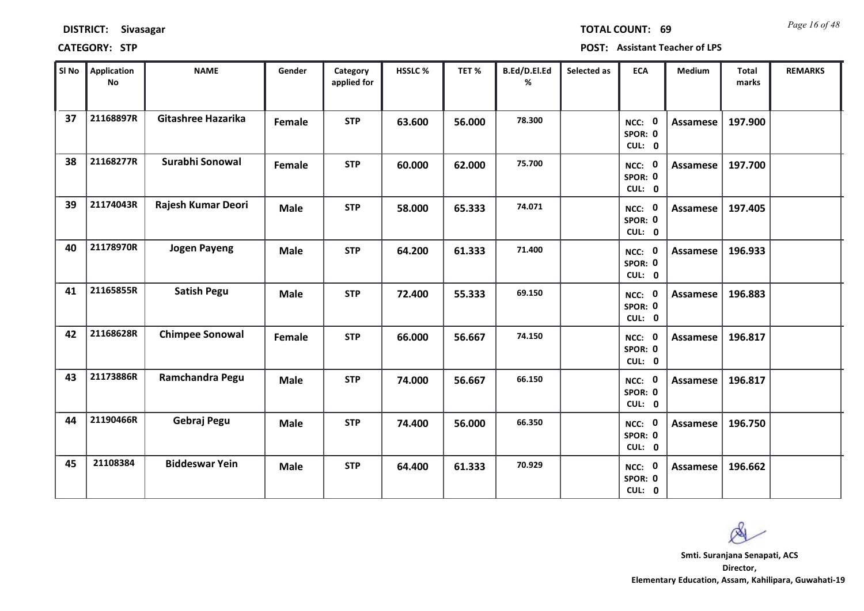| <b>DISTRICT:</b> | Sivasagar |
|------------------|-----------|
|------------------|-----------|

*Page 16 of 48* **TOTAL COUNT: 69**

| SI No | Application<br>$\mathsf{No}$ | <b>NAME</b>               | Gender      | Category<br>applied for | HSSLC % | TET %  | B.Ed/D.El.Ed<br>% | Selected as | <b>ECA</b>                  | Medium          | <b>Total</b><br>marks | <b>REMARKS</b> |
|-------|------------------------------|---------------------------|-------------|-------------------------|---------|--------|-------------------|-------------|-----------------------------|-----------------|-----------------------|----------------|
| 37    | 21168897R                    | <b>Gitashree Hazarika</b> | Female      | <b>STP</b>              | 63.600  | 56.000 | 78.300            |             | NCC: 0<br>SPOR: 0<br>CUL: 0 | <b>Assamese</b> | 197.900               |                |
| 38    | 21168277R                    | Surabhi Sonowal           | Female      | <b>STP</b>              | 60.000  | 62.000 | 75.700            |             | NCC: 0<br>SPOR: 0<br>CUL: 0 | Assamese        | 197.700               |                |
| 39    | 21174043R                    | Rajesh Kumar Deori        | <b>Male</b> | <b>STP</b>              | 58.000  | 65.333 | 74.071            |             | NCC: 0<br>SPOR: 0<br>CUL: 0 | Assamese        | 197.405               |                |
| 40    | 21178970R                    | <b>Jogen Payeng</b>       | <b>Male</b> | <b>STP</b>              | 64.200  | 61.333 | 71.400            |             | NCC: 0<br>SPOR: 0<br>CUL: 0 | Assamese        | 196.933               |                |
| 41    | 21165855R                    | <b>Satish Pegu</b>        | <b>Male</b> | <b>STP</b>              | 72.400  | 55.333 | 69.150            |             | NCC: 0<br>SPOR: 0<br>CUL: 0 | <b>Assamese</b> | 196.883               |                |
| 42    | 21168628R                    | <b>Chimpee Sonowal</b>    | Female      | <b>STP</b>              | 66.000  | 56.667 | 74.150            |             | NCC: 0<br>SPOR: 0<br>CUL: 0 | <b>Assamese</b> | 196.817               |                |
| 43    | 21173886R                    | Ramchandra Pegu           | <b>Male</b> | <b>STP</b>              | 74.000  | 56.667 | 66.150            |             | NCC: 0<br>SPOR: 0<br>CUL: 0 | <b>Assamese</b> | 196.817               |                |
| 44    | 21190466R                    | Gebraj Pegu               | <b>Male</b> | <b>STP</b>              | 74.400  | 56.000 | 66.350            |             | NCC: 0<br>SPOR: 0<br>CUL: 0 | Assamese        | 196.750               |                |
| 45    | 21108384                     | <b>Biddeswar Yein</b>     | <b>Male</b> | <b>STP</b>              | 64.400  | 61.333 | 70.929            |             | NCC: 0<br>SPOR: 0<br>CUL: 0 | Assamese        | 196.662               |                |

 $\infty$ **Smti. Suranjana Senapati, ACS**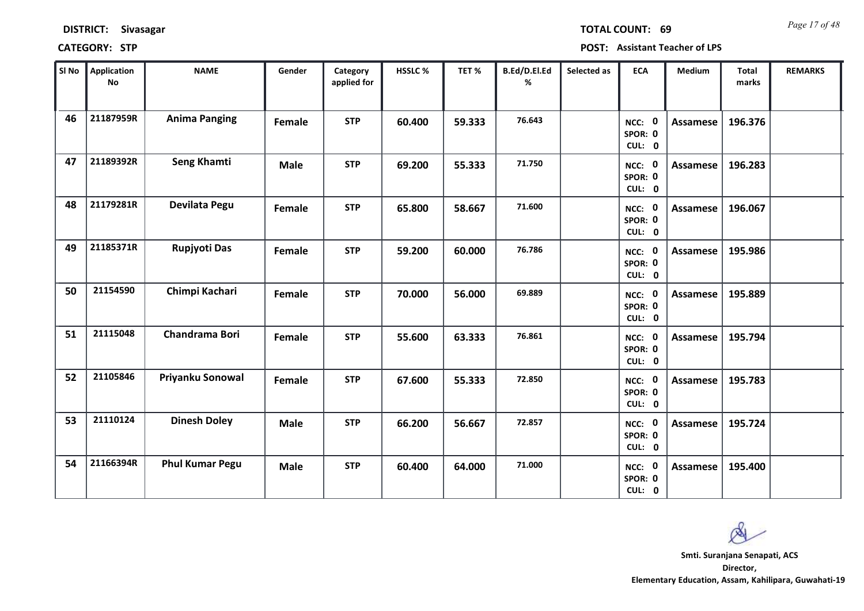| <b>DISTRICT:</b> | Sivasagar |
|------------------|-----------|
|------------------|-----------|

*Page 17 of 48* **TOTAL COUNT: 69**

| SI No | <b>Application</b><br>No | <b>NAME</b>            | Gender      | Category<br>applied for | HSSLC % | TET%   | B.Ed/D.El.Ed<br>% | Selected as | <b>ECA</b>                  | <b>Medium</b>   | <b>Total</b><br>marks | <b>REMARKS</b> |
|-------|--------------------------|------------------------|-------------|-------------------------|---------|--------|-------------------|-------------|-----------------------------|-----------------|-----------------------|----------------|
| 46    | 21187959R                | <b>Anima Panging</b>   | Female      | <b>STP</b>              | 60.400  | 59.333 | 76.643            |             | NCC: 0<br>SPOR: 0<br>CUL: 0 | <b>Assamese</b> | 196.376               |                |
| 47    | 21189392R                | Seng Khamti            | <b>Male</b> | <b>STP</b>              | 69.200  | 55.333 | 71.750            |             | NCC: 0<br>SPOR: 0<br>CUL: 0 | <b>Assamese</b> | 196.283               |                |
| 48    | 21179281R                | Devilata Pegu          | Female      | <b>STP</b>              | 65.800  | 58.667 | 71.600            |             | NCC: 0<br>SPOR: 0<br>CUL: 0 | <b>Assamese</b> | 196.067               |                |
| 49    | 21185371R                | Rupjyoti Das           | Female      | <b>STP</b>              | 59.200  | 60.000 | 76.786            |             | NCC: 0<br>SPOR: 0<br>CUL: 0 | Assamese        | 195.986               |                |
| 50    | 21154590                 | Chimpi Kachari         | Female      | <b>STP</b>              | 70.000  | 56.000 | 69.889            |             | NCC: 0<br>SPOR: 0<br>CUL: 0 | <b>Assamese</b> | 195.889               |                |
| 51    | 21115048                 | Chandrama Bori         | Female      | <b>STP</b>              | 55.600  | 63.333 | 76.861            |             | NCC: 0<br>SPOR: 0<br>CUL: 0 | <b>Assamese</b> | 195.794               |                |
| 52    | 21105846                 | Priyanku Sonowal       | Female      | <b>STP</b>              | 67.600  | 55.333 | 72.850            |             | NCC: 0<br>SPOR: 0<br>CUL: 0 | Assamese        | 195.783               |                |
| 53    | 21110124                 | <b>Dinesh Doley</b>    | <b>Male</b> | <b>STP</b>              | 66.200  | 56.667 | 72.857            |             | NCC: 0<br>SPOR: 0<br>CUL: 0 | <b>Assamese</b> | 195.724               |                |
| 54    | 21166394R                | <b>Phul Kumar Pegu</b> | <b>Male</b> | <b>STP</b>              | 60.400  | 64.000 | 71.000            |             | NCC: 0<br>SPOR: 0<br>CUL: 0 | Assamese        | 195.400               |                |

 $\infty$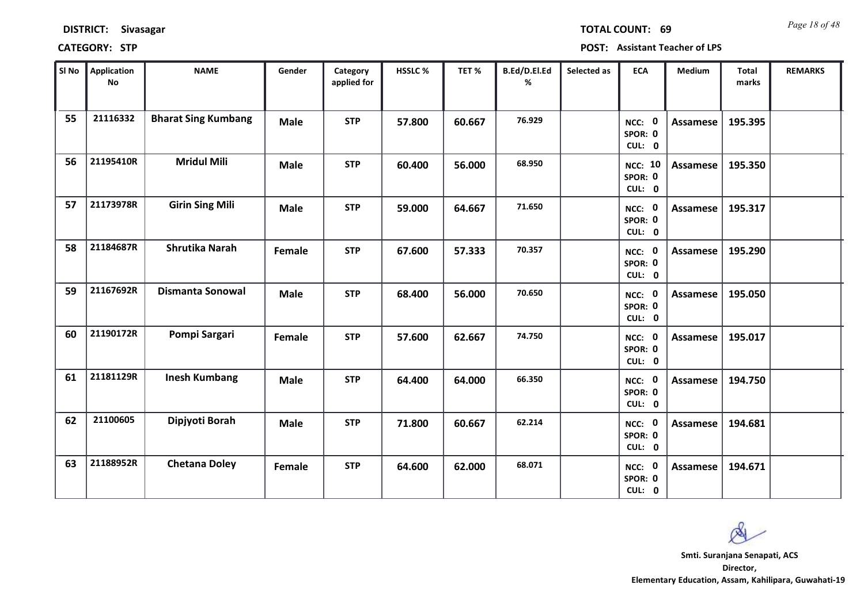*Page 18 of 48* **TOTAL COUNT: 69**

| SI No | <b>Application</b><br>No | <b>NAME</b>                | Gender      | Category<br>applied for | HSSLC % | TET%   | B.Ed/D.El.Ed<br>% | Selected as | <b>ECA</b>                          | <b>Medium</b>   | <b>Total</b><br>marks | <b>REMARKS</b> |
|-------|--------------------------|----------------------------|-------------|-------------------------|---------|--------|-------------------|-------------|-------------------------------------|-----------------|-----------------------|----------------|
| 55    | 21116332                 | <b>Bharat Sing Kumbang</b> | <b>Male</b> | <b>STP</b>              | 57.800  | 60.667 | 76.929            |             | NCC: 0<br>SPOR: 0<br>CUL: 0         | Assamese        | 195.395               |                |
| 56    | 21195410R                | <b>Mridul Mili</b>         | <b>Male</b> | <b>STP</b>              | 60.400  | 56.000 | 68.950            |             | <b>NCC: 10</b><br>SPOR: 0<br>CUL: 0 | Assamese        | 195.350               |                |
| 57    | 21173978R                | <b>Girin Sing Mili</b>     | <b>Male</b> | <b>STP</b>              | 59.000  | 64.667 | 71.650            |             | NCC: 0<br>SPOR: 0<br>CUL: 0         | Assamese        | 195.317               |                |
| 58    | 21184687R                | <b>Shrutika Narah</b>      | Female      | <b>STP</b>              | 67.600  | 57.333 | 70.357            |             | NCC: 0<br>SPOR: 0<br>CUL: 0         | <b>Assamese</b> | 195.290               |                |
| 59    | 21167692R                | <b>Dismanta Sonowal</b>    | <b>Male</b> | <b>STP</b>              | 68.400  | 56.000 | 70.650            |             | NCC: 0<br>SPOR: 0<br>CUL: 0         | Assamese        | 195.050               |                |
| 60    | 21190172R                | Pompi Sargari              | Female      | <b>STP</b>              | 57.600  | 62.667 | 74.750            |             | NCC: 0<br>SPOR: 0<br>CUL: 0         | Assamese        | 195.017               |                |
| 61    | 21181129R                | <b>Inesh Kumbang</b>       | <b>Male</b> | <b>STP</b>              | 64.400  | 64.000 | 66.350            |             | NCC: 0<br>SPOR: 0<br>CUL: 0         | <b>Assamese</b> | 194.750               |                |
| 62    | 21100605                 | Dipjyoti Borah             | <b>Male</b> | <b>STP</b>              | 71.800  | 60.667 | 62.214            |             | NCC: 0<br>SPOR: 0<br>CUL: 0         | <b>Assamese</b> | 194.681               |                |
| 63    | 21188952R                | <b>Chetana Doley</b>       | Female      | <b>STP</b>              | 64.600  | 62.000 | 68.071            |             | NCC: 0<br>SPOR: 0<br>CUL: 0         | Assamese        | 194.671               |                |

 $\infty$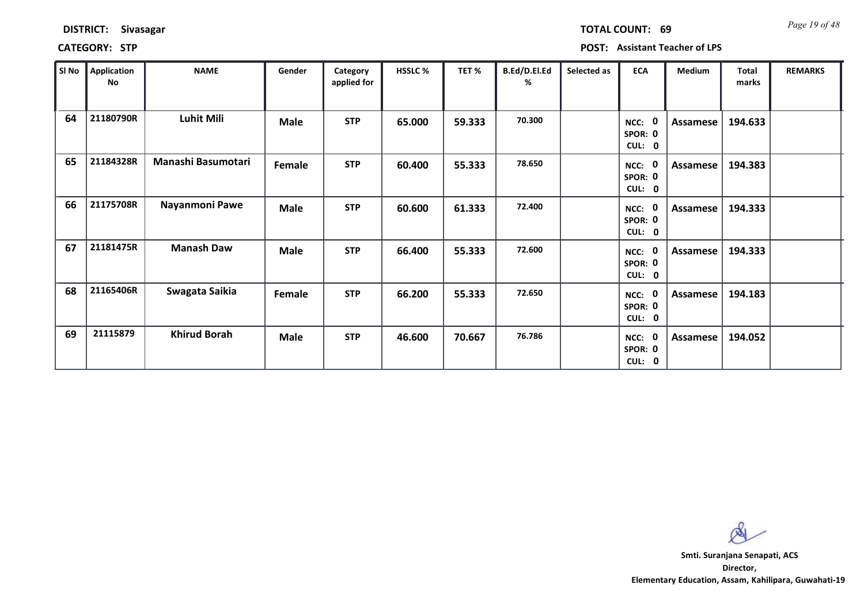| Sl No | Application<br>No | <b>NAME</b>         | Gender      | Category<br>applied for | <b>HSSLC %</b> | TET <sub>%</sub> | B.Ed/D.El.Ed<br>% | Selected as | <b>ECA</b>                       | <b>Medium</b> | <b>Total</b><br>marks | <b>REMARKS</b> |
|-------|-------------------|---------------------|-------------|-------------------------|----------------|------------------|-------------------|-------------|----------------------------------|---------------|-----------------------|----------------|
| 64    | 21180790R         | Luhit Mili          | <b>Male</b> | <b>STP</b>              | 65.000         | 59.333           | 70.300            |             | 0<br>NCC:<br>SPOR: 0<br>CUL: 0   | Assamese      | 194.633               |                |
| 65    | 21184328R         | Manashi Basumotari  | Female      | <b>STP</b>              | 60.400         | 55.333           | 78.650            |             | NCC: 0<br>SPOR: 0<br>CUL: 0      | Assamese      | 194.383               |                |
| 66    | 21175708R         | Nayanmoni Pawe      | Male        | <b>STP</b>              | 60.600         | 61.333           | 72.400            |             | 0<br>NCC:<br>SPOR: 0<br>CUL: 0   | Assamese      | 194.333               |                |
| 67    | 21181475R         | <b>Manash Daw</b>   | <b>Male</b> | <b>STP</b>              | 66.400         | 55.333           | 72.600            |             | - 0<br>NCC:<br>SPOR: 0<br>CUL: 0 | Assamese      | 194.333               |                |
| 68    | 21165406R         | Swagata Saikia      | Female      | <b>STP</b>              | 66.200         | 55.333           | 72.650            |             | - 0<br>NCC:<br>SPOR: 0<br>CUL: 0 | Assamese      | 194.183               |                |
| 69    | 21115879          | <b>Khirud Borah</b> | <b>Male</b> | <b>STP</b>              | 46.600         | 70.667           | 76.786            |             | - 0<br>NCC:<br>SPOR: 0<br>CUL: 0 | Assamese      | 194.052               |                |

**DISTRICT: Sivasagar**

### **CATEGORY: STP POST: Assistant Teacher of LPS**

*Page 19 of 48* **TOTAL COUNT: 69**

**Director, Elementary Education, Assam, Kahilipara, Guwahati-19 Smti. Suranjana Senapati, ACS**

 $\infty$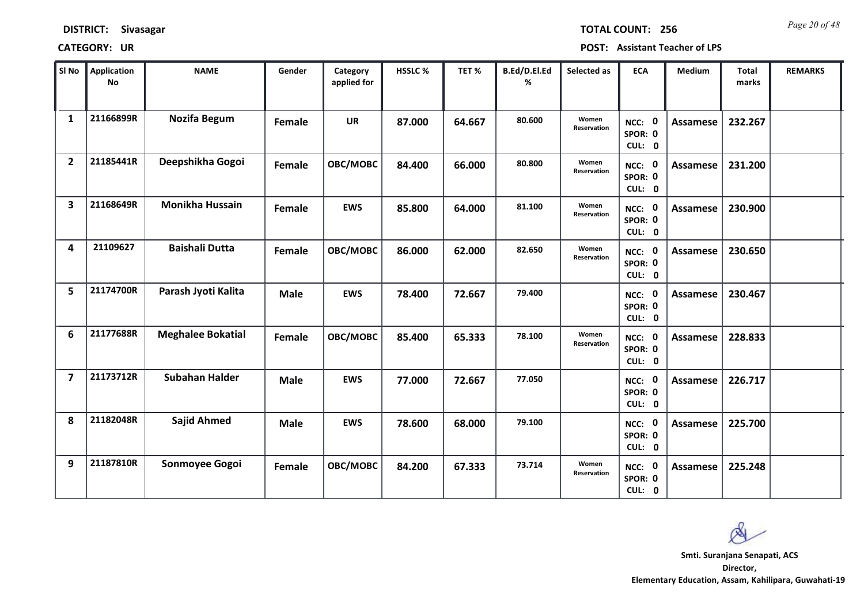*Page 20 of 48* **TOTAL COUNT: 256**

| SI No                   | <b>Application</b><br>No | <b>NAME</b>              | Gender      | Category<br>applied for | <b>HSSLC %</b> | TET %  | B.Ed/D.El.Ed<br>% | Selected as          | <b>ECA</b>                  | <b>Medium</b>   | <b>Total</b><br>marks | <b>REMARKS</b> |
|-------------------------|--------------------------|--------------------------|-------------|-------------------------|----------------|--------|-------------------|----------------------|-----------------------------|-----------------|-----------------------|----------------|
| $\mathbf{1}$            | 21166899R                | <b>Nozifa Begum</b>      | Female      | <b>UR</b>               | 87.000         | 64.667 | 80.600            | Women<br>Reservation | NCC: 0<br>SPOR: 0<br>CUL: 0 | <b>Assamese</b> | 232.267               |                |
| $\overline{2}$          | 21185441R                | Deepshikha Gogoi         | Female      | OBC/MOBC                | 84.400         | 66.000 | 80.800            | Women<br>Reservation | NCC: 0<br>SPOR: 0<br>CUL: 0 | Assamese        | 231.200               |                |
| $\overline{\mathbf{3}}$ | 21168649R                | <b>Monikha Hussain</b>   | Female      | <b>EWS</b>              | 85.800         | 64.000 | 81.100            | Women<br>Reservation | NCC: 0<br>SPOR: 0<br>CUL: 0 | Assamese        | 230.900               |                |
| 4                       | 21109627                 | <b>Baishali Dutta</b>    | Female      | OBC/MOBC                | 86.000         | 62.000 | 82.650            | Women<br>Reservation | NCC: 0<br>SPOR: 0<br>CUL: 0 | <b>Assamese</b> | 230.650               |                |
| 5                       | 21174700R                | Parash Jyoti Kalita      | <b>Male</b> | <b>EWS</b>              | 78.400         | 72.667 | 79.400            |                      | NCC: 0<br>SPOR: 0<br>CUL: 0 | Assamese        | 230.467               |                |
| 6                       | 21177688R                | <b>Meghalee Bokatial</b> | Female      | OBC/MOBC                | 85.400         | 65.333 | 78.100            | Women<br>Reservation | NCC: 0<br>SPOR: 0<br>CUL: 0 | Assamese        | 228.833               |                |
| $\overline{\mathbf{z}}$ | 21173712R                | <b>Subahan Halder</b>    | <b>Male</b> | <b>EWS</b>              | 77.000         | 72.667 | 77.050            |                      | NCC: 0<br>SPOR: 0<br>CUL: 0 | Assamese        | 226.717               |                |
| 8                       | 21182048R                | <b>Sajid Ahmed</b>       | <b>Male</b> | <b>EWS</b>              | 78.600         | 68.000 | 79.100            |                      | NCC: 0<br>SPOR: 0<br>CUL: 0 | <b>Assamese</b> | 225.700               |                |
| 9                       | 21187810R                | Sonmoyee Gogoi           | Female      | OBC/MOBC                | 84.200         | 67.333 | 73.714            | Women<br>Reservation | NCC: 0<br>SPOR: 0<br>CUL: 0 | Assamese        | 225.248               |                |

 $\infty$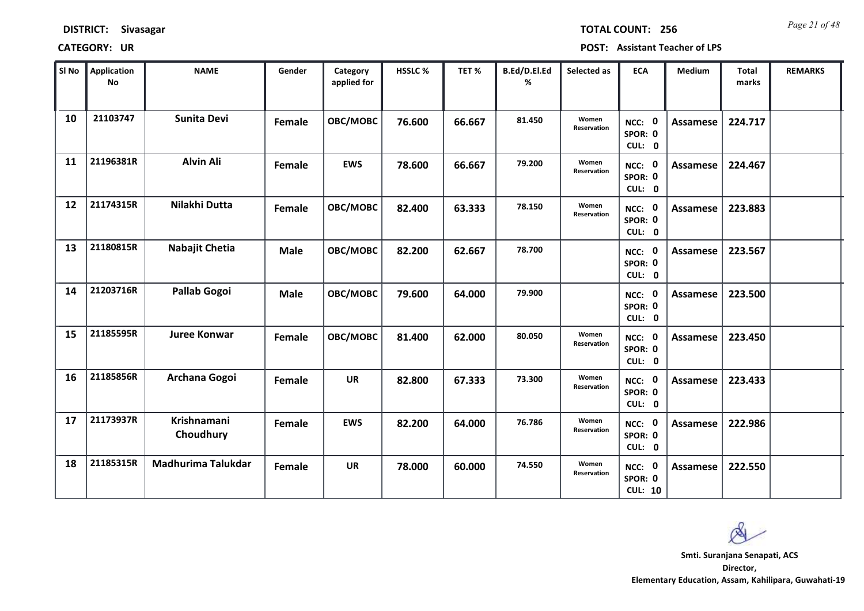| <b>DISTRICT:</b> | <b>Sivasagar</b> |
|------------------|------------------|
|------------------|------------------|

*Page 21 of 48* **TOTAL COUNT: 256**

| SI No | <b>Application</b><br>No | <b>NAME</b>                     | Gender      | Category<br>applied for | <b>HSSLC %</b> | TET %  | B.Ed/D.El.Ed<br>% | Selected as          | <b>ECA</b>                          | <b>Medium</b>   | <b>Total</b><br>marks | <b>REMARKS</b> |
|-------|--------------------------|---------------------------------|-------------|-------------------------|----------------|--------|-------------------|----------------------|-------------------------------------|-----------------|-----------------------|----------------|
| 10    | 21103747                 | <b>Sunita Devi</b>              | Female      | OBC/MOBC                | 76.600         | 66.667 | 81.450            | Women<br>Reservation | NCC: 0<br>SPOR: 0<br>CUL: 0         | Assamese        | 224.717               |                |
| 11    | 21196381R                | <b>Alvin Ali</b>                | Female      | <b>EWS</b>              | 78.600         | 66.667 | 79.200            | Women<br>Reservation | NCC: 0<br>SPOR: 0<br>CUL: 0         | <b>Assamese</b> | 224.467               |                |
| 12    | 21174315R                | Nilakhi Dutta                   | Female      | OBC/MOBC                | 82.400         | 63.333 | 78.150            | Women<br>Reservation | NCC: 0<br>SPOR: 0<br>CUL: 0         | <b>Assamese</b> | 223.883               |                |
| 13    | 21180815R                | Nabajit Chetia                  | <b>Male</b> | OBC/MOBC                | 82.200         | 62.667 | 78.700            |                      | NCC: 0<br>SPOR: 0<br>CUL: 0         | Assamese        | 223.567               |                |
| 14    | 21203716R                | <b>Pallab Gogoi</b>             | <b>Male</b> | OBC/MOBC                | 79.600         | 64.000 | 79.900            |                      | NCC: 0<br>SPOR: 0<br>CUL: 0         | <b>Assamese</b> | 223.500               |                |
| 15    | 21185595R                | <b>Juree Konwar</b>             | Female      | OBC/MOBC                | 81.400         | 62.000 | 80.050            | Women<br>Reservation | NCC: 0<br>SPOR: 0<br>CUL: 0         | Assamese        | 223.450               |                |
| 16    | 21185856R                | Archana Gogoi                   | Female      | <b>UR</b>               | 82.800         | 67.333 | 73.300            | Women<br>Reservation | NCC: 0<br>SPOR: 0<br>CUL: 0         | Assamese        | 223.433               |                |
| 17    | 21173937R                | <b>Krishnamani</b><br>Choudhury | Female      | <b>EWS</b>              | 82.200         | 64.000 | 76.786            | Women<br>Reservation | NCC: 0<br>SPOR: 0<br>CUL: 0         | <b>Assamese</b> | 222.986               |                |
| 18    | 21185315R                | Madhurima Talukdar              | Female      | <b>UR</b>               | 78.000         | 60.000 | 74.550            | Women<br>Reservation | NCC: 0<br>SPOR: 0<br><b>CUL: 10</b> | Assamese        | 222.550               |                |

 $\infty$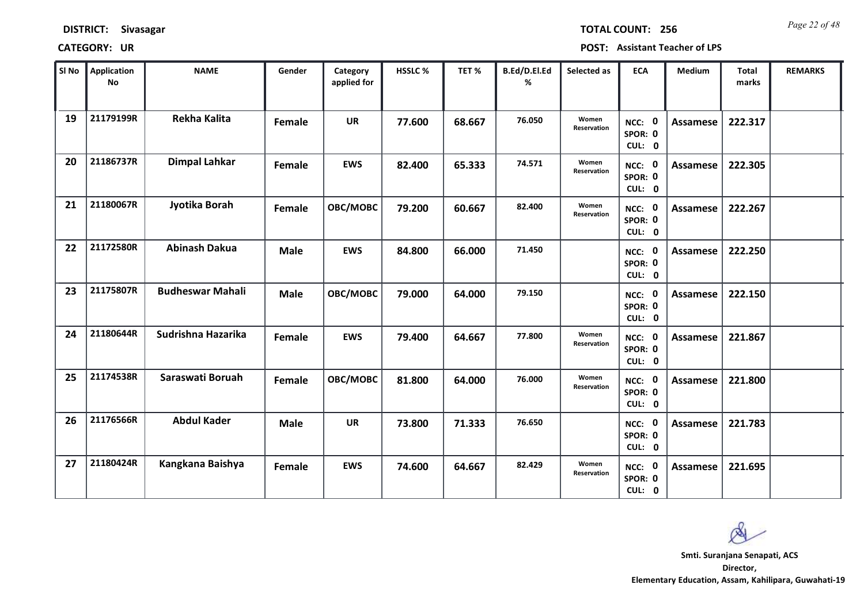| <b>DISTRICT:</b> | Sivasagar |
|------------------|-----------|
|------------------|-----------|

*Page 22 of 48* **TOTAL COUNT: 256**

| SI No | <b>Application</b><br>No | <b>NAME</b>             | Gender      | Category<br>applied for | <b>HSSLC %</b> | TET %  | B.Ed/D.El.Ed<br>% | Selected as          | <b>ECA</b>                  | <b>Medium</b>   | <b>Total</b><br>marks | <b>REMARKS</b> |
|-------|--------------------------|-------------------------|-------------|-------------------------|----------------|--------|-------------------|----------------------|-----------------------------|-----------------|-----------------------|----------------|
| 19    | 21179199R                | <b>Rekha Kalita</b>     | Female      | <b>UR</b>               | 77.600         | 68.667 | 76.050            | Women<br>Reservation | NCC: 0<br>SPOR: 0<br>CUL: 0 | <b>Assamese</b> | 222.317               |                |
| 20    | 21186737R                | <b>Dimpal Lahkar</b>    | Female      | <b>EWS</b>              | 82.400         | 65.333 | 74.571            | Women<br>Reservation | NCC: 0<br>SPOR: 0<br>CUL: 0 | Assamese        | 222.305               |                |
| 21    | 21180067R                | Jyotika Borah           | Female      | OBC/MOBC                | 79.200         | 60.667 | 82.400            | Women<br>Reservation | NCC: 0<br>SPOR: 0<br>CUL: 0 | Assamese        | 222.267               |                |
| 22    | 21172580R                | <b>Abinash Dakua</b>    | <b>Male</b> | <b>EWS</b>              | 84.800         | 66.000 | 71.450            |                      | NCC: 0<br>SPOR: 0<br>CUL: 0 | Assamese        | 222.250               |                |
| 23    | 21175807R                | <b>Budheswar Mahali</b> | <b>Male</b> | OBC/MOBC                | 79.000         | 64.000 | 79.150            |                      | NCC: 0<br>SPOR: 0<br>CUL: 0 | Assamese        | 222.150               |                |
| 24    | 21180644R                | Sudrishna Hazarika      | Female      | <b>EWS</b>              | 79.400         | 64.667 | 77.800            | Women<br>Reservation | NCC: 0<br>SPOR: 0<br>CUL: 0 | Assamese        | 221.867               |                |
| 25    | 21174538R                | Saraswati Boruah        | Female      | OBC/MOBC                | 81.800         | 64.000 | 76.000            | Women<br>Reservation | NCC: 0<br>SPOR: 0<br>CUL: 0 | Assamese        | 221.800               |                |
| 26    | 21176566R                | <b>Abdul Kader</b>      | <b>Male</b> | <b>UR</b>               | 73.800         | 71.333 | 76.650            |                      | NCC: 0<br>SPOR: 0<br>CUL: 0 | <b>Assamese</b> | 221.783               |                |
| 27    | 21180424R                | Kangkana Baishya        | Female      | <b>EWS</b>              | 74.600         | 64.667 | 82.429            | Women<br>Reservation | NCC: 0<br>SPOR: 0<br>CUL: 0 | Assamese        | 221.695               |                |

 $\infty$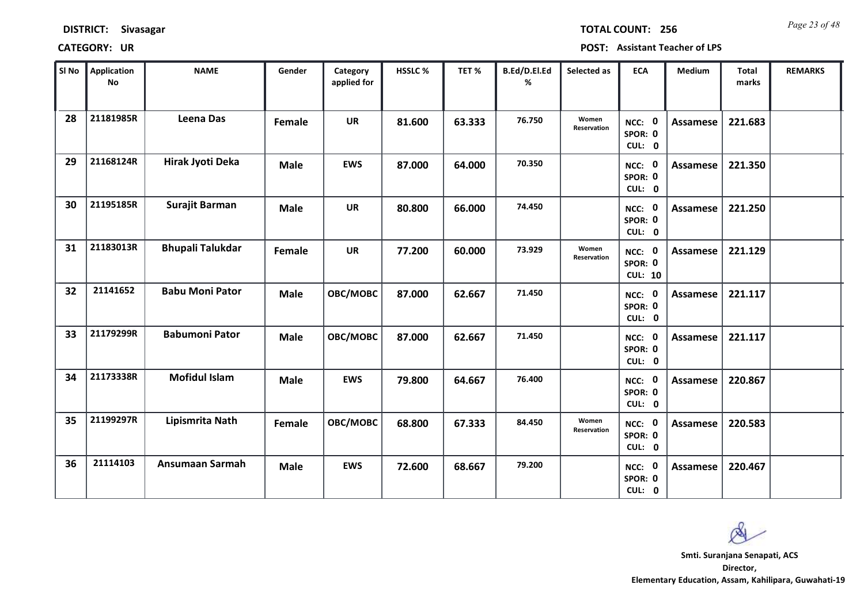*Page 23 of 48* **TOTAL COUNT: 256**

| SI No | <b>Application</b><br>No | <b>NAME</b>             | Gender      | Category<br>applied for | <b>HSSLC%</b> | TET %  | B.Ed/D.El.Ed<br>% | Selected as          | <b>ECA</b>                          | <b>Medium</b>   | <b>Total</b><br>marks | <b>REMARKS</b> |
|-------|--------------------------|-------------------------|-------------|-------------------------|---------------|--------|-------------------|----------------------|-------------------------------------|-----------------|-----------------------|----------------|
| 28    | 21181985R                | Leena Das               | Female      | <b>UR</b>               | 81.600        | 63.333 | 76.750            | Women<br>Reservation | NCC: 0<br>SPOR: 0<br>CUL: 0         | <b>Assamese</b> | 221.683               |                |
| 29    | 21168124R                | Hirak Jyoti Deka        | <b>Male</b> | <b>EWS</b>              | 87.000        | 64.000 | 70.350            |                      | NCC: 0<br>SPOR: 0<br>CUL: 0         | Assamese        | 221.350               |                |
| 30    | 21195185R                | Surajit Barman          | <b>Male</b> | <b>UR</b>               | 80.800        | 66.000 | 74.450            |                      | NCC: 0<br>SPOR: 0<br>CUL: 0         | Assamese        | 221.250               |                |
| 31    | 21183013R                | <b>Bhupali Talukdar</b> | Female      | <b>UR</b>               | 77.200        | 60.000 | 73.929            | Women<br>Reservation | NCC: 0<br>SPOR: 0<br><b>CUL: 10</b> | <b>Assamese</b> | 221.129               |                |
| 32    | 21141652                 | <b>Babu Moni Pator</b>  | <b>Male</b> | OBC/MOBC                | 87.000        | 62.667 | 71.450            |                      | NCC: 0<br>SPOR: 0<br>CUL: 0         | Assamese        | 221.117               |                |
| 33    | 21179299R                | <b>Babumoni Pator</b>   | <b>Male</b> | OBC/MOBC                | 87.000        | 62.667 | 71.450            |                      | NCC: 0<br>SPOR: 0<br>CUL: 0         | Assamese        | 221.117               |                |
| 34    | 21173338R                | <b>Mofidul Islam</b>    | <b>Male</b> | <b>EWS</b>              | 79.800        | 64.667 | 76.400            |                      | NCC: 0<br>SPOR: 0<br>CUL: 0         | <b>Assamese</b> | 220.867               |                |
| 35    | 21199297R                | Lipismrita Nath         | Female      | OBC/MOBC                | 68.800        | 67.333 | 84.450            | Women<br>Reservation | NCC: 0<br>SPOR: 0<br>CUL: 0         | <b>Assamese</b> | 220.583               |                |
| 36    | 21114103                 | Ansumaan Sarmah         | <b>Male</b> | <b>EWS</b>              | 72.600        | 68.667 | 79.200            |                      | NCC: 0<br>SPOR: 0<br>CUL: 0         | Assamese        | 220.467               |                |

 $\infty$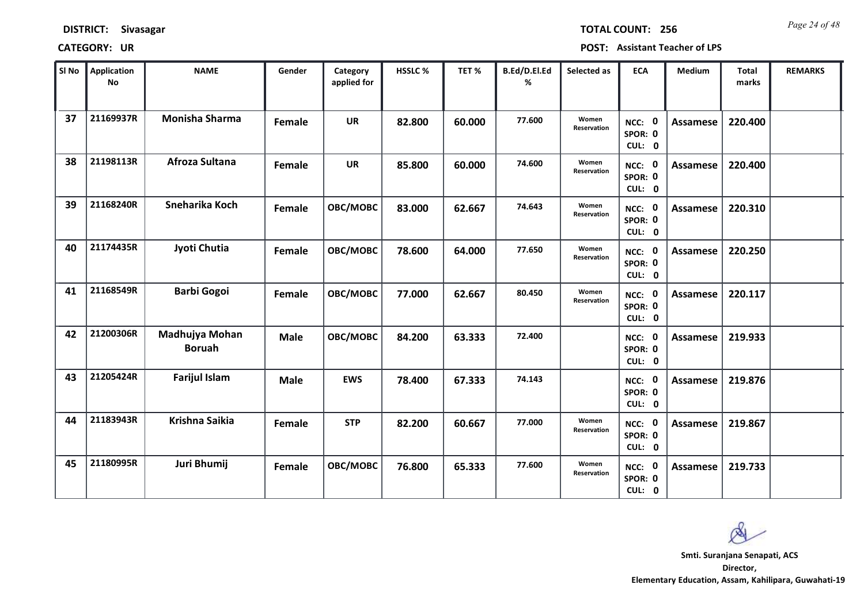*Page 24 of 48* **TOTAL COUNT: 256**

| SI No | <b>Application</b><br><b>No</b> | <b>NAME</b>                     | Gender      | Category<br>applied for | HSSLC% | TET %  | B.Ed/D.El.Ed<br>% | Selected as          | <b>ECA</b>                  | <b>Medium</b>   | <b>Total</b><br>marks | <b>REMARKS</b> |
|-------|---------------------------------|---------------------------------|-------------|-------------------------|--------|--------|-------------------|----------------------|-----------------------------|-----------------|-----------------------|----------------|
| 37    | 21169937R                       | <b>Monisha Sharma</b>           | Female      | <b>UR</b>               | 82.800 | 60.000 | 77.600            | Women<br>Reservation | NCC: 0<br>SPOR: 0<br>CUL: 0 | <b>Assamese</b> | 220.400               |                |
| 38    | 21198113R                       | Afroza Sultana                  | Female      | <b>UR</b>               | 85.800 | 60.000 | 74.600            | Women<br>Reservation | NCC: 0<br>SPOR: 0<br>CUL: 0 | Assamese        | 220.400               |                |
| 39    | 21168240R                       | Sneharika Koch                  | Female      | OBC/MOBC                | 83.000 | 62.667 | 74.643            | Women<br>Reservation | NCC: 0<br>SPOR: 0<br>CUL: 0 | <b>Assamese</b> | 220.310               |                |
| 40    | 21174435R                       | Jyoti Chutia                    | Female      | OBC/MOBC                | 78.600 | 64.000 | 77.650            | Women<br>Reservation | NCC: 0<br>SPOR: 0<br>CUL: 0 | <b>Assamese</b> | 220.250               |                |
| 41    | 21168549R                       | <b>Barbi Gogoi</b>              | Female      | OBC/MOBC                | 77.000 | 62.667 | 80.450            | Women<br>Reservation | NCC: 0<br>SPOR: 0<br>CUL: 0 | <b>Assamese</b> | 220.117               |                |
| 42    | 21200306R                       | Madhujya Mohan<br><b>Boruah</b> | <b>Male</b> | OBC/MOBC                | 84.200 | 63.333 | 72.400            |                      | NCC: 0<br>SPOR: 0<br>CUL: 0 | <b>Assamese</b> | 219.933               |                |
| 43    | 21205424R                       | <b>Farijul Islam</b>            | <b>Male</b> | <b>EWS</b>              | 78.400 | 67.333 | 74.143            |                      | NCC: 0<br>SPOR: 0<br>CUL: 0 | <b>Assamese</b> | 219.876               |                |
| 44    | 21183943R                       | Krishna Saikia                  | Female      | <b>STP</b>              | 82.200 | 60.667 | 77.000            | Women<br>Reservation | NCC: 0<br>SPOR: 0<br>CUL: 0 | <b>Assamese</b> | 219.867               |                |
| 45    | 21180995R                       | Juri Bhumij                     | Female      | OBC/MOBC                | 76.800 | 65.333 | 77.600            | Women<br>Reservation | NCC: 0<br>SPOR: 0<br>CUL: 0 | Assamese        | 219.733               |                |

Q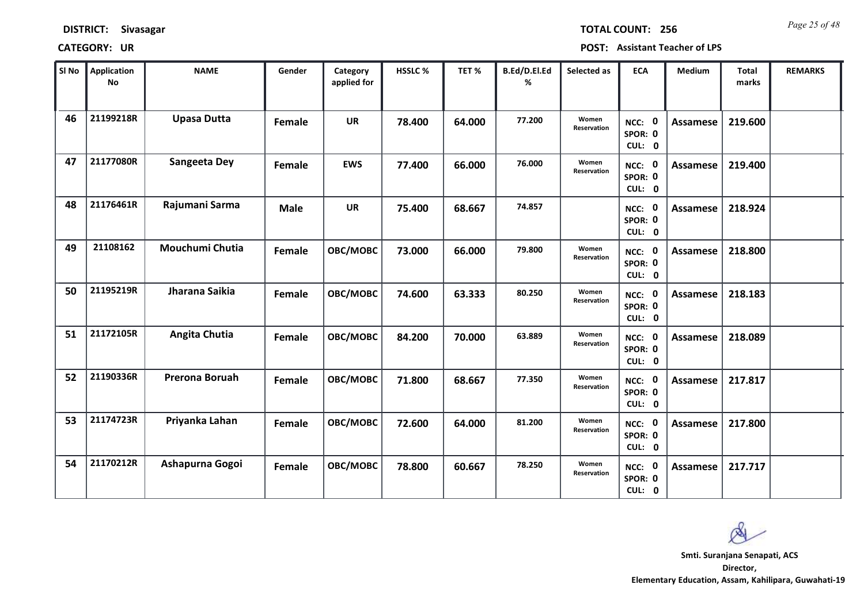| <b>DISTRICT:</b> | Sivasagar |
|------------------|-----------|
|------------------|-----------|

*Page 25 of 48* **TOTAL COUNT: 256**

| SI No | <b>Application</b><br>No | <b>NAME</b>        | Gender      | Category<br>applied for | <b>HSSLC %</b> | TET %  | B.Ed/D.El.Ed<br>% | Selected as          | <b>ECA</b>                  | <b>Medium</b>   | <b>Total</b><br>marks | <b>REMARKS</b> |
|-------|--------------------------|--------------------|-------------|-------------------------|----------------|--------|-------------------|----------------------|-----------------------------|-----------------|-----------------------|----------------|
| 46    | 21199218R                | <b>Upasa Dutta</b> | Female      | <b>UR</b>               | 78.400         | 64.000 | 77.200            | Women<br>Reservation | NCC: 0<br>SPOR: 0<br>CUL: 0 | <b>Assamese</b> | 219.600               |                |
| 47    | 21177080R                | Sangeeta Dey       | Female      | <b>EWS</b>              | 77.400         | 66.000 | 76.000            | Women<br>Reservation | NCC: 0<br>SPOR: 0<br>CUL: 0 | Assamese        | 219.400               |                |
| 48    | 21176461R                | Rajumani Sarma     | <b>Male</b> | <b>UR</b>               | 75.400         | 68.667 | 74.857            |                      | NCC: 0<br>SPOR: 0<br>CUL: 0 | <b>Assamese</b> | 218.924               |                |
| 49    | 21108162                 | Mouchumi Chutia    | Female      | OBC/MOBC                | 73.000         | 66.000 | 79.800            | Women<br>Reservation | NCC: 0<br>SPOR: 0<br>CUL: 0 | Assamese        | 218.800               |                |
| 50    | 21195219R                | Jharana Saikia     | Female      | OBC/MOBC                | 74.600         | 63.333 | 80.250            | Women<br>Reservation | NCC: 0<br>SPOR: 0<br>CUL: 0 | Assamese        | 218.183               |                |
| 51    | 21172105R                | Angita Chutia      | Female      | OBC/MOBC                | 84.200         | 70.000 | 63.889            | Women<br>Reservation | NCC: 0<br>SPOR: 0<br>CUL: 0 | <b>Assamese</b> | 218.089               |                |
| 52    | 21190336R                | Prerona Boruah     | Female      | OBC/MOBC                | 71.800         | 68.667 | 77.350            | Women<br>Reservation | NCC: 0<br>SPOR: 0<br>CUL: 0 | Assamese        | 217.817               |                |
| 53    | 21174723R                | Priyanka Lahan     | Female      | OBC/MOBC                | 72.600         | 64.000 | 81.200            | Women<br>Reservation | NCC: 0<br>SPOR: 0<br>CUL: 0 | <b>Assamese</b> | 217.800               |                |
| 54    | 21170212R                | Ashapurna Gogoi    | Female      | OBC/MOBC                | 78.800         | 60.667 | 78.250            | Women<br>Reservation | NCC: 0<br>SPOR: 0<br>CUL: 0 | Assamese        | 217.717               |                |

 $\infty$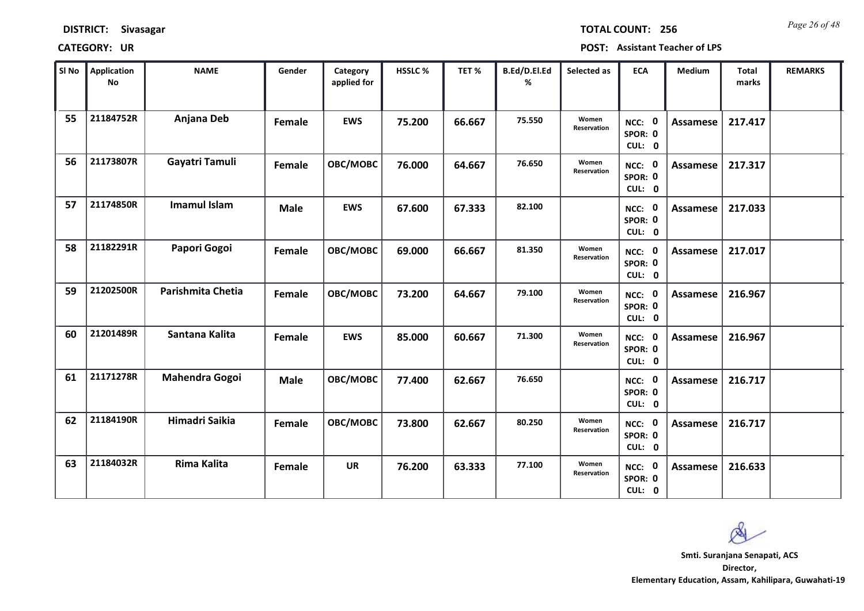| <b>DISTRICT:</b> | Sivasagar |
|------------------|-----------|
|------------------|-----------|

*Page 26 of 48* **TOTAL COUNT: 256**

| SI No | <b>Application</b><br>No | <b>NAME</b>           | Gender      | Category<br>applied for | <b>HSSLC %</b> | TET %  | B.Ed/D.El.Ed<br>% | Selected as          | <b>ECA</b>                  | <b>Medium</b>   | <b>Total</b><br>marks | <b>REMARKS</b> |
|-------|--------------------------|-----------------------|-------------|-------------------------|----------------|--------|-------------------|----------------------|-----------------------------|-----------------|-----------------------|----------------|
| 55    | 21184752R                | Anjana Deb            | Female      | <b>EWS</b>              | 75.200         | 66.667 | 75.550            | Women<br>Reservation | NCC: 0<br>SPOR: 0<br>CUL: 0 | <b>Assamese</b> | 217.417               |                |
| 56    | 21173807R                | Gayatri Tamuli        | Female      | OBC/MOBC                | 76.000         | 64.667 | 76.650            | Women<br>Reservation | NCC: 0<br>SPOR: 0<br>CUL: 0 | Assamese        | 217.317               |                |
| 57    | 21174850R                | <b>Imamul Islam</b>   | <b>Male</b> | <b>EWS</b>              | 67.600         | 67.333 | 82.100            |                      | NCC: 0<br>SPOR: 0<br>CUL: 0 | Assamese        | 217.033               |                |
| 58    | 21182291R                | Papori Gogoi          | Female      | OBC/MOBC                | 69.000         | 66.667 | 81.350            | Women<br>Reservation | NCC: 0<br>SPOR: 0<br>CUL: 0 | Assamese        | 217.017               |                |
| 59    | 21202500R                | Parishmita Chetia     | Female      | OBC/MOBC                | 73.200         | 64.667 | 79.100            | Women<br>Reservation | NCC: 0<br>SPOR: 0<br>CUL: 0 | <b>Assamese</b> | 216.967               |                |
| 60    | 21201489R                | Santana Kalita        | Female      | <b>EWS</b>              | 85.000         | 60.667 | 71.300            | Women<br>Reservation | NCC: 0<br>SPOR: 0<br>CUL: 0 | Assamese        | 216.967               |                |
| 61    | 21171278R                | <b>Mahendra Gogoi</b> | <b>Male</b> | OBC/MOBC                | 77.400         | 62.667 | 76.650            |                      | NCC: 0<br>SPOR: 0<br>CUL: 0 | Assamese        | 216.717               |                |
| 62    | 21184190R                | <b>Himadri Saikia</b> | Female      | OBC/MOBC                | 73.800         | 62.667 | 80.250            | Women<br>Reservation | NCC: 0<br>SPOR: 0<br>CUL: 0 | <b>Assamese</b> | 216.717               |                |
| 63    | 21184032R                | <b>Rima Kalita</b>    | Female      | <b>UR</b>               | 76.200         | 63.333 | 77.100            | Women<br>Reservation | NCC: 0<br>SPOR: 0<br>CUL: 0 | Assamese        | 216.633               |                |

 $\infty$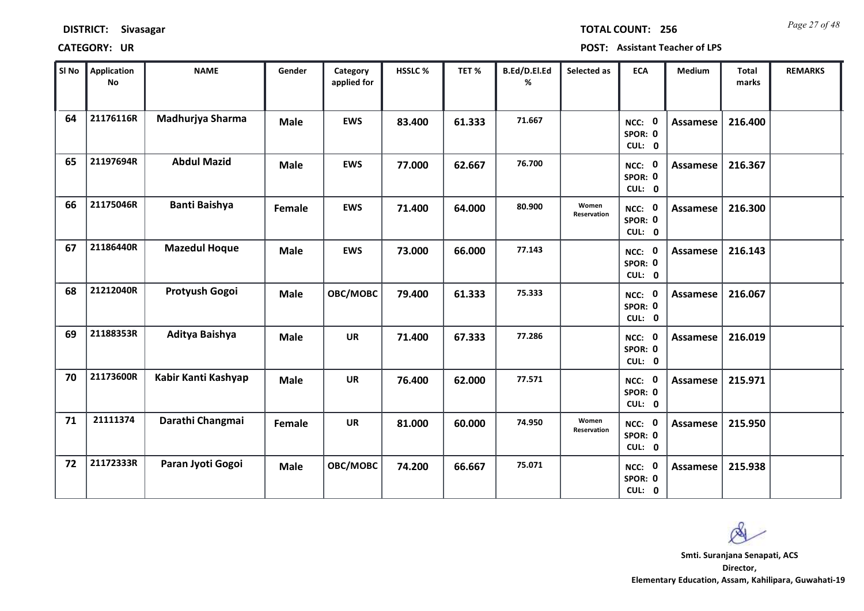| <b>DISTRICT:</b> | Sivasagar |
|------------------|-----------|
|------------------|-----------|

*Page 27 of 48* **TOTAL COUNT: 256**

| SI No | <b>Application</b><br>No | <b>NAME</b>          | Gender      | Category<br>applied for | HSSLC % | TET %  | B.Ed/D.El.Ed<br>% | Selected as          | <b>ECA</b>                  | <b>Medium</b>   | <b>Total</b><br>marks | <b>REMARKS</b> |
|-------|--------------------------|----------------------|-------------|-------------------------|---------|--------|-------------------|----------------------|-----------------------------|-----------------|-----------------------|----------------|
| 64    | 21176116R                | Madhurjya Sharma     | <b>Male</b> | <b>EWS</b>              | 83.400  | 61.333 | 71.667            |                      | NCC: 0<br>SPOR: 0<br>CUL: 0 | <b>Assamese</b> | 216.400               |                |
| 65    | 21197694R                | <b>Abdul Mazid</b>   | <b>Male</b> | <b>EWS</b>              | 77.000  | 62.667 | 76.700            |                      | NCC: 0<br>SPOR: 0<br>CUL: 0 | <b>Assamese</b> | 216.367               |                |
| 66    | 21175046R                | <b>Banti Baishya</b> | Female      | <b>EWS</b>              | 71.400  | 64.000 | 80.900            | Women<br>Reservation | NCC: 0<br>SPOR: 0<br>CUL: 0 | Assamese        | 216.300               |                |
| 67    | 21186440R                | <b>Mazedul Hoque</b> | <b>Male</b> | <b>EWS</b>              | 73.000  | 66.000 | 77.143            |                      | NCC: 0<br>SPOR: 0<br>CUL: 0 | <b>Assamese</b> | 216.143               |                |
| 68    | 21212040R                | Protyush Gogoi       | <b>Male</b> | OBC/MOBC                | 79.400  | 61.333 | 75.333            |                      | NCC: 0<br>SPOR: 0<br>CUL: 0 | Assamese        | 216.067               |                |
| 69    | 21188353R                | Aditya Baishya       | <b>Male</b> | <b>UR</b>               | 71.400  | 67.333 | 77.286            |                      | NCC: 0<br>SPOR: 0<br>CUL: 0 | <b>Assamese</b> | 216.019               |                |
| 70    | 21173600R                | Kabir Kanti Kashyap  | <b>Male</b> | <b>UR</b>               | 76.400  | 62.000 | 77.571            |                      | NCC: 0<br>SPOR: 0<br>CUL: 0 | Assamese        | 215.971               |                |
| 71    | 21111374                 | Darathi Changmai     | Female      | <b>UR</b>               | 81.000  | 60.000 | 74.950            | Women<br>Reservation | NCC: 0<br>SPOR: 0<br>CUL: 0 | Assamese        | 215.950               |                |
| 72    | 21172333R                | Paran Jyoti Gogoi    | <b>Male</b> | OBC/MOBC                | 74.200  | 66.667 | 75.071            |                      | NCC: 0<br>SPOR: 0<br>CUL: 0 | <b>Assamese</b> | 215.938               |                |

 $\infty$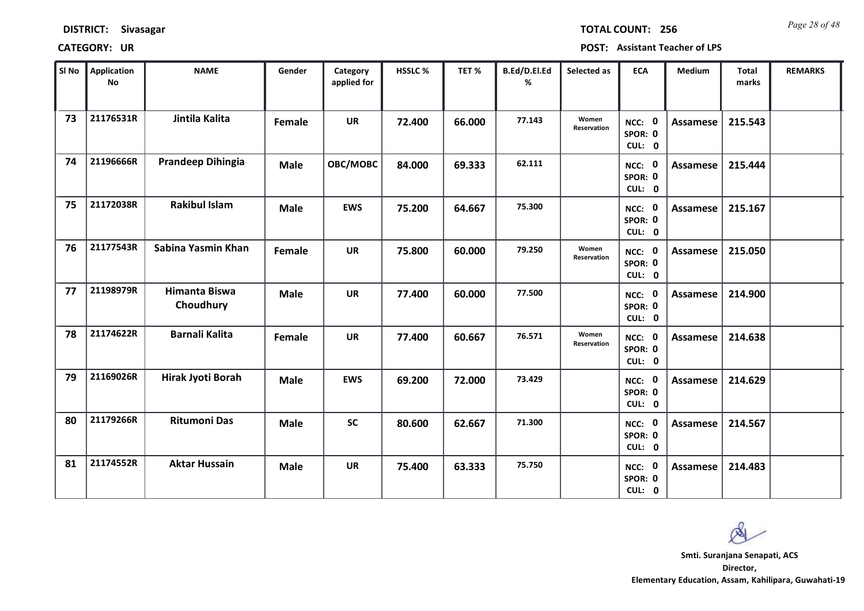| <b>DISTRICT:</b> | Sivasagar |
|------------------|-----------|
|------------------|-----------|

*Page 28 of 48* **TOTAL COUNT: 256**

| SI No | <b>Application</b><br>No | <b>NAME</b>                | Gender      | Category<br>applied for | <b>HSSLC %</b> | TET %  | B.Ed/D.El.Ed<br>% | Selected as          | <b>ECA</b>                     | <b>Medium</b>   | <b>Total</b><br>marks | <b>REMARKS</b> |
|-------|--------------------------|----------------------------|-------------|-------------------------|----------------|--------|-------------------|----------------------|--------------------------------|-----------------|-----------------------|----------------|
| 73    | 21176531R                | Jintila Kalita             | Female      | <b>UR</b>               | 72.400         | 66.000 | 77.143            | Women<br>Reservation | NCC: 0<br>SPOR: 0<br>CUL: 0    | <b>Assamese</b> | 215.543               |                |
| 74    | 21196666R                | <b>Prandeep Dihingia</b>   | <b>Male</b> | OBC/MOBC                | 84.000         | 69.333 | 62.111            |                      | NCC: 0<br>SPOR: 0<br>CUL: 0    | Assamese        | 215.444               |                |
| 75    | 21172038R                | <b>Rakibul Islam</b>       | <b>Male</b> | <b>EWS</b>              | 75.200         | 64.667 | 75.300            |                      | NCC: 0<br>SPOR: 0<br>CUL: 0    | Assamese        | 215.167               |                |
| 76    | 21177543R                | Sabina Yasmin Khan         | Female      | <b>UR</b>               | 75.800         | 60.000 | 79.250            | Women<br>Reservation | 0<br>NCC:<br>SPOR: 0<br>CUL: 0 | <b>Assamese</b> | 215.050               |                |
| 77    | 21198979R                | Himanta Biswa<br>Choudhury | <b>Male</b> | <b>UR</b>               | 77.400         | 60.000 | 77.500            |                      | NCC: 0<br>SPOR: 0<br>CUL: 0    | Assamese        | 214.900               |                |
| 78    | 21174622R                | <b>Barnali Kalita</b>      | Female      | <b>UR</b>               | 77.400         | 60.667 | 76.571            | Women<br>Reservation | NCC: 0<br>SPOR: 0<br>CUL: 0    | Assamese        | 214.638               |                |
| 79    | 21169026R                | Hirak Jyoti Borah          | <b>Male</b> | <b>EWS</b>              | 69.200         | 72.000 | 73.429            |                      | NCC: 0<br>SPOR: 0<br>CUL: 0    | Assamese        | 214.629               |                |
| 80    | 21179266R                | <b>Ritumoni Das</b>        | <b>Male</b> | <b>SC</b>               | 80.600         | 62.667 | 71.300            |                      | NCC: 0<br>SPOR: 0<br>CUL: 0    | <b>Assamese</b> | 214.567               |                |
| 81    | 21174552R                | <b>Aktar Hussain</b>       | <b>Male</b> | UR                      | 75.400         | 63.333 | 75.750            |                      | NCC: 0<br>SPOR: 0<br>CUL: 0    | Assamese        | 214.483               |                |

 $\infty$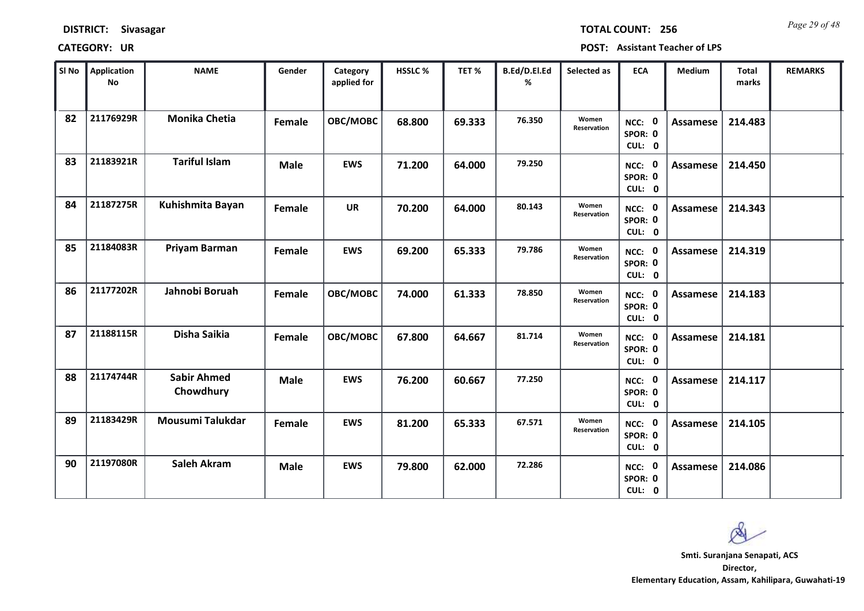*Page 29 of 48* **TOTAL COUNT: 256**

| SI No | <b>Application</b><br>No | <b>NAME</b>                     | Gender      | Category<br>applied for | <b>HSSLC %</b> | TET %  | B.Ed/D.El.Ed<br>% | Selected as          | <b>ECA</b>                  | <b>Medium</b>   | <b>Total</b><br>marks | <b>REMARKS</b> |
|-------|--------------------------|---------------------------------|-------------|-------------------------|----------------|--------|-------------------|----------------------|-----------------------------|-----------------|-----------------------|----------------|
| 82    | 21176929R                | <b>Monika Chetia</b>            | Female      | OBC/MOBC                | 68.800         | 69.333 | 76.350            | Women<br>Reservation | NCC: 0<br>SPOR: 0<br>CUL: 0 | Assamese        | 214.483               |                |
| 83    | 21183921R                | <b>Tariful Islam</b>            | <b>Male</b> | <b>EWS</b>              | 71.200         | 64.000 | 79.250            |                      | NCC: 0<br>SPOR: 0<br>CUL: 0 | <b>Assamese</b> | 214.450               |                |
| 84    | 21187275R                | Kuhishmita Bayan                | Female      | <b>UR</b>               | 70.200         | 64.000 | 80.143            | Women<br>Reservation | NCC: 0<br>SPOR: 0<br>CUL: 0 | <b>Assamese</b> | 214.343               |                |
| 85    | 21184083R                | Priyam Barman                   | Female      | <b>EWS</b>              | 69.200         | 65.333 | 79.786            | Women<br>Reservation | NCC: 0<br>SPOR: 0<br>CUL: 0 | Assamese        | 214.319               |                |
| 86    | 21177202R                | Jahnobi Boruah                  | Female      | OBC/MOBC                | 74.000         | 61.333 | 78.850            | Women<br>Reservation | NCC: 0<br>SPOR: 0<br>CUL: 0 | Assamese        | 214.183               |                |
| 87    | 21188115R                | Disha Saikia                    | Female      | OBC/MOBC                | 67.800         | 64.667 | 81.714            | Women<br>Reservation | NCC: 0<br>SPOR: 0<br>CUL: 0 | Assamese        | 214.181               |                |
| 88    | 21174744R                | <b>Sabir Ahmed</b><br>Chowdhury | <b>Male</b> | <b>EWS</b>              | 76.200         | 60.667 | 77.250            |                      | NCC: 0<br>SPOR: 0<br>CUL: 0 | Assamese        | 214.117               |                |
| 89    | 21183429R                | Mousumi Talukdar                | Female      | <b>EWS</b>              | 81.200         | 65.333 | 67.571            | Women<br>Reservation | NCC: 0<br>SPOR: 0<br>CUL: 0 | <b>Assamese</b> | 214.105               |                |
| 90    | 21197080R                | <b>Saleh Akram</b>              | <b>Male</b> | <b>EWS</b>              | 79.800         | 62.000 | 72.286            |                      | NCC: 0<br>SPOR: 0<br>CUL: 0 | Assamese        | 214.086               |                |

 $\infty$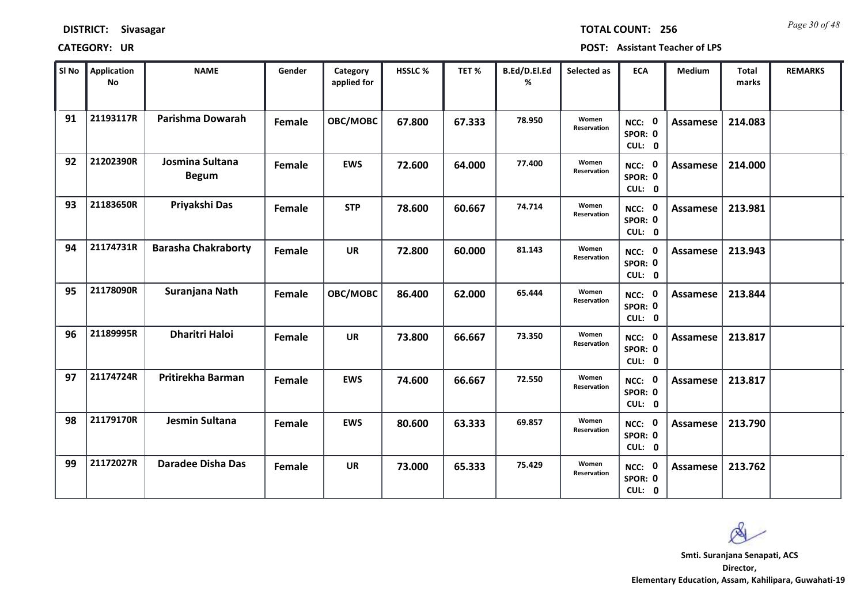| <b>DISTRICT:</b> | Sivasagar |
|------------------|-----------|
|------------------|-----------|

*Page 30 of 48* **TOTAL COUNT: 256**

| SI No | <b>Application</b><br>No | <b>NAME</b>                     | Gender | Category<br>applied for | <b>HSSLC %</b> | TET <sub>%</sub> | B.Ed/D.El.Ed<br>% | Selected as          | <b>ECA</b>                               | <b>Medium</b>   | <b>Total</b><br>marks | <b>REMARKS</b> |
|-------|--------------------------|---------------------------------|--------|-------------------------|----------------|------------------|-------------------|----------------------|------------------------------------------|-----------------|-----------------------|----------------|
| 91    | 21193117R                | Parishma Dowarah                | Female | OBC/MOBC                | 67.800         | 67.333           | 78.950            | Women<br>Reservation | NCC: 0<br>SPOR: 0<br>CUL: 0              | <b>Assamese</b> | 214.083               |                |
| 92    | 21202390R                | Josmina Sultana<br><b>Begum</b> | Female | <b>EWS</b>              | 72.600         | 64.000           | 77.400            | Women<br>Reservation | NCC: 0<br>SPOR: 0<br>CUL: 0              | Assamese        | 214.000               |                |
| 93    | 21183650R                | Priyakshi Das                   | Female | <b>STP</b>              | 78.600         | 60.667           | 74.714            | Women<br>Reservation | NCC: 0<br>SPOR: 0<br>CUL: 0              | Assamese        | 213.981               |                |
| 94    | 21174731R                | <b>Barasha Chakraborty</b>      | Female | UR                      | 72.800         | 60.000           | 81.143            | Women<br>Reservation | $\mathbf 0$<br>NCC:<br>SPOR: 0<br>CUL: 0 | Assamese        | 213.943               |                |
| 95    | 21178090R                | Suranjana Nath                  | Female | OBC/MOBC                | 86.400         | 62.000           | 65.444            | Women<br>Reservation | NCC: 0<br>SPOR: 0<br>CUL: 0              | Assamese        | 213.844               |                |
| 96    | 21189995R                | <b>Dharitri Haloi</b>           | Female | <b>UR</b>               | 73.800         | 66.667           | 73.350            | Women<br>Reservation | NCC: 0<br>SPOR: 0<br>CUL: 0              | Assamese        | 213.817               |                |
| 97    | 21174724R                | Pritirekha Barman               | Female | <b>EWS</b>              | 74.600         | 66.667           | 72.550            | Women<br>Reservation | NCC: 0<br>SPOR: 0<br>CUL: 0              | Assamese        | 213.817               |                |
| 98    | 21179170R                | Jesmin Sultana                  | Female | <b>EWS</b>              | 80.600         | 63.333           | 69.857            | Women<br>Reservation | NCC: 0<br>SPOR: 0<br>CUL: 0              | <b>Assamese</b> | 213.790               |                |
| 99    | 21172027R                | <b>Daradee Disha Das</b>        | Female | UR                      | 73.000         | 65.333           | 75.429            | Women<br>Reservation | NCC: 0<br>SPOR: 0<br>CUL: 0              | Assamese        | 213.762               |                |

 $\infty$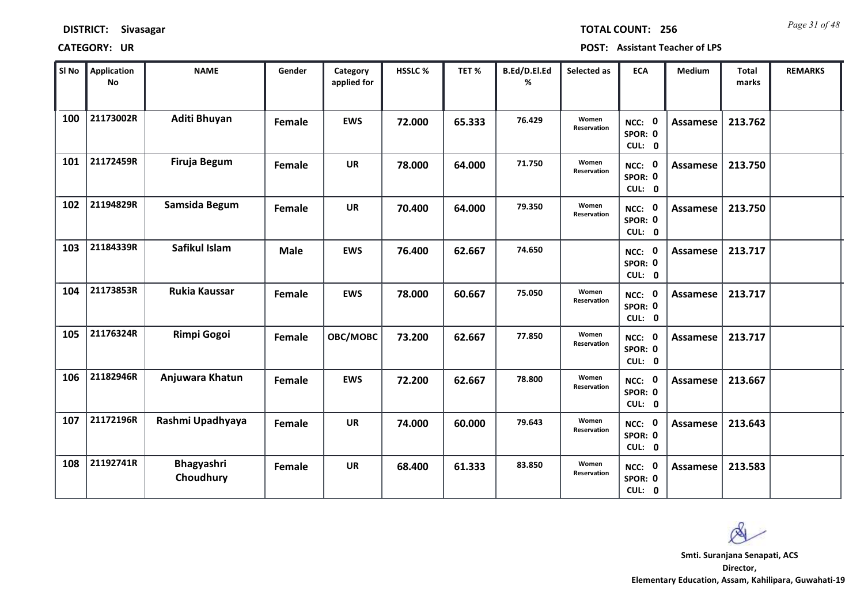*Page 31 of 48* **TOTAL COUNT: 256**

| SI No | <b>Application</b><br>No | <b>NAME</b>             | Gender      | Category<br>applied for | HSSLC % | TET %  | B.Ed/D.El.Ed<br>% | Selected as          | <b>ECA</b>                     | <b>Medium</b>   | <b>Total</b><br>marks | <b>REMARKS</b> |
|-------|--------------------------|-------------------------|-------------|-------------------------|---------|--------|-------------------|----------------------|--------------------------------|-----------------|-----------------------|----------------|
| 100   | 21173002R                | Aditi Bhuyan            | Female      | <b>EWS</b>              | 72.000  | 65.333 | 76.429            | Women<br>Reservation | NCC: 0<br>SPOR: 0<br>CUL: 0    | <b>Assamese</b> | 213.762               |                |
| 101   | 21172459R                | Firuja Begum            | Female      | <b>UR</b>               | 78.000  | 64.000 | 71.750            | Women<br>Reservation | NCC: 0<br>SPOR: 0<br>CUL: 0    | Assamese        | 213.750               |                |
| 102   | 21194829R                | Samsida Begum           | Female      | <b>UR</b>               | 70.400  | 64.000 | 79.350            | Women<br>Reservation | NCC: 0<br>SPOR: 0<br>CUL: 0    | Assamese        | 213.750               |                |
| 103   | 21184339R                | Safikul Islam           | <b>Male</b> | <b>EWS</b>              | 76.400  | 62.667 | 74.650            |                      | 0<br>NCC:<br>SPOR: 0<br>CUL: 0 | Assamese        | 213.717               |                |
| 104   | 21173853R                | <b>Rukia Kaussar</b>    | Female      | <b>EWS</b>              | 78.000  | 60.667 | 75.050            | Women<br>Reservation | NCC: 0<br>SPOR: 0<br>CUL: 0    | <b>Assamese</b> | 213.717               |                |
| 105   | 21176324R                | <b>Rimpi Gogoi</b>      | Female      | OBC/MOBC                | 73.200  | 62.667 | 77.850            | Women<br>Reservation | NCC: 0<br>SPOR: 0<br>CUL: 0    | Assamese        | 213.717               |                |
| 106   | 21182946R                | Anjuwara Khatun         | Female      | <b>EWS</b>              | 72.200  | 62.667 | 78.800            | Women<br>Reservation | NCC: 0<br>SPOR: 0<br>CUL: 0    | Assamese        | 213.667               |                |
| 107   | 21172196R                | Rashmi Upadhyaya        | Female      | <b>UR</b>               | 74.000  | 60.000 | 79.643            | Women<br>Reservation | NCC: 0<br>SPOR: 0<br>CUL: 0    | <b>Assamese</b> | 213.643               |                |
| 108   | 21192741R                | Bhagyashri<br>Choudhury | Female      | <b>UR</b>               | 68.400  | 61.333 | 83.850            | Women<br>Reservation | NCC: 0<br>SPOR: 0<br>CUL: 0    | Assamese        | 213.583               |                |

 $\infty$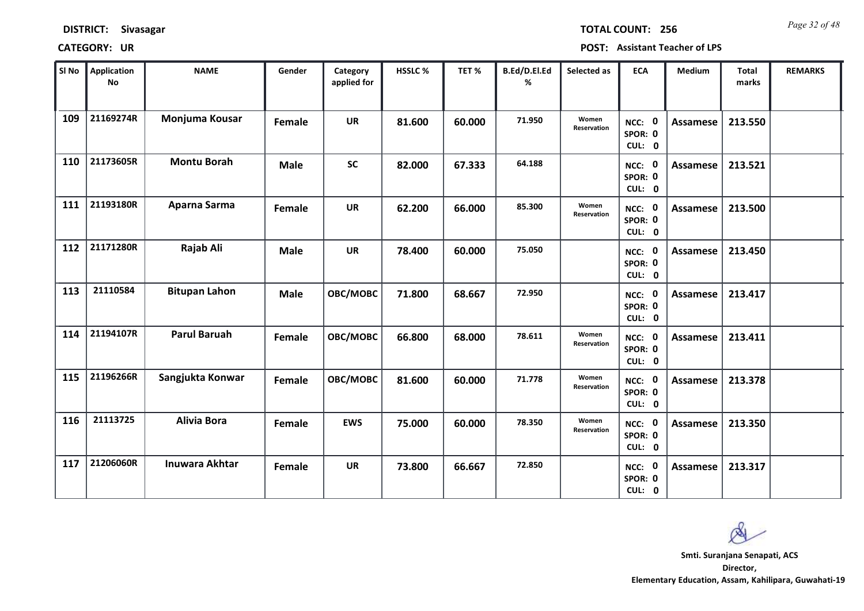*Page 32 of 48* **TOTAL COUNT: 256**

| SI No | Application<br>No | <b>NAME</b>           | Gender      | Category<br>applied for | HSSLC % | TET %  | B.Ed/D.El.Ed<br>% | Selected as          | <b>ECA</b>                  | <b>Medium</b>   | <b>Total</b><br>marks | <b>REMARKS</b> |
|-------|-------------------|-----------------------|-------------|-------------------------|---------|--------|-------------------|----------------------|-----------------------------|-----------------|-----------------------|----------------|
| 109   | 21169274R         | Monjuma Kousar        | Female      | <b>UR</b>               | 81.600  | 60.000 | 71.950            | Women<br>Reservation | NCC: 0<br>SPOR: 0<br>CUL: 0 | <b>Assamese</b> | 213.550               |                |
| 110   | 21173605R         | <b>Montu Borah</b>    | <b>Male</b> | <b>SC</b>               | 82.000  | 67.333 | 64.188            |                      | NCC: 0<br>SPOR: 0<br>CUL: 0 | Assamese        | 213.521               |                |
| 111   | 21193180R         | Aparna Sarma          | Female      | <b>UR</b>               | 62.200  | 66.000 | 85.300            | Women<br>Reservation | NCC: 0<br>SPOR: 0<br>CUL: 0 | <b>Assamese</b> | 213.500               |                |
| 112   | 21171280R         | Rajab Ali             | <b>Male</b> | <b>UR</b>               | 78.400  | 60.000 | 75.050            |                      | NCC: 0<br>SPOR: 0<br>CUL: 0 | <b>Assamese</b> | 213.450               |                |
| 113   | 21110584          | <b>Bitupan Lahon</b>  | <b>Male</b> | OBC/MOBC                | 71.800  | 68.667 | 72.950            |                      | NCC: 0<br>SPOR: 0<br>CUL: 0 | Assamese        | 213.417               |                |
| 114   | 21194107R         | <b>Parul Baruah</b>   | Female      | OBC/MOBC                | 66.800  | 68.000 | 78.611            | Women<br>Reservation | NCC: 0<br>SPOR: 0<br>CUL: 0 | Assamese        | 213.411               |                |
| 115   | 21196266R         | Sangjukta Konwar      | Female      | <b>OBC/MOBC</b>         | 81.600  | 60.000 | 71.778            | Women<br>Reservation | NCC: 0<br>SPOR: 0<br>CUL: 0 | Assamese        | 213.378               |                |
| 116   | 21113725          | <b>Alivia Bora</b>    | Female      | <b>EWS</b>              | 75.000  | 60.000 | 78.350            | Women<br>Reservation | NCC: 0<br>SPOR: 0<br>CUL: 0 | <b>Assamese</b> | 213.350               |                |
| 117   | 21206060R         | <b>Inuwara Akhtar</b> | Female      | <b>UR</b>               | 73.800  | 66.667 | 72.850            |                      | NCC: 0<br>SPOR: 0<br>CUL: 0 | Assamese        | 213.317               |                |

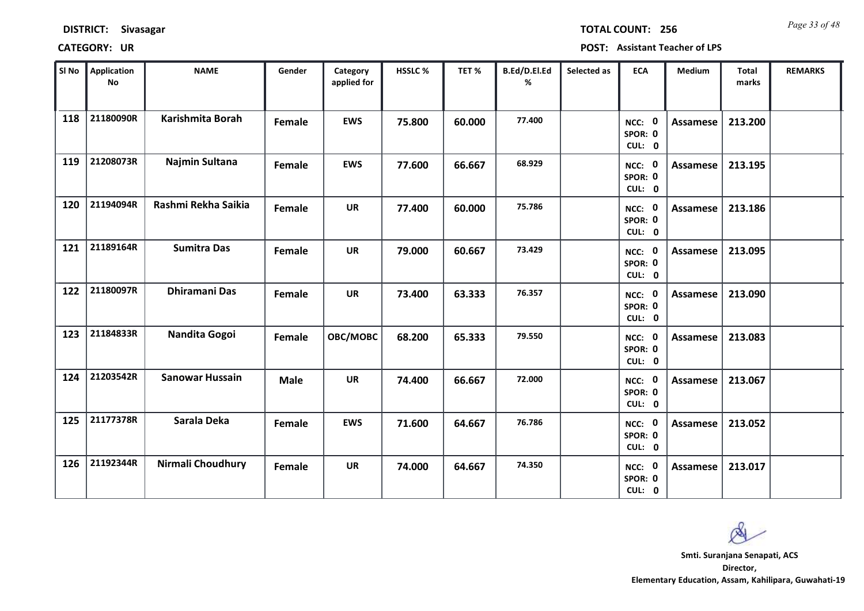*Page 33 of 48* **TOTAL COUNT: 256**

| SI No | <b>Application</b><br>No | <b>NAME</b>            | Gender      | Category<br>applied for | HSSLC % | TET%   | B.Ed/D.El.Ed<br>% | Selected as | <b>ECA</b>                  | <b>Medium</b>   | <b>Total</b><br>marks | <b>REMARKS</b> |
|-------|--------------------------|------------------------|-------------|-------------------------|---------|--------|-------------------|-------------|-----------------------------|-----------------|-----------------------|----------------|
| 118   | 21180090R                | Karishmita Borah       | Female      | <b>EWS</b>              | 75.800  | 60.000 | 77,400            |             | NCC: 0<br>SPOR: 0<br>CUL: 0 | <b>Assamese</b> | 213.200               |                |
| 119   | 21208073R                | Najmin Sultana         | Female      | <b>EWS</b>              | 77.600  | 66.667 | 68.929            |             | NCC: 0<br>SPOR: 0<br>CUL: 0 | Assamese        | 213.195               |                |
| 120   | 21194094R                | Rashmi Rekha Saikia    | Female      | <b>UR</b>               | 77.400  | 60.000 | 75.786            |             | NCC: 0<br>SPOR: 0<br>CUL: 0 | Assamese        | 213.186               |                |
| 121   | 21189164R                | <b>Sumitra Das</b>     | Female      | <b>UR</b>               | 79.000  | 60.667 | 73.429            |             | NCC: 0<br>SPOR: 0<br>CUL: 0 | Assamese        | 213.095               |                |
| 122   | 21180097R                | <b>Dhiramani Das</b>   | Female      | <b>UR</b>               | 73.400  | 63.333 | 76.357            |             | NCC: 0<br>SPOR: 0<br>CUL: 0 | Assamese        | 213.090               |                |
| 123   | 21184833R                | Nandita Gogoi          | Female      | OBC/MOBC                | 68.200  | 65.333 | 79.550            |             | NCC: 0<br>SPOR: 0<br>CUL: 0 | Assamese        | 213.083               |                |
| 124   | 21203542R                | <b>Sanowar Hussain</b> | <b>Male</b> | <b>UR</b>               | 74.400  | 66.667 | 72.000            |             | NCC: 0<br>SPOR: 0<br>CUL: 0 | Assamese        | 213.067               |                |
| 125   | 21177378R                | Sarala Deka            | Female      | <b>EWS</b>              | 71.600  | 64.667 | 76.786            |             | NCC: 0<br>SPOR: 0<br>CUL: 0 | <b>Assamese</b> | 213.052               |                |
| 126   | 21192344R                | Nirmali Choudhury      | Female      | <b>UR</b>               | 74.000  | 64.667 | 74.350            |             | NCC: 0<br>SPOR: 0<br>CUL: 0 | Assamese        | 213.017               |                |

 $\infty$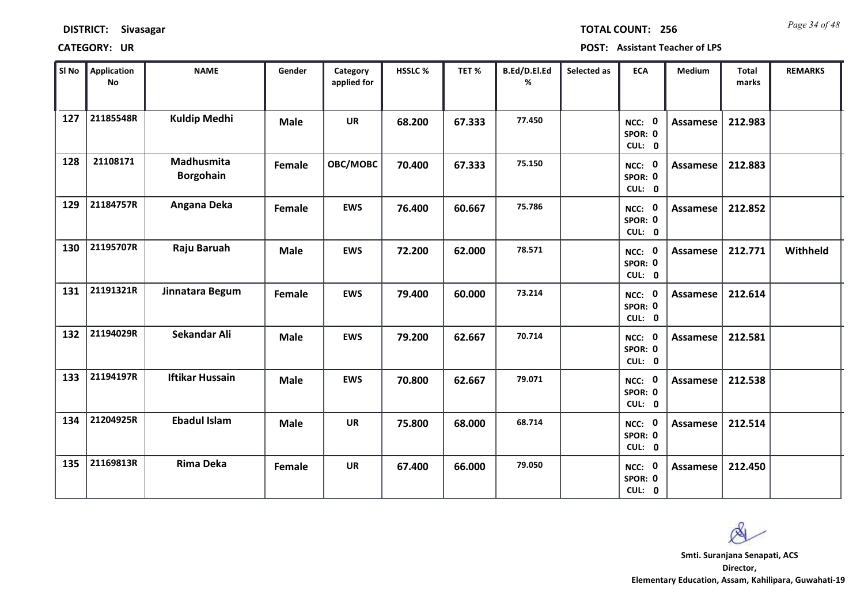| <b>DISTRICT:</b> | <b>Sivasagar</b> |
|------------------|------------------|
|------------------|------------------|

*Page 34 of 48* **TOTAL COUNT: 256**

| SI No | Application<br>No | <b>NAME</b>                    | Gender      | Category<br>applied for | HSSLC % | TET %  | B.Ed/D.El.Ed<br>% | Selected as | <b>ECA</b>                  | <b>Medium</b>   | <b>Total</b><br>marks | <b>REMARKS</b> |
|-------|-------------------|--------------------------------|-------------|-------------------------|---------|--------|-------------------|-------------|-----------------------------|-----------------|-----------------------|----------------|
| 127   | 21185548R         | <b>Kuldip Medhi</b>            | <b>Male</b> | <b>UR</b>               | 68.200  | 67.333 | 77.450            |             | NCC: 0<br>SPOR: 0<br>CUL: 0 | <b>Assamese</b> | 212.983               |                |
| 128   | 21108171          | Madhusmita<br><b>Borgohain</b> | Female      | OBC/MOBC                | 70.400  | 67.333 | 75.150            |             | NCC: 0<br>SPOR: 0<br>CUL: 0 | Assamese        | 212.883               |                |
| 129   | 21184757R         | Angana Deka                    | Female      | <b>EWS</b>              | 76.400  | 60.667 | 75.786            |             | NCC: 0<br>SPOR: 0<br>CUL: 0 | Assamese        | 212.852               |                |
| 130   | 21195707R         | Raju Baruah                    | <b>Male</b> | <b>EWS</b>              | 72.200  | 62.000 | 78.571            |             | NCC: 0<br>SPOR: 0<br>CUL: 0 | Assamese        | 212.771               | Withheld       |
| 131   | 21191321R         | Jinnatara Begum                | Female      | <b>EWS</b>              | 79.400  | 60.000 | 73.214            |             | NCC: 0<br>SPOR: 0<br>CUL: 0 | Assamese        | 212.614               |                |
| 132   | 21194029R         | Sekandar Ali                   | <b>Male</b> | <b>EWS</b>              | 79.200  | 62.667 | 70.714            |             | NCC: 0<br>SPOR: 0<br>CUL: 0 | <b>Assamese</b> | 212.581               |                |
| 133   | 21194197R         | <b>Iftikar Hussain</b>         | <b>Male</b> | <b>EWS</b>              | 70.800  | 62.667 | 79.071            |             | NCC: 0<br>SPOR: 0<br>CUL: 0 | <b>Assamese</b> | 212.538               |                |
| 134   | 21204925R         | <b>Ebadul Islam</b>            | <b>Male</b> | <b>UR</b>               | 75.800  | 68.000 | 68.714            |             | NCC: 0<br>SPOR: 0<br>CUL: 0 | <b>Assamese</b> | 212.514               |                |
| 135   | 21169813R         | <b>Rima Deka</b>               | Female      | <b>UR</b>               | 67.400  | 66.000 | 79.050            |             | NCC: 0<br>SPOR: 0<br>CUL: 0 | <b>Assamese</b> | 212.450               |                |

 $\infty$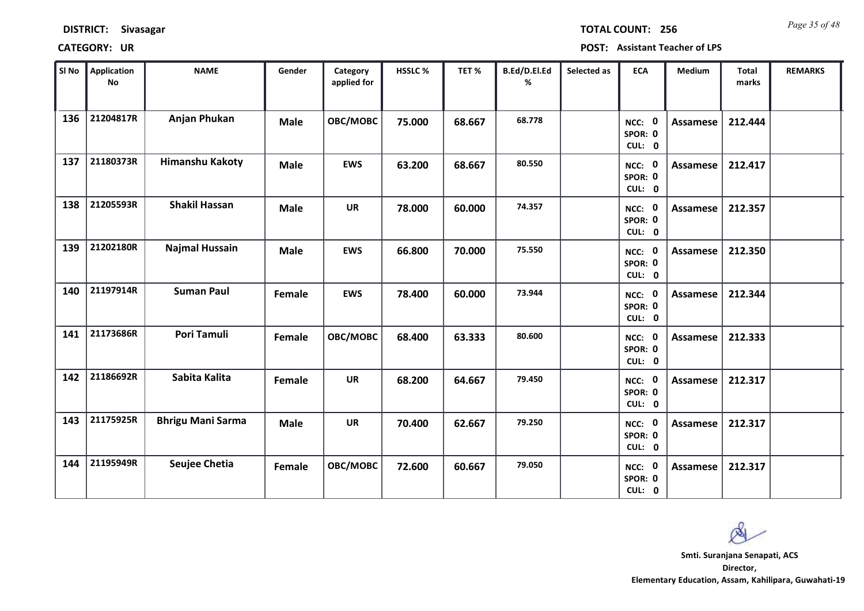*Page 35 of 48* **TOTAL COUNT: 256**

| SI No | Application<br>No | <b>NAME</b>              | Gender      | Category<br>applied for | HSSLC % | TET %  | B.Ed/D.El.Ed<br>% | Selected as | <b>ECA</b>                  | <b>Medium</b>   | <b>Total</b><br>marks | <b>REMARKS</b> |
|-------|-------------------|--------------------------|-------------|-------------------------|---------|--------|-------------------|-------------|-----------------------------|-----------------|-----------------------|----------------|
| 136   | 21204817R         | Anjan Phukan             | <b>Male</b> | OBC/MOBC                | 75.000  | 68.667 | 68.778            |             | NCC: 0<br>SPOR: 0<br>CUL: 0 | <b>Assamese</b> | 212.444               |                |
| 137   | 21180373R         | <b>Himanshu Kakoty</b>   | <b>Male</b> | <b>EWS</b>              | 63.200  | 68.667 | 80.550            |             | NCC: 0<br>SPOR: 0<br>CUL: 0 | Assamese        | 212.417               |                |
| 138   | 21205593R         | <b>Shakil Hassan</b>     | <b>Male</b> | <b>UR</b>               | 78.000  | 60.000 | 74.357            |             | NCC: 0<br>SPOR: 0<br>CUL: 0 | Assamese        | 212.357               |                |
| 139   | 21202180R         | <b>Najmal Hussain</b>    | <b>Male</b> | <b>EWS</b>              | 66.800  | 70.000 | 75.550            |             | NCC: 0<br>SPOR: 0<br>CUL: 0 | <b>Assamese</b> | 212.350               |                |
| 140   | 21197914R         | <b>Suman Paul</b>        | Female      | <b>EWS</b>              | 78.400  | 60.000 | 73.944            |             | NCC: 0<br>SPOR: 0<br>CUL: 0 | Assamese        | 212.344               |                |
| 141   | 21173686R         | Pori Tamuli              | Female      | OBC/MOBC                | 68.400  | 63.333 | 80.600            |             | NCC: 0<br>SPOR: 0<br>CUL: 0 | Assamese        | 212.333               |                |
| 142   | 21186692R         | Sabita Kalita            | Female      | <b>UR</b>               | 68.200  | 64.667 | 79.450            |             | NCC: 0<br>SPOR: 0<br>CUL: 0 | Assamese        | 212.317               |                |
| 143   | 21175925R         | <b>Bhrigu Mani Sarma</b> | <b>Male</b> | <b>UR</b>               | 70.400  | 62.667 | 79.250            |             | NCC: 0<br>SPOR: 0<br>CUL: 0 | <b>Assamese</b> | 212.317               |                |
| 144   | 21195949R         | Seujee Chetia            | Female      | OBC/MOBC                | 72.600  | 60.667 | 79.050            |             | NCC: 0<br>SPOR: 0<br>CUL: 0 | <b>Assamese</b> | 212.317               |                |

 $\infty$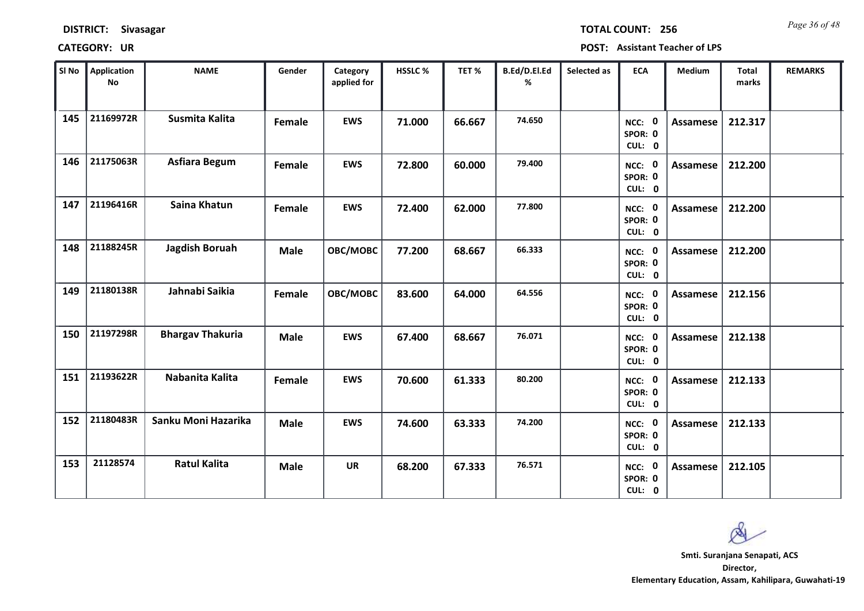*Page 36 of 48* **TOTAL COUNT: 256**

| SI No | Application<br>$\mathsf{No}$ | <b>NAME</b>             | Gender      | Category<br>applied for | <b>HSSLC %</b> | TET%   | B.Ed/D.El.Ed<br>% | Selected as | <b>ECA</b>                  | <b>Medium</b>   | <b>Total</b><br>marks | <b>REMARKS</b> |
|-------|------------------------------|-------------------------|-------------|-------------------------|----------------|--------|-------------------|-------------|-----------------------------|-----------------|-----------------------|----------------|
| 145   | 21169972R                    | Susmita Kalita          | Female      | <b>EWS</b>              | 71.000         | 66.667 | 74.650            |             | NCC: 0<br>SPOR: 0<br>CUL: 0 | <b>Assamese</b> | 212.317               |                |
| 146   | 21175063R                    | Asfiara Begum           | Female      | <b>EWS</b>              | 72.800         | 60.000 | 79.400            |             | NCC: 0<br>SPOR: 0<br>CUL: 0 | Assamese        | 212.200               |                |
| 147   | 21196416R                    | Saina Khatun            | Female      | <b>EWS</b>              | 72.400         | 62.000 | 77.800            |             | NCC: 0<br>SPOR: 0<br>CUL: 0 | Assamese        | 212.200               |                |
| 148   | 21188245R                    | Jagdish Boruah          | <b>Male</b> | OBC/MOBC                | 77.200         | 68.667 | 66.333            |             | NCC: 0<br>SPOR: 0<br>CUL: 0 | Assamese        | 212.200               |                |
| 149   | 21180138R                    | Jahnabi Saikia          | Female      | OBC/MOBC                | 83.600         | 64.000 | 64.556            |             | NCC: 0<br>SPOR: 0<br>CUL: 0 | Assamese        | 212.156               |                |
| 150   | 21197298R                    | <b>Bhargav Thakuria</b> | <b>Male</b> | <b>EWS</b>              | 67.400         | 68.667 | 76.071            |             | NCC: 0<br>SPOR: 0<br>CUL: 0 | Assamese        | 212.138               |                |
| 151   | 21193622R                    | Nabanita Kalita         | Female      | <b>EWS</b>              | 70.600         | 61.333 | 80.200            |             | NCC: 0<br>SPOR: 0<br>CUL: 0 | Assamese        | 212.133               |                |
| 152   | 21180483R                    | Sanku Moni Hazarika     | <b>Male</b> | <b>EWS</b>              | 74.600         | 63.333 | 74.200            |             | NCC: 0<br>SPOR: 0<br>CUL: 0 | <b>Assamese</b> | 212.133               |                |
| 153   | 21128574                     | <b>Ratul Kalita</b>     | <b>Male</b> | <b>UR</b>               | 68.200         | 67.333 | 76.571            |             | NCC: 0<br>SPOR: 0<br>CUL: 0 | Assamese        | 212.105               |                |

 $\infty$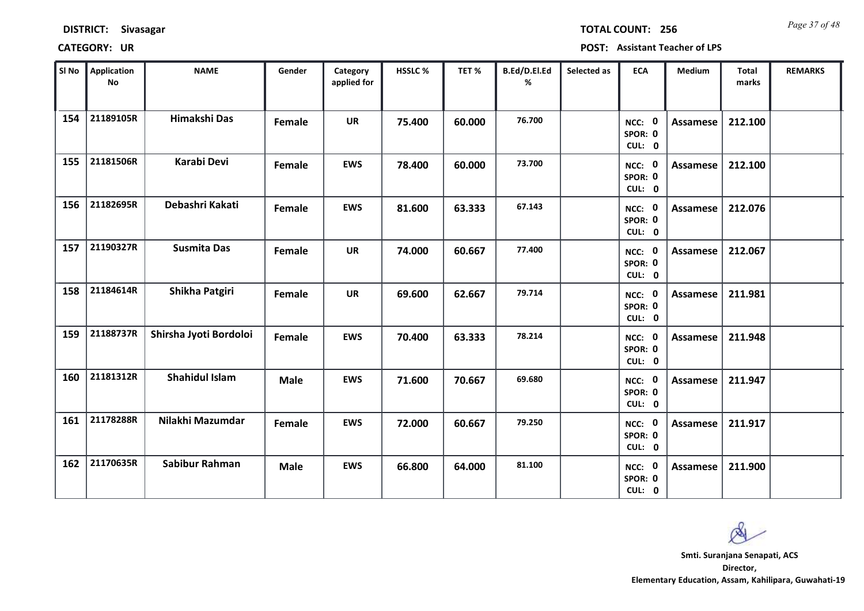| <b>DISTRICT:</b> | Sivasagar |
|------------------|-----------|
|------------------|-----------|

*Page 37 of 48* **TOTAL COUNT: 256**

| SI No | <b>Application</b><br>No | <b>NAME</b>            | Gender      | Category<br>applied for | <b>HSSLC %</b> | TET%   | B.Ed/D.El.Ed<br>% | Selected as | <b>ECA</b>                  | <b>Medium</b>   | <b>Total</b><br>marks | <b>REMARKS</b> |
|-------|--------------------------|------------------------|-------------|-------------------------|----------------|--------|-------------------|-------------|-----------------------------|-----------------|-----------------------|----------------|
| 154   | 21189105R                | Himakshi Das           | Female      | <b>UR</b>               | 75.400         | 60.000 | 76.700            |             | NCC: 0<br>SPOR: 0<br>CUL: 0 | <b>Assamese</b> | 212.100               |                |
| 155   | 21181506R                | Karabi Devi            | Female      | <b>EWS</b>              | 78.400         | 60.000 | 73.700            |             | NCC: 0<br>SPOR: 0<br>CUL: 0 | Assamese        | 212.100               |                |
| 156   | 21182695R                | Debashri Kakati        | Female      | <b>EWS</b>              | 81.600         | 63.333 | 67.143            |             | NCC: 0<br>SPOR: 0<br>CUL: 0 | Assamese        | 212.076               |                |
| 157   | 21190327R                | <b>Susmita Das</b>     | Female      | <b>UR</b>               | 74.000         | 60.667 | 77.400            |             | NCC: 0<br>SPOR: 0<br>CUL: 0 | Assamese        | 212.067               |                |
| 158   | 21184614R                | Shikha Patgiri         | Female      | <b>UR</b>               | 69.600         | 62.667 | 79.714            |             | NCC: 0<br>SPOR: 0<br>CUL: 0 | Assamese        | 211.981               |                |
| 159   | 21188737R                | Shirsha Jyoti Bordoloi | Female      | <b>EWS</b>              | 70.400         | 63.333 | 78.214            |             | NCC: 0<br>SPOR: 0<br>CUL: 0 | Assamese        | 211.948               |                |
| 160   | 21181312R                | <b>Shahidul Islam</b>  | <b>Male</b> | <b>EWS</b>              | 71.600         | 70.667 | 69.680            |             | NCC: 0<br>SPOR: 0<br>CUL: 0 | Assamese        | 211.947               |                |
| 161   | 21178288R                | Nilakhi Mazumdar       | Female      | <b>EWS</b>              | 72.000         | 60.667 | 79.250            |             | NCC: 0<br>SPOR: 0<br>CUL: 0 | <b>Assamese</b> | 211.917               |                |
| 162   | 21170635R                | Sabibur Rahman         | <b>Male</b> | <b>EWS</b>              | 66.800         | 64.000 | 81.100            |             | NCC: 0<br>SPOR: 0<br>CUL: 0 | Assamese        | 211.900               |                |

 $\infty$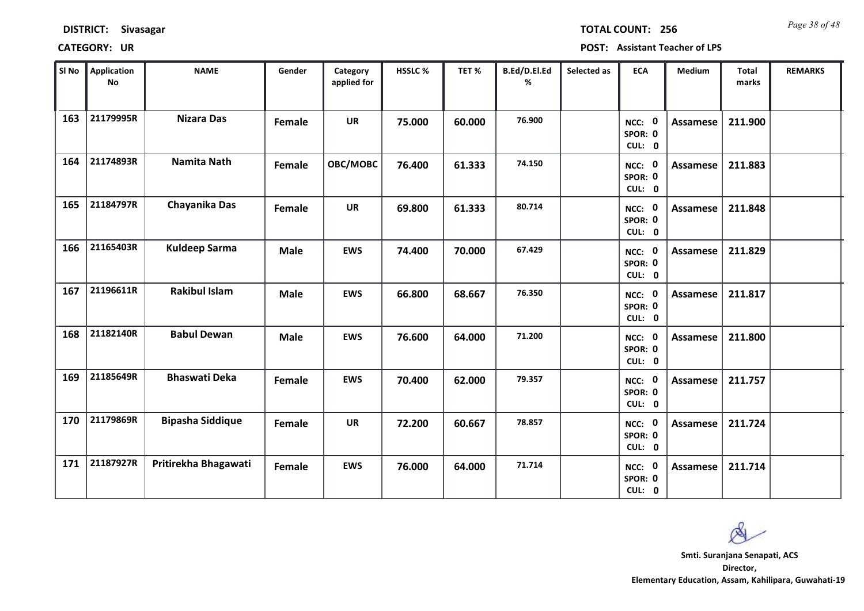*Page 38 of 48* **TOTAL COUNT: 256**

| SI No | Application<br>$\mathsf{No}$ | <b>NAME</b>             | Gender      | Category<br>applied for | HSSLC % | TET%   | B.Ed/D.El.Ed<br>% | Selected as | <b>ECA</b>                  | <b>Medium</b>   | <b>Total</b><br>marks | <b>REMARKS</b> |
|-------|------------------------------|-------------------------|-------------|-------------------------|---------|--------|-------------------|-------------|-----------------------------|-----------------|-----------------------|----------------|
| 163   | 21179995R                    | <b>Nizara Das</b>       | Female      | <b>UR</b>               | 75.000  | 60.000 | 76.900            |             | NCC: 0<br>SPOR: 0<br>CUL: 0 | <b>Assamese</b> | 211.900               |                |
| 164   | 21174893R                    | <b>Namita Nath</b>      | Female      | OBC/MOBC                | 76.400  | 61.333 | 74.150            |             | NCC: 0<br>SPOR: 0<br>CUL: 0 | Assamese        | 211.883               |                |
| 165   | 21184797R                    | Chayanika Das           | Female      | <b>UR</b>               | 69.800  | 61.333 | 80.714            |             | NCC: 0<br>SPOR: 0<br>CUL: 0 | Assamese        | 211.848               |                |
| 166   | 21165403R                    | <b>Kuldeep Sarma</b>    | <b>Male</b> | <b>EWS</b>              | 74.400  | 70.000 | 67.429            |             | NCC: 0<br>SPOR: 0<br>CUL: 0 | Assamese        | 211.829               |                |
| 167   | 21196611R                    | <b>Rakibul Islam</b>    | <b>Male</b> | <b>EWS</b>              | 66.800  | 68.667 | 76.350            |             | NCC: 0<br>SPOR: 0<br>CUL: 0 | Assamese        | 211.817               |                |
| 168   | 21182140R                    | <b>Babul Dewan</b>      | <b>Male</b> | <b>EWS</b>              | 76.600  | 64.000 | 71.200            |             | NCC: 0<br>SPOR: 0<br>CUL: 0 | Assamese        | 211.800               |                |
| 169   | 21185649R                    | <b>Bhaswati Deka</b>    | Female      | <b>EWS</b>              | 70.400  | 62.000 | 79.357            |             | NCC: 0<br>SPOR: 0<br>CUL: 0 | <b>Assamese</b> | 211.757               |                |
| 170   | 21179869R                    | <b>Bipasha Siddique</b> | Female      | <b>UR</b>               | 72.200  | 60.667 | 78.857            |             | NCC: 0<br>SPOR: 0<br>CUL: 0 | <b>Assamese</b> | 211.724               |                |
| 171   | 21187927R                    | Pritirekha Bhagawati    | Female      | <b>EWS</b>              | 76.000  | 64.000 | 71.714            |             | NCC: 0<br>SPOR: 0<br>CUL: 0 | <b>Assamese</b> | 211.714               |                |

 $\infty$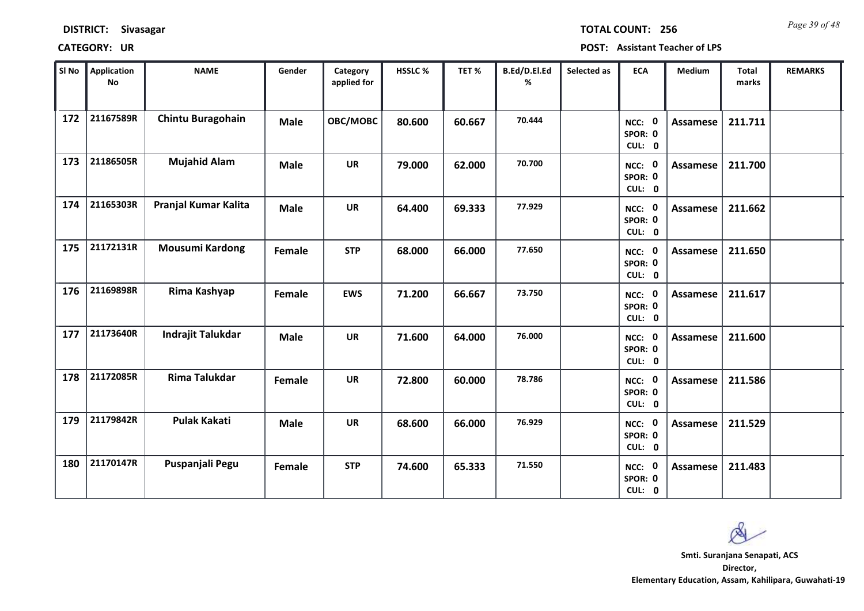| <b>DISTRICT:</b> | <b>Sivasagar</b> |
|------------------|------------------|
|------------------|------------------|

*Page 39 of 48* **TOTAL COUNT: 256**

| SI No | Application<br>No | <b>NAME</b>              | Gender      | Category<br>applied for | HSSLC% | TET%   | B.Ed/D.El.Ed<br>% | Selected as | <b>ECA</b>                  | Medium          | <b>Total</b><br>marks | <b>REMARKS</b> |
|-------|-------------------|--------------------------|-------------|-------------------------|--------|--------|-------------------|-------------|-----------------------------|-----------------|-----------------------|----------------|
| 172   | 21167589R         | <b>Chintu Buragohain</b> | <b>Male</b> | OBC/MOBC                | 80.600 | 60.667 | 70.444            |             | NCC: 0<br>SPOR: 0<br>CUL: 0 | <b>Assamese</b> | 211.711               |                |
| 173   | 21186505R         | <b>Mujahid Alam</b>      | <b>Male</b> | <b>UR</b>               | 79.000 | 62.000 | 70.700            |             | NCC: 0<br>SPOR: 0<br>CUL: 0 | Assamese        | 211.700               |                |
| 174   | 21165303R         | Pranjal Kumar Kalita     | <b>Male</b> | <b>UR</b>               | 64.400 | 69.333 | 77.929            |             | NCC: 0<br>SPOR: 0<br>CUL: 0 | <b>Assamese</b> | 211.662               |                |
| 175   | 21172131R         | <b>Mousumi Kardong</b>   | Female      | <b>STP</b>              | 68.000 | 66.000 | 77.650            |             | NCC: 0<br>SPOR: 0<br>CUL: 0 | Assamese        | 211.650               |                |
| 176   | 21169898R         | Rima Kashyap             | Female      | <b>EWS</b>              | 71.200 | 66.667 | 73.750            |             | NCC: 0<br>SPOR: 0<br>CUL: 0 | Assamese        | 211.617               |                |
| 177   | 21173640R         | Indrajit Talukdar        | <b>Male</b> | <b>UR</b>               | 71.600 | 64.000 | 76.000            |             | NCC: 0<br>SPOR: 0<br>CUL: 0 | Assamese        | 211.600               |                |
| 178   | 21172085R         | Rima Talukdar            | Female      | <b>UR</b>               | 72.800 | 60.000 | 78.786            |             | NCC: 0<br>SPOR: 0<br>CUL: 0 | <b>Assamese</b> | 211.586               |                |
| 179   | 21179842R         | <b>Pulak Kakati</b>      | <b>Male</b> | <b>UR</b>               | 68.600 | 66.000 | 76.929            |             | NCC: 0<br>SPOR: 0<br>CUL: 0 | <b>Assamese</b> | 211.529               |                |
| 180   | 21170147R         | Puspanjali Pegu          | Female      | <b>STP</b>              | 74.600 | 65.333 | 71.550            |             | NCC: 0<br>SPOR: 0<br>CUL: 0 | Assamese        | 211.483               |                |

 $\infty$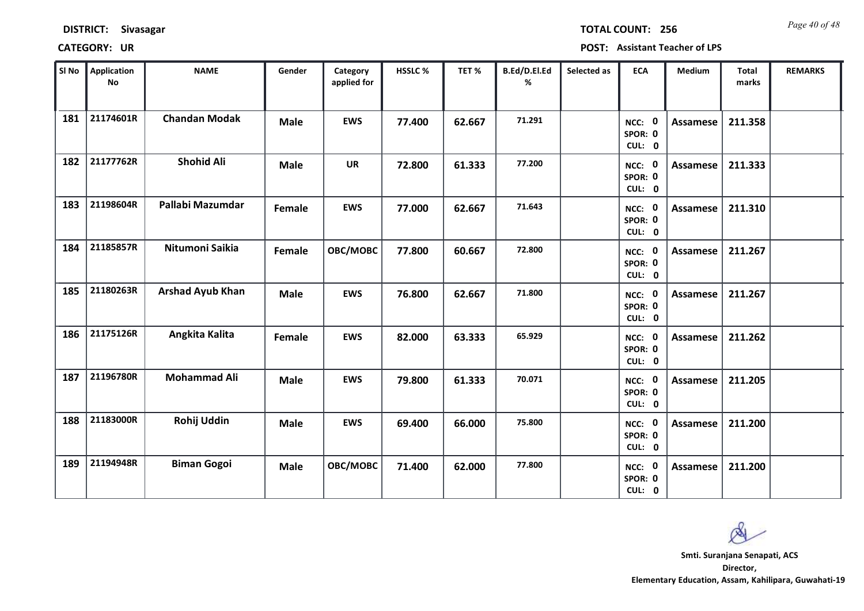*Page 40 of 48* **TOTAL COUNT: 256**

| SI No | Application<br>$\mathsf{No}$ | <b>NAME</b>             | Gender      | Category<br>applied for | HSSLC % | TET%   | B.Ed/D.El.Ed<br>% | Selected as | <b>ECA</b>                  | <b>Medium</b>   | <b>Total</b><br>marks | <b>REMARKS</b> |
|-------|------------------------------|-------------------------|-------------|-------------------------|---------|--------|-------------------|-------------|-----------------------------|-----------------|-----------------------|----------------|
| 181   | 21174601R                    | <b>Chandan Modak</b>    | <b>Male</b> | <b>EWS</b>              | 77.400  | 62.667 | 71.291            |             | NCC: 0<br>SPOR: 0<br>CUL: 0 | <b>Assamese</b> | 211.358               |                |
| 182   | 21177762R                    | <b>Shohid Ali</b>       | <b>Male</b> | <b>UR</b>               | 72.800  | 61.333 | 77.200            |             | NCC: 0<br>SPOR: 0<br>CUL: 0 | Assamese        | 211.333               |                |
| 183   | 21198604R                    | Pallabi Mazumdar        | Female      | <b>EWS</b>              | 77.000  | 62.667 | 71.643            |             | NCC: 0<br>SPOR: 0<br>CUL: 0 | <b>Assamese</b> | 211.310               |                |
| 184   | 21185857R                    | Nitumoni Saikia         | Female      | OBC/MOBC                | 77.800  | 60.667 | 72.800            |             | NCC: 0<br>SPOR: 0<br>CUL: 0 | Assamese        | 211.267               |                |
| 185   | 21180263R                    | <b>Arshad Ayub Khan</b> | <b>Male</b> | <b>EWS</b>              | 76.800  | 62.667 | 71.800            |             | NCC: 0<br>SPOR: 0<br>CUL: 0 | <b>Assamese</b> | 211.267               |                |
| 186   | 21175126R                    | Angkita Kalita          | Female      | <b>EWS</b>              | 82.000  | 63.333 | 65.929            |             | NCC: 0<br>SPOR: 0<br>CUL: 0 | <b>Assamese</b> | 211.262               |                |
| 187   | 21196780R                    | <b>Mohammad Ali</b>     | <b>Male</b> | <b>EWS</b>              | 79.800  | 61.333 | 70.071            |             | NCC: 0<br>SPOR: 0<br>CUL: 0 | <b>Assamese</b> | 211.205               |                |
| 188   | 21183000R                    | Rohij Uddin             | <b>Male</b> | <b>EWS</b>              | 69.400  | 66.000 | 75.800            |             | NCC: 0<br>SPOR: 0<br>CUL: 0 | <b>Assamese</b> | 211.200               |                |
| 189   | 21194948R                    | <b>Biman Gogoi</b>      | <b>Male</b> | OBC/MOBC                | 71.400  | 62.000 | 77.800            |             | NCC: 0<br>SPOR: 0<br>CUL: 0 | Assamese        | 211.200               |                |

 $\infty$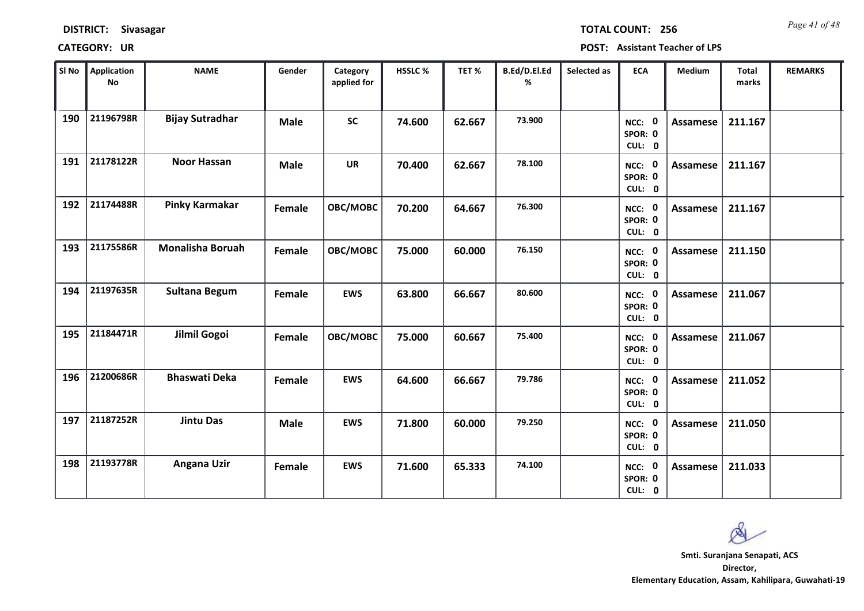*Page 41 of 48* **TOTAL COUNT: 256**

| SI <sub>No</sub> | <b>Application</b><br><b>No</b> | <b>NAME</b>             | Gender      | Category<br>applied for | HSSLC % | TET%   | B.Ed/D.El.Ed<br>% | Selected as | <b>ECA</b>                  | Medium          | <b>Total</b><br>marks | <b>REMARKS</b> |
|------------------|---------------------------------|-------------------------|-------------|-------------------------|---------|--------|-------------------|-------------|-----------------------------|-----------------|-----------------------|----------------|
| 190              | 21196798R                       | <b>Bijay Sutradhar</b>  | <b>Male</b> | <b>SC</b>               | 74.600  | 62.667 | 73.900            |             | NCC: 0<br>SPOR: 0<br>CUL: 0 | Assamese        | 211.167               |                |
| 191              | 21178122R                       | <b>Noor Hassan</b>      | <b>Male</b> | <b>UR</b>               | 70.400  | 62.667 | 78.100            |             | NCC: 0<br>SPOR: 0<br>CUL: 0 | Assamese        | 211.167               |                |
| 192              | 21174488R                       | Pinky Karmakar          | Female      | OBC/MOBC                | 70.200  | 64.667 | 76.300            |             | NCC: 0<br>SPOR: 0<br>CUL: 0 | <b>Assamese</b> | 211.167               |                |
| 193              | 21175586R                       | <b>Monalisha Boruah</b> | Female      | OBC/MOBC                | 75.000  | 60.000 | 76.150            |             | NCC: 0<br>SPOR: 0<br>CUL: 0 | Assamese        | 211.150               |                |
| 194              | 21197635R                       | <b>Sultana Begum</b>    | Female      | <b>EWS</b>              | 63.800  | 66.667 | 80.600            |             | NCC: 0<br>SPOR: 0<br>CUL: 0 | Assamese        | 211.067               |                |
| 195              | 21184471R                       | Jilmil Gogoi            | Female      | OBC/MOBC                | 75.000  | 60.667 | 75.400            |             | NCC: 0<br>SPOR: 0<br>CUL: 0 | <b>Assamese</b> | 211.067               |                |
| 196              | 21200686R                       | <b>Bhaswati Deka</b>    | Female      | <b>EWS</b>              | 64.600  | 66.667 | 79.786            |             | NCC: 0<br>SPOR: 0<br>CUL: 0 | Assamese        | 211.052               |                |
| 197              | 21187252R                       | <b>Jintu Das</b>        | <b>Male</b> | <b>EWS</b>              | 71.800  | 60.000 | 79.250            |             | NCC: 0<br>SPOR: 0<br>CUL: 0 | <b>Assamese</b> | 211.050               |                |
| 198              | 21193778R                       | <b>Angana Uzir</b>      | Female      | <b>EWS</b>              | 71.600  | 65.333 | 74.100            |             | NCC: 0<br>SPOR: 0<br>CUL: 0 | Assamese        | 211.033               |                |

 $\infty$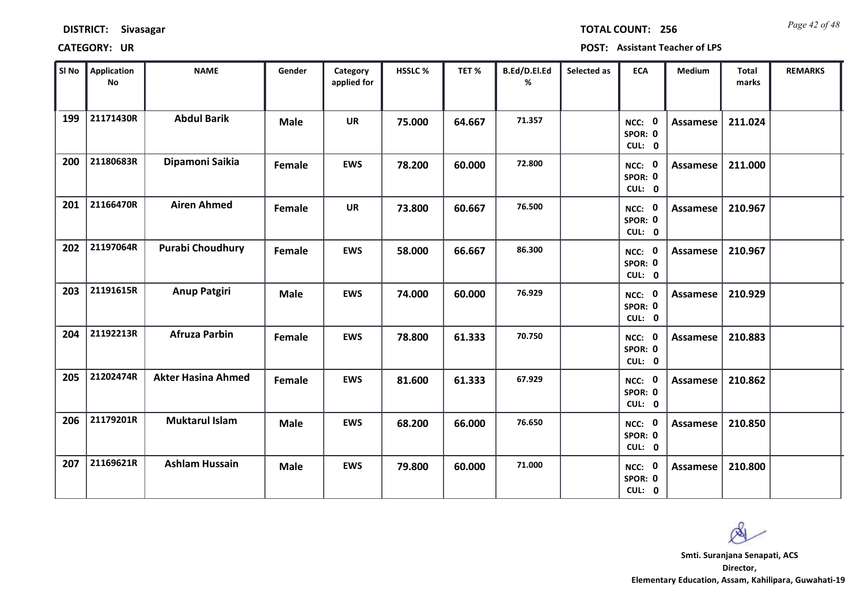*Page 42 of 48* **TOTAL COUNT: 256**

| SI No | <b>Application</b><br>No | <b>NAME</b>               | Gender      | Category<br>applied for | HSSLC% | TET%   | B.Ed/D.El.Ed<br>% | Selected as | <b>ECA</b>                  | Medium          | Total<br>marks | <b>REMARKS</b> |
|-------|--------------------------|---------------------------|-------------|-------------------------|--------|--------|-------------------|-------------|-----------------------------|-----------------|----------------|----------------|
| 199   | 21171430R                | <b>Abdul Barik</b>        | <b>Male</b> | <b>UR</b>               | 75.000 | 64.667 | 71.357            |             | NCC: 0<br>SPOR: 0<br>CUL: 0 | Assamese        | 211.024        |                |
| 200   | 21180683R                | Dipamoni Saikia           | Female      | <b>EWS</b>              | 78.200 | 60.000 | 72.800            |             | NCC: 0<br>SPOR: 0<br>CUL: 0 | Assamese        | 211.000        |                |
| 201   | 21166470R                | <b>Airen Ahmed</b>        | Female      | <b>UR</b>               | 73.800 | 60.667 | 76.500            |             | NCC: 0<br>SPOR: 0<br>CUL: 0 | <b>Assamese</b> | 210.967        |                |
| 202   | 21197064R                | <b>Purabi Choudhury</b>   | Female      | <b>EWS</b>              | 58.000 | 66.667 | 86.300            |             | NCC: 0<br>SPOR: 0<br>CUL: 0 | Assamese        | 210.967        |                |
| 203   | 21191615R                | <b>Anup Patgiri</b>       | <b>Male</b> | <b>EWS</b>              | 74.000 | 60.000 | 76.929            |             | NCC: 0<br>SPOR: 0<br>CUL: 0 | <b>Assamese</b> | 210.929        |                |
| 204   | 21192213R                | <b>Afruza Parbin</b>      | Female      | <b>EWS</b>              | 78.800 | 61.333 | 70.750            |             | NCC: 0<br>SPOR: 0<br>CUL: 0 | <b>Assamese</b> | 210.883        |                |
| 205   | 21202474R                | <b>Akter Hasina Ahmed</b> | Female      | <b>EWS</b>              | 81.600 | 61.333 | 67.929            |             | NCC: 0<br>SPOR: 0<br>CUL: 0 | <b>Assamese</b> | 210.862        |                |
| 206   | 21179201R                | <b>Muktarul Islam</b>     | <b>Male</b> | <b>EWS</b>              | 68.200 | 66.000 | 76.650            |             | NCC: 0<br>SPOR: 0<br>CUL: 0 | <b>Assamese</b> | 210.850        |                |
| 207   | 21169621R                | <b>Ashlam Hussain</b>     | <b>Male</b> | <b>EWS</b>              | 79.800 | 60.000 | 71.000            |             | NCC: 0<br>SPOR: 0<br>CUL: 0 | Assamese        | 210.800        |                |

 $\mathbb{A}$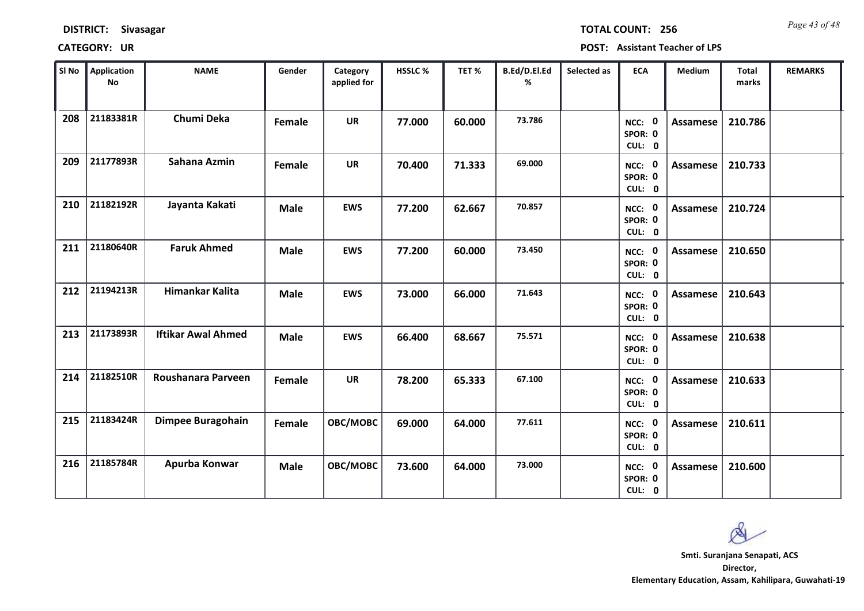*Page 43 of 48* **TOTAL COUNT: 256**

| SI No | <b>Application</b><br>No | <b>NAME</b>               | Gender      | Category<br>applied for | HSSLC % | TET %  | B.Ed/D.El.Ed<br>% | Selected as | <b>ECA</b>                  | <b>Medium</b>   | <b>Total</b><br>marks | <b>REMARKS</b> |
|-------|--------------------------|---------------------------|-------------|-------------------------|---------|--------|-------------------|-------------|-----------------------------|-----------------|-----------------------|----------------|
| 208   | 21183381R                | Chumi Deka                | Female      | <b>UR</b>               | 77.000  | 60.000 | 73.786            |             | NCC: 0<br>SPOR: 0<br>CUL: 0 | Assamese        | 210.786               |                |
| 209   | 21177893R                | Sahana Azmin              | Female      | <b>UR</b>               | 70.400  | 71.333 | 69.000            |             | NCC: 0<br>SPOR: 0<br>CUL: 0 | Assamese        | 210.733               |                |
| 210   | 21182192R                | Jayanta Kakati            | <b>Male</b> | <b>EWS</b>              | 77.200  | 62.667 | 70.857            |             | NCC: 0<br>SPOR: 0<br>CUL: 0 | Assamese        | 210.724               |                |
| 211   | 21180640R                | <b>Faruk Ahmed</b>        | <b>Male</b> | <b>EWS</b>              | 77.200  | 60.000 | 73.450            |             | NCC: 0<br>SPOR: 0<br>CUL: 0 | Assamese        | 210.650               |                |
| 212   | 21194213R                | Himankar Kalita           | <b>Male</b> | <b>EWS</b>              | 73.000  | 66.000 | 71.643            |             | NCC: 0<br>SPOR: 0<br>CUL: 0 | Assamese        | 210.643               |                |
| 213   | 21173893R                | <b>Iftikar Awal Ahmed</b> | <b>Male</b> | <b>EWS</b>              | 66.400  | 68.667 | 75.571            |             | NCC: 0<br>SPOR: 0<br>CUL: 0 | Assamese        | 210.638               |                |
| 214   | 21182510R                | Roushanara Parveen        | Female      | <b>UR</b>               | 78.200  | 65.333 | 67.100            |             | NCC: 0<br>SPOR: 0<br>CUL: 0 | <b>Assamese</b> | 210.633               |                |
| 215   | 21183424R                | Dimpee Buragohain         | Female      | OBC/MOBC                | 69.000  | 64.000 | 77.611            |             | NCC: 0<br>SPOR: 0<br>CUL: 0 | <b>Assamese</b> | 210.611               |                |
| 216   | 21185784R                | Apurba Konwar             | <b>Male</b> | OBC/MOBC                | 73.600  | 64.000 | 73.000            |             | NCC: 0<br>SPOR: 0<br>CUL: 0 | Assamese        | 210.600               |                |

 $\infty$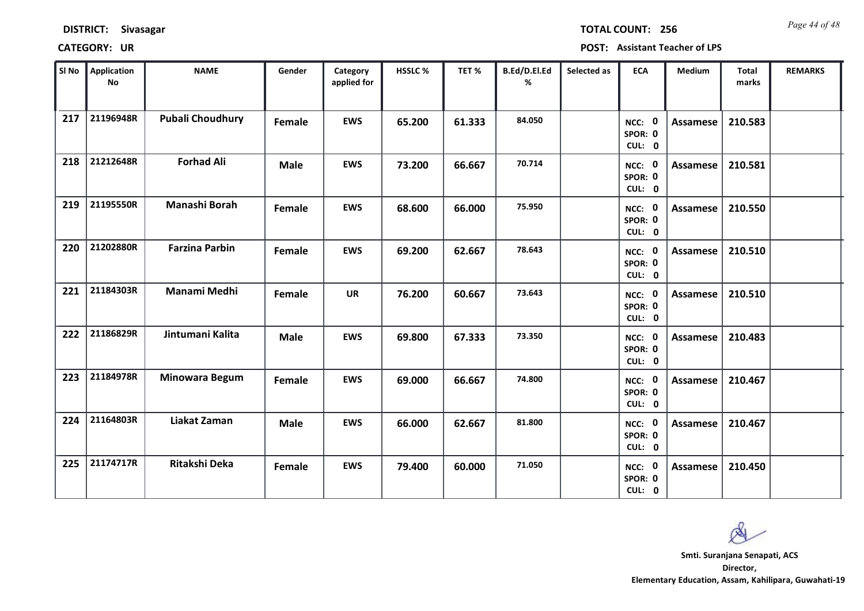| <b>DISTRICT:</b> | <b>Sivasagar</b> |
|------------------|------------------|
|------------------|------------------|

*Page 44 of 48* **TOTAL COUNT: 256**

| SI No | <b>Application</b><br>No | <b>NAME</b>             | Gender      | Category<br>applied for | HSSLC% | TET%   | B.Ed/D.El.Ed<br>% | Selected as | <b>ECA</b>                  | Medium          | Total<br>marks | <b>REMARKS</b> |
|-------|--------------------------|-------------------------|-------------|-------------------------|--------|--------|-------------------|-------------|-----------------------------|-----------------|----------------|----------------|
| 217   | 21196948R                | <b>Pubali Choudhury</b> | Female      | <b>EWS</b>              | 65.200 | 61.333 | 84.050            |             | NCC: 0<br>SPOR: 0<br>CUL: 0 | Assamese        | 210.583        |                |
| 218   | 21212648R                | <b>Forhad Ali</b>       | <b>Male</b> | <b>EWS</b>              | 73.200 | 66.667 | 70.714            |             | NCC: 0<br>SPOR: 0<br>CUL: 0 | Assamese        | 210.581        |                |
| 219   | 21195550R                | Manashi Borah           | Female      | <b>EWS</b>              | 68.600 | 66.000 | 75.950            |             | NCC: 0<br>SPOR: 0<br>CUL: 0 | Assamese        | 210.550        |                |
| 220   | 21202880R                | <b>Farzina Parbin</b>   | Female      | <b>EWS</b>              | 69.200 | 62.667 | 78.643            |             | NCC: 0<br>SPOR: 0<br>CUL: 0 | Assamese        | 210.510        |                |
| 221   | 21184303R                | Manami Medhi            | Female      | <b>UR</b>               | 76.200 | 60.667 | 73.643            |             | NCC: 0<br>SPOR: 0<br>CUL: 0 | <b>Assamese</b> | 210.510        |                |
| 222   | 21186829R                | Jintumani Kalita        | <b>Male</b> | <b>EWS</b>              | 69.800 | 67.333 | 73.350            |             | NCC: 0<br>SPOR: 0<br>CUL: 0 | Assamese        | 210.483        |                |
| 223   | 21184978R                | <b>Minowara Begum</b>   | Female      | <b>EWS</b>              | 69.000 | 66.667 | 74.800            |             | NCC: 0<br>SPOR: 0<br>CUL: 0 | <b>Assamese</b> | 210.467        |                |
| 224   | 21164803R                | Liakat Zaman            | <b>Male</b> | <b>EWS</b>              | 66.000 | 62.667 | 81.800            |             | NCC: 0<br>SPOR: 0<br>CUL: 0 | <b>Assamese</b> | 210.467        |                |
| 225   | 21174717R                | <b>Ritakshi Deka</b>    | Female      | <b>EWS</b>              | 79.400 | 60.000 | 71.050            |             | NCC: 0<br>SPOR: 0<br>CUL: 0 | Assamese        | 210.450        |                |

 $\infty$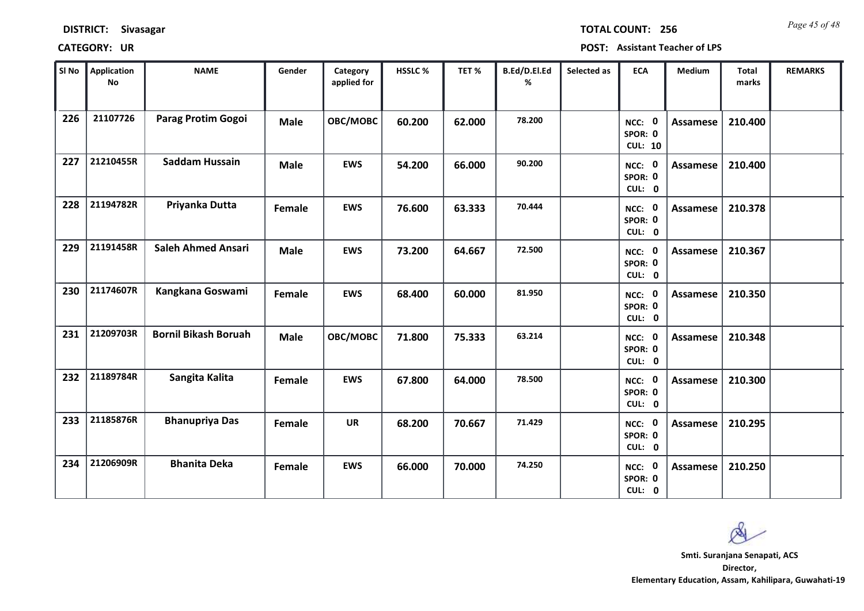*Page 45 of 48* **TOTAL COUNT: 256**

| SI No | Application<br>No | <b>NAME</b>                 | Gender      | Category<br>applied for | <b>HSSLC%</b> | TET %  | B.Ed/D.El.Ed<br>% | Selected as | <b>ECA</b>                          | <b>Medium</b>   | <b>Total</b><br>marks | <b>REMARKS</b> |
|-------|-------------------|-----------------------------|-------------|-------------------------|---------------|--------|-------------------|-------------|-------------------------------------|-----------------|-----------------------|----------------|
| 226   | 21107726          | Parag Protim Gogoi          | <b>Male</b> | OBC/MOBC                | 60.200        | 62.000 | 78.200            |             | NCC: 0<br>SPOR: 0<br><b>CUL: 10</b> | <b>Assamese</b> | 210.400               |                |
| 227   | 21210455R         | <b>Saddam Hussain</b>       | <b>Male</b> | <b>EWS</b>              | 54.200        | 66.000 | 90.200            |             | NCC: 0<br>SPOR: 0<br>CUL: 0         | Assamese        | 210.400               |                |
| 228   | 21194782R         | Priyanka Dutta              | Female      | <b>EWS</b>              | 76.600        | 63.333 | 70.444            |             | NCC: 0<br>SPOR: 0<br>CUL: 0         | Assamese        | 210.378               |                |
| 229   | 21191458R         | <b>Saleh Ahmed Ansari</b>   | <b>Male</b> | <b>EWS</b>              | 73.200        | 64.667 | 72.500            |             | NCC: 0<br>SPOR: 0<br>CUL: 0         | Assamese        | 210.367               |                |
| 230   | 21174607R         | Kangkana Goswami            | Female      | <b>EWS</b>              | 68.400        | 60.000 | 81.950            |             | NCC: 0<br>SPOR: 0<br>CUL: 0         | Assamese        | 210.350               |                |
| 231   | 21209703R         | <b>Bornil Bikash Boruah</b> | <b>Male</b> | OBC/MOBC                | 71.800        | 75.333 | 63.214            |             | NCC: 0<br>SPOR: 0<br>CUL: 0         | Assamese        | 210.348               |                |
| 232   | 21189784R         | Sangita Kalita              | Female      | <b>EWS</b>              | 67.800        | 64.000 | 78.500            |             | NCC: 0<br>SPOR: 0<br>CUL: 0         | Assamese        | 210.300               |                |
| 233   | 21185876R         | <b>Bhanupriya Das</b>       | Female      | <b>UR</b>               | 68.200        | 70.667 | 71.429            |             | NCC: 0<br>SPOR: 0<br>CUL: 0         | <b>Assamese</b> | 210.295               |                |
| 234   | 21206909R         | <b>Bhanita Deka</b>         | Female      | <b>EWS</b>              | 66.000        | 70.000 | 74.250            |             | NCC: 0<br>SPOR: 0<br>CUL: 0         | Assamese        | 210.250               |                |

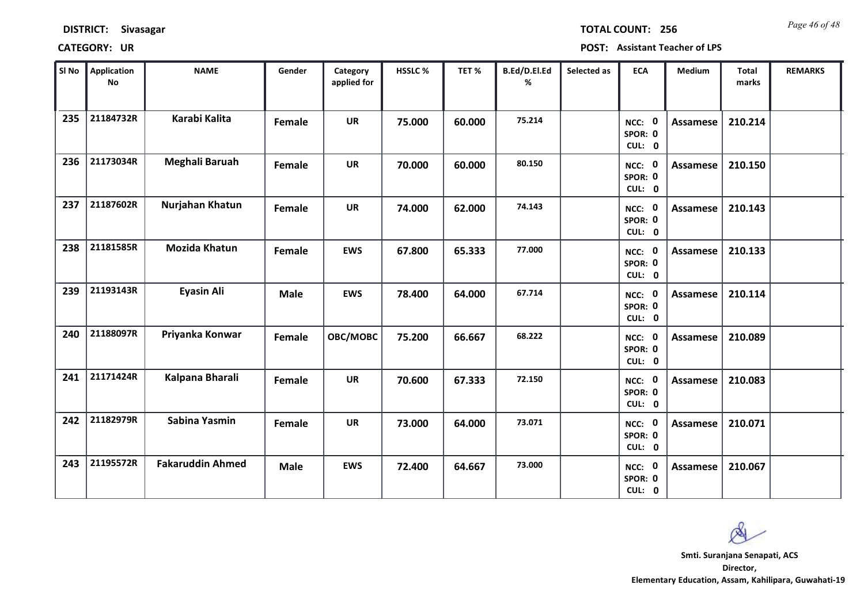| <b>DISTRICT:</b> | Sivasagar |
|------------------|-----------|
|------------------|-----------|

*Page 46 of 48* **TOTAL COUNT: 256**

| SI No | <b>Application</b><br><b>No</b> | <b>NAME</b>             | Gender      | Category<br>applied for | HSSLC% | TET%   | B.Ed/D.El.Ed<br>% | Selected as | <b>ECA</b>                  | Medium          | <b>Total</b><br>marks | <b>REMARKS</b> |
|-------|---------------------------------|-------------------------|-------------|-------------------------|--------|--------|-------------------|-------------|-----------------------------|-----------------|-----------------------|----------------|
| 235   | 21184732R                       | <b>Karabi Kalita</b>    | Female      | <b>UR</b>               | 75.000 | 60.000 | 75.214            |             | NCC: 0<br>SPOR: 0<br>CUL: 0 | Assamese        | 210.214               |                |
| 236   | 21173034R                       | Meghali Baruah          | Female      | <b>UR</b>               | 70.000 | 60.000 | 80.150            |             | NCC: 0<br>SPOR: 0<br>CUL: 0 | <b>Assamese</b> | 210.150               |                |
| 237   | 21187602R                       | Nurjahan Khatun         | Female      | <b>UR</b>               | 74.000 | 62.000 | 74.143            |             | NCC: 0<br>SPOR: 0<br>CUL: 0 | <b>Assamese</b> | 210.143               |                |
| 238   | 21181585R                       | <b>Mozida Khatun</b>    | Female      | <b>EWS</b>              | 67.800 | 65.333 | 77.000            |             | NCC: 0<br>SPOR: 0<br>CUL: 0 | Assamese        | 210.133               |                |
| 239   | 21193143R                       | <b>Eyasin Ali</b>       | <b>Male</b> | <b>EWS</b>              | 78.400 | 64.000 | 67.714            |             | NCC: 0<br>SPOR: 0<br>CUL: 0 | Assamese        | 210.114               |                |
| 240   | 21188097R                       | Priyanka Konwar         | Female      | OBC/MOBC                | 75.200 | 66.667 | 68.222            |             | NCC: 0<br>SPOR: 0<br>CUL: 0 | <b>Assamese</b> | 210.089               |                |
| 241   | 21171424R                       | Kalpana Bharali         | Female      | <b>UR</b>               | 70.600 | 67.333 | 72.150            |             | NCC: 0<br>SPOR: 0<br>CUL: 0 | <b>Assamese</b> | 210.083               |                |
| 242   | 21182979R                       | Sabina Yasmin           | Female      | <b>UR</b>               | 73.000 | 64.000 | 73.071            |             | NCC: 0<br>SPOR: 0<br>CUL: 0 | <b>Assamese</b> | 210.071               |                |
| 243   | 21195572R                       | <b>Fakaruddin Ahmed</b> | <b>Male</b> | <b>EWS</b>              | 72.400 | 64.667 | 73.000            |             | NCC: 0<br>SPOR: 0<br>CUL: 0 | Assamese        | 210.067               |                |

 $\infty$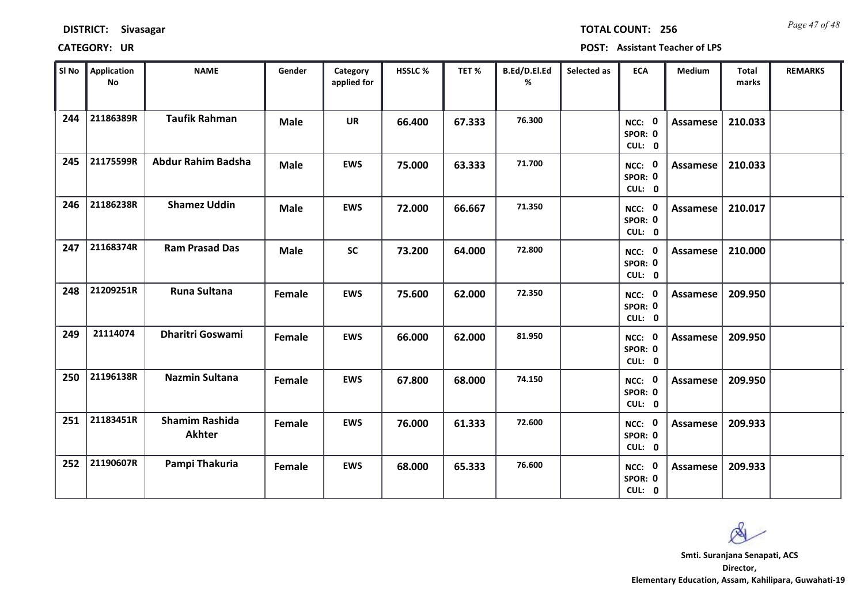| <b>DISTRICT:</b> | <b>Sivasagar</b> |
|------------------|------------------|
|------------------|------------------|

*Page 47 of 48* **TOTAL COUNT: 256**

| SI No | <b>Application</b><br>No | <b>NAME</b>                            | Gender      | Category<br>applied for | HSSLC % | TET%   | B.Ed/D.El.Ed<br>% | Selected as | <b>ECA</b>                  | Medium          | <b>Total</b><br>marks | <b>REMARKS</b> |
|-------|--------------------------|----------------------------------------|-------------|-------------------------|---------|--------|-------------------|-------------|-----------------------------|-----------------|-----------------------|----------------|
| 244   | 21186389R                | <b>Taufik Rahman</b>                   | <b>Male</b> | <b>UR</b>               | 66.400  | 67.333 | 76.300            |             | NCC: 0<br>SPOR: 0<br>CUL: 0 | Assamese        | 210.033               |                |
| 245   | 21175599R                | <b>Abdur Rahim Badsha</b>              | <b>Male</b> | <b>EWS</b>              | 75.000  | 63.333 | 71.700            |             | NCC: 0<br>SPOR: 0<br>CUL: 0 | Assamese        | 210.033               |                |
| 246   | 21186238R                | <b>Shamez Uddin</b>                    | <b>Male</b> | <b>EWS</b>              | 72.000  | 66.667 | 71.350            |             | NCC: 0<br>SPOR: 0<br>CUL: 0 | Assamese        | 210.017               |                |
| 247   | 21168374R                | <b>Ram Prasad Das</b>                  | <b>Male</b> | <b>SC</b>               | 73.200  | 64.000 | 72.800            |             | NCC: 0<br>SPOR: 0<br>CUL: 0 | Assamese        | 210.000               |                |
| 248   | 21209251R                | <b>Runa Sultana</b>                    | Female      | <b>EWS</b>              | 75.600  | 62.000 | 72.350            |             | NCC: 0<br>SPOR: 0<br>CUL: 0 | <b>Assamese</b> | 209.950               |                |
| 249   | 21114074                 | <b>Dharitri Goswami</b>                | Female      | <b>EWS</b>              | 66.000  | 62.000 | 81.950            |             | NCC: 0<br>SPOR: 0<br>CUL: 0 | <b>Assamese</b> | 209.950               |                |
| 250   | 21196138R                | <b>Nazmin Sultana</b>                  | Female      | <b>EWS</b>              | 67.800  | 68.000 | 74.150            |             | NCC: 0<br>SPOR: 0<br>CUL: 0 | Assamese        | 209.950               |                |
| 251   | 21183451R                | <b>Shamim Rashida</b><br><b>Akhter</b> | Female      | <b>EWS</b>              | 76.000  | 61.333 | 72.600            |             | NCC: 0<br>SPOR: 0<br>CUL: 0 | <b>Assamese</b> | 209.933               |                |
| 252   | 21190607R                | Pampi Thakuria                         | Female      | <b>EWS</b>              | 68.000  | 65.333 | 76.600            |             | NCC: 0<br>SPOR: 0<br>CUL: 0 | Assamese        | 209.933               |                |

 $\infty$